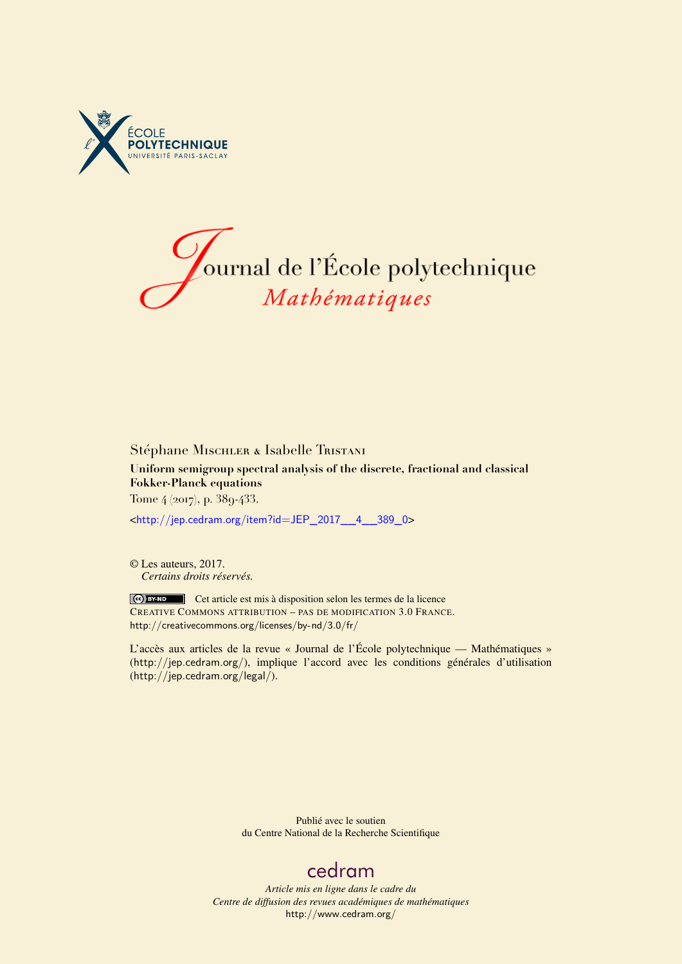



# Stéphane Mischler & Isabelle Tristani **Uniform semigroup spectral analysis of the discrete, fractional and classical Fokker-Planck equations** Tome 4 (2017), p. 389-433.

<[http://jep.cedram.org/item?id=JEP\\_2017\\_\\_4\\_\\_389\\_0](http://jep.cedram.org/item?id=JEP_2017__4__389_0)>

© Les auteurs, 2017. *Certains droits réservés.*

Ce) BY-ND Cet article est mis à disposition selon les termes de la licence CREATIVE COMMONS ATTRIBUTION – PAS DE MODIFICATION 3.0 FRANCE. <http://creativecommons.org/licenses/by-nd/3.0/fr/>

L'accès aux articles de la revue « Journal de l'École polytechnique — Mathématiques » (<http://jep.cedram.org/>), implique l'accord avec les conditions générales d'utilisation (<http://jep.cedram.org/legal/>).

> Publié avec le soutien du Centre National de la Recherche Scientifique

# [cedram](http://www.cedram.org/)

*Article mis en ligne dans le cadre du Centre de diffusion des revues académiques de mathématiques* <http://www.cedram.org/>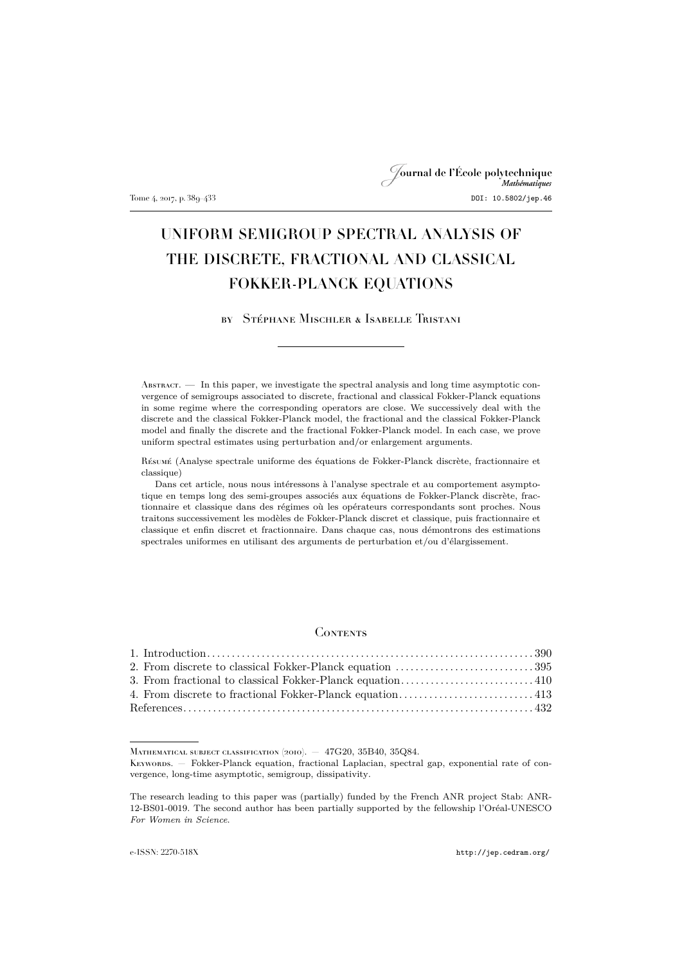# Journal de l'École polytechnique Tome 4, 2017, p. 389–433 DOI: 10.5802/jep.46

# UNIFORM SEMIGROUP SPECTRAL ANALYSIS OF THE DISCRETE, FRACTIONAL AND CLASSICAL FOKKER-PLANCK EQUATIONS

by Stéphane Mischler & Isabelle Tristani

Abstract. — In this paper, we investigate the spectral analysis and long time asymptotic convergence of semigroups associated to discrete, fractional and classical Fokker-Planck equations in some regime where the corresponding operators are close. We successively deal with the discrete and the classical Fokker-Planck model, the fractional and the classical Fokker-Planck model and finally the discrete and the fractional Fokker-Planck model. In each case, we prove uniform spectral estimates using perturbation and/or enlargement arguments.

Résumé (Analyse spectrale uniforme des équations de Fokker-Planck discrète, fractionnaire et classique)

Dans cet article, nous nous intéressons à l'analyse spectrale et au comportement asymptotique en temps long des semi-groupes associés aux équations de Fokker-Planck discrète, fractionnaire et classique dans des régimes où les opérateurs correspondants sont proches. Nous traitons successivement les modèles de Fokker-Planck discret et classique, puis fractionnaire et classique et enfin discret et fractionnaire. Dans chaque cas, nous démontrons des estimations spectrales uniformes en utilisant des arguments de perturbation et/ou d'élargissement.

### **CONTENTS**

MATHEMATICAL SUBJECT CLASSIFICATION (2010).  $-$  47G20, 35B40, 35Q84.

Keywords. — Fokker-Planck equation, fractional Laplacian, spectral gap, exponential rate of convergence, long-time asymptotic, semigroup, dissipativity.

The research leading to this paper was (partially) funded by the French ANR project Stab: ANR-12-BS01-0019. The second author has been partially supported by the fellowship l'Oréal-UNESCO *For Women in Science*.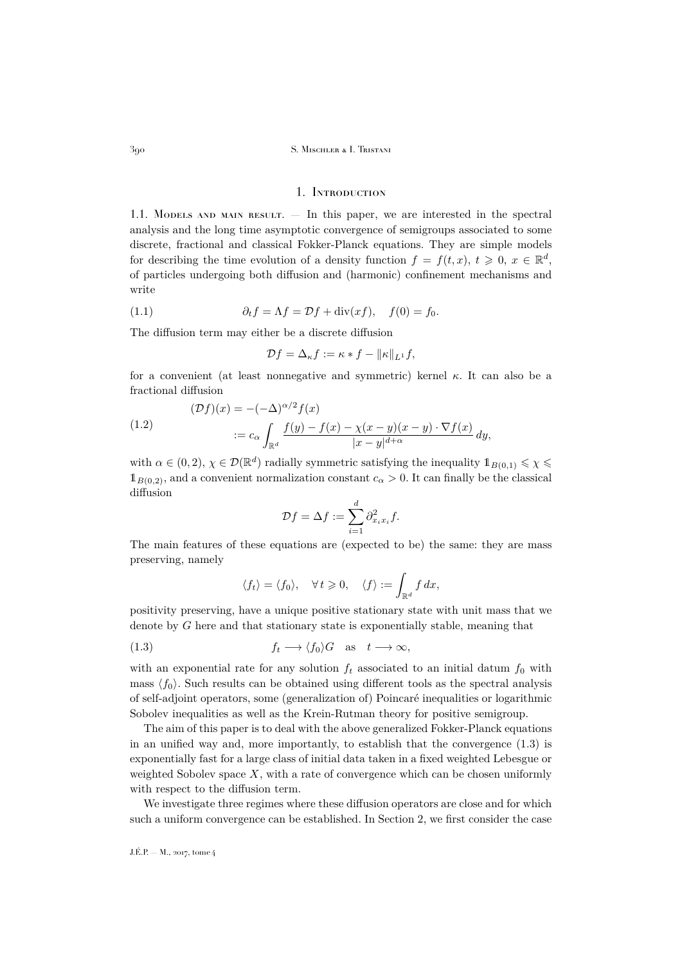### 1. Introduction

<span id="page-2-0"></span>1.1. Models and main result. — In this paper, we are interested in the spectral analysis and the long time asymptotic convergence of semigroups associated to some discrete, fractional and classical Fokker-Planck equations. They are simple models for describing the time evolution of a density function  $f = f(t, x)$ ,  $t \geq 0$ ,  $x \in \mathbb{R}^d$ , of particles undergoing both diffusion and (harmonic) confinement mechanisms and write

(1.1) 
$$
\partial_t f = \Lambda f = \mathcal{D}f + \text{div}(xf), \quad f(0) = f_0.
$$

The diffusion term may either be a discrete diffusion

<span id="page-2-2"></span>
$$
\mathcal{D}f = \Delta_{\kappa}f := \kappa * f - ||\kappa||_{L^1}f,
$$

for a convenient (at least nonnegative and symmetric) kernel  $\kappa$ . It can also be a fractional diffusion

<span id="page-2-3"></span>(1.2)  
\n
$$
(\mathcal{D}f)(x) = -(-\Delta)^{\alpha/2} f(x)
$$
\n
$$
:= c_{\alpha} \int_{\mathbb{R}^d} \frac{f(y) - f(x) - \chi(x - y)(x - y) \cdot \nabla f(x)}{|x - y|^{d + \alpha}} dy,
$$

with  $\alpha \in (0, 2)$ ,  $\chi \in \mathcal{D}(\mathbb{R}^d)$  radially symmetric satisfying the inequality  $\mathbb{1}_{B(0,1)} \leq \chi \leq$  $1_{B(0,2)}$ , and a convenient normalization constant  $c_{\alpha} > 0$ . It can finally be the classical diffusion

$$
\mathcal{D}f = \Delta f := \sum_{i=1}^d \partial_{x_i x_i}^2 f.
$$

The main features of these equations are (expected to be) the same: they are mass preserving, namely

<span id="page-2-1"></span>
$$
\langle f_t \rangle = \langle f_0 \rangle, \quad \forall t \geq 0, \quad \langle f \rangle := \int_{\mathbb{R}^d} f \, dx,
$$

positivity preserving, have a unique positive stationary state with unit mass that we denote by G here and that stationary state is exponentially stable, meaning that

(1.3) 
$$
f_t \longrightarrow \langle f_0 \rangle G
$$
 as  $t \longrightarrow \infty$ ,

with an exponential rate for any solution  $f_t$  associated to an initial datum  $f_0$  with mass  $\langle f_0 \rangle$ . Such results can be obtained using different tools as the spectral analysis of self-adjoint operators, some (generalization of) Poincaré inequalities or logarithmic Sobolev inequalities as well as the Krein-Rutman theory for positive semigroup.

The aim of this paper is to deal with the above generalized Fokker-Planck equations in an unified way and, more importantly, to establish that the convergence [\(1.3\)](#page-2-1) is exponentially fast for a large class of initial data taken in a fixed weighted Lebesgue or weighted Sobolev space  $X$ , with a rate of convergence which can be chosen uniformly with respect to the diffusion term.

We investigate three regimes where these diffusion operators are close and for which such a uniform convergence can be established. In Section [2,](#page-7-0) we first consider the case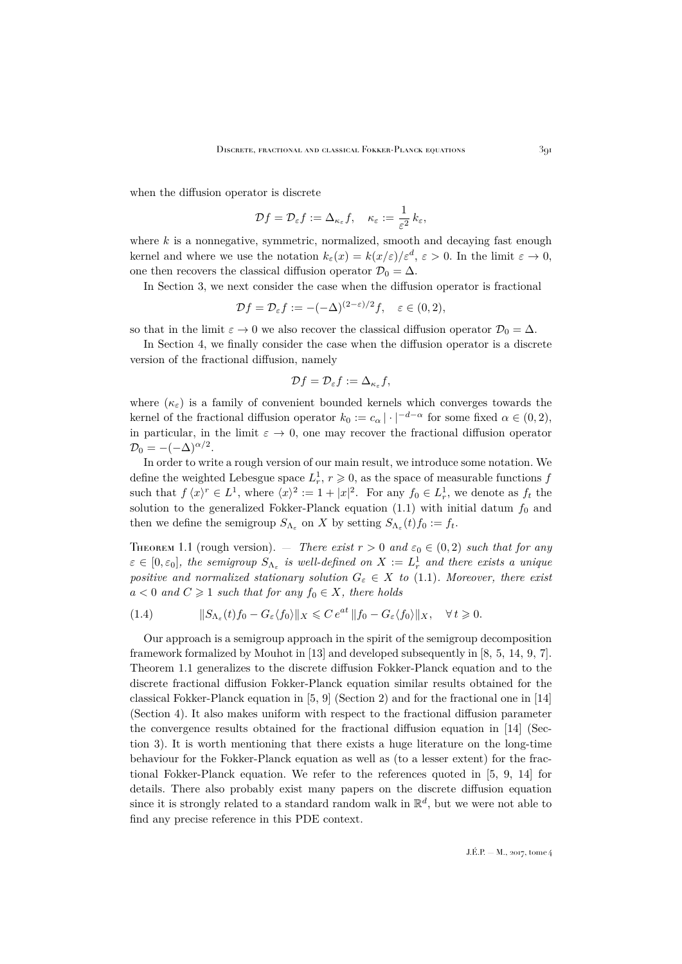when the diffusion operator is discrete

$$
\mathcal{D}f=\mathcal{D}_{\varepsilon}f:=\Delta_{\kappa_{\varepsilon}}f,\quad \kappa_{\varepsilon}:=\frac{1}{\varepsilon^2}\,k_{\varepsilon},
$$

where  $k$  is a nonnegative, symmetric, normalized, smooth and decaying fast enough kernel and where we use the notation  $k_{\varepsilon}(x) = k(x/\varepsilon)/\varepsilon^d$ ,  $\varepsilon > 0$ . In the limit  $\varepsilon \to 0$ , one then recovers the classical diffusion operator  $\mathcal{D}_0 = \Delta$ .

In Section [3,](#page-22-0) we next consider the case when the diffusion operator is fractional

$$
\mathcal{D}f = \mathcal{D}_{\varepsilon}f := -(-\Delta)^{(2-\varepsilon)/2}f, \quad \varepsilon \in (0,2),
$$

so that in the limit  $\varepsilon \to 0$  we also recover the classical diffusion operator  $\mathcal{D}_0 = \Delta$ .

In Section [4,](#page-25-0) we finally consider the case when the diffusion operator is a discrete version of the fractional diffusion, namely

$$
\mathcal{D}f=\mathcal{D}_{\varepsilon}f:=\Delta_{\kappa_{\varepsilon}}f,
$$

where  $(\kappa_{\varepsilon})$  is a family of convenient bounded kernels which converges towards the kernel of the fractional diffusion operator  $k_0 := c_\alpha | \cdot |^{-d-\alpha}$  for some fixed  $\alpha \in (0,2)$ , in particular, in the limit  $\varepsilon \to 0$ , one may recover the fractional diffusion operator  $\mathcal{D}_0 = -(-\Delta)^{\alpha/2}.$ 

In order to write a rough version of our main result, we introduce some notation. We define the weighted Lebesgue space  $L_r^1$ ,  $r \geqslant 0$ , as the space of measurable functions  $f$ such that  $f(x)^r \in L^1$ , where  $\langle x \rangle^2 := 1 + |x|^2$ . For any  $f_0 \in L^1_r$ , we denote as  $f_t$  the solution to the generalized Fokker-Planck equation  $(1.1)$  with initial datum  $f_0$  and then we define the semigroup  $S_{\Lambda_{\varepsilon}}$  on X by setting  $S_{\Lambda_{\varepsilon}}(t) f_0 := f_t$ .

<span id="page-3-0"></span>THEOREM 1.1 (rough version). — *There exist*  $r > 0$  and  $\varepsilon_0 \in (0, 2)$  *such that for any*  $\varepsilon \in [0, \varepsilon_0],$  the semigroup  $S_{\Lambda_{\varepsilon}}$  is well-defined on  $X := L_r^1$  and there exists a unique *positive and normalized stationary solution*  $G_{\varepsilon} \in X$  *to* [\(1.1\)](#page-2-2)*. Moreover, there exist*  $a < 0$  and  $C \geq 1$  such that for any  $f_0 \in X$ , there holds

(1.4) 
$$
\|S_{\Lambda_{\varepsilon}}(t)f_0-G_{\varepsilon}\langle f_0\rangle\|_X\leqslant Ce^{at}\|f_0-G_{\varepsilon}\langle f_0\rangle\|_X, \quad \forall t\geqslant 0.
$$

Our approach is a semigroup approach in the spirit of the semigroup decomposition framework formalized by Mouhot in [\[13\]](#page-45-0) and developed subsequently in [\[8,](#page-44-1) [5,](#page-44-2) [14,](#page-45-1) [9,](#page-44-3) [7\]](#page-44-4). Theorem [1.1](#page-3-0) generalizes to the discrete diffusion Fokker-Planck equation and to the discrete fractional diffusion Fokker-Planck equation similar results obtained for the classical Fokker-Planck equation in [\[5,](#page-44-2) [9\]](#page-44-3) (Section [2\)](#page-7-0) and for the fractional one in [\[14\]](#page-45-1) (Section [4\)](#page-25-0). It also makes uniform with respect to the fractional diffusion parameter the convergence results obtained for the fractional diffusion equation in [\[14\]](#page-45-1) (Section [3\)](#page-22-0). It is worth mentioning that there exists a huge literature on the long-time behaviour for the Fokker-Planck equation as well as (to a lesser extent) for the fractional Fokker-Planck equation. We refer to the references quoted in [\[5,](#page-44-2) [9,](#page-44-3) [14\]](#page-45-1) for details. There also probably exist many papers on the discrete diffusion equation since it is strongly related to a standard random walk in  $\mathbb{R}^d$ , but we were not able to find any precise reference in this PDE context.

 $J.E.P. = M$ , 2017, tome 4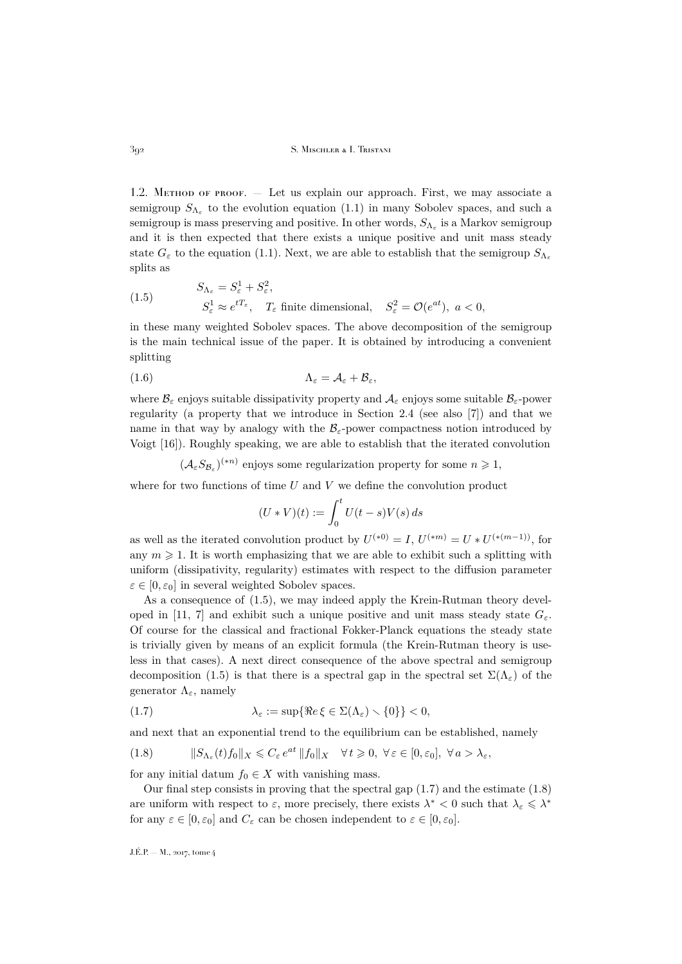1.2. Method of proof. — Let us explain our approach. First, we may associate a semigroup  $S_{\Lambda_{\varepsilon}}$  to the evolution equation [\(1.1\)](#page-2-2) in many Sobolev spaces, and such a semigroup is mass preserving and positive. In other words,  $S_{\Lambda_{\varepsilon}}$  is a Markov semigroup and it is then expected that there exists a unique positive and unit mass steady state  $G_{\varepsilon}$  to the equation [\(1.1\)](#page-2-2). Next, we are able to establish that the semigroup  $S_{\Lambda_{\varepsilon}}$ splits as

<span id="page-4-0"></span>(1.5) 
$$
S_{\Lambda_{\varepsilon}} = S_{\varepsilon}^{1} + S_{\varepsilon}^{2},
$$

$$
S_{\varepsilon}^{1} \approx e^{tT_{\varepsilon}}, \quad T_{\varepsilon} \text{ finite dimensional}, \quad S_{\varepsilon}^{2} = \mathcal{O}(e^{at}), \ a < 0,
$$

in these many weighted Sobolev spaces. The above decomposition of the semigroup is the main technical issue of the paper. It is obtained by introducing a convenient splitting

(1.6) Λ<sup>ε</sup> = A<sup>ε</sup> + Bε,

where  $\mathcal{B}_{\varepsilon}$  enjoys suitable dissipativity property and  $\mathcal{A}_{\varepsilon}$  enjoys some suitable  $\mathcal{B}_{\varepsilon}$ -power regularity (a property that we introduce in Section [2.4](#page-12-0) (see also [\[7\]](#page-44-4)) and that we name in that way by analogy with the  $\mathcal{B}_{\varepsilon}$ -power compactness notion introduced by Voigt [\[16\]](#page-45-2)). Roughly speaking, we are able to establish that the iterated convolution

 $(\mathcal{A}_{\varepsilon} S_{\mathcal{B}_{\varepsilon}})^{(*n)}$  enjoys some regularization property for some  $n \geq 1$ ,

where for two functions of time  $U$  and  $V$  we define the convolution product

<span id="page-4-3"></span>
$$
(U*V)(t) := \int_0^t U(t-s)V(s) ds
$$

as well as the iterated convolution product by  $U^{(*0)} = I$ ,  $U^{(*m)} = U * U^{(*(m-1))}$ , for any  $m \geq 1$ . It is worth emphasizing that we are able to exhibit such a splitting with uniform (dissipativity, regularity) estimates with respect to the diffusion parameter  $\varepsilon \in [0, \varepsilon_0]$  in several weighted Sobolev spaces.

As a consequence of [\(1.5\)](#page-4-0), we may indeed apply the Krein-Rutman theory devel-oped in [\[11,](#page-45-3) [7\]](#page-44-4) and exhibit such a unique positive and unit mass steady state  $G_{\varepsilon}$ . Of course for the classical and fractional Fokker-Planck equations the steady state is trivially given by means of an explicit formula (the Krein-Rutman theory is useless in that cases). A next direct consequence of the above spectral and semigroup decomposition [\(1.5\)](#page-4-0) is that there is a spectral gap in the spectral set  $\Sigma(\Lambda_{\varepsilon})$  of the generator  $\Lambda_{\varepsilon}$ , namely

<span id="page-4-1"></span>(1.7) 
$$
\lambda_{\varepsilon} := \sup \{ \Re e \, \xi \in \Sigma(\Lambda_{\varepsilon}) \setminus \{0\} \} < 0,
$$

and next that an exponential trend to the equilibrium can be established, namely

<span id="page-4-2"></span>(1.8) 
$$
\|S_{\Lambda_{\varepsilon}}(t)f_0\|_X \leqslant C_{\varepsilon} e^{at} \|f_0\|_X \quad \forall t \geqslant 0, \ \forall \varepsilon \in [0,\varepsilon_0], \ \forall a > \lambda_{\varepsilon},
$$

for any initial datum  $f_0 \in X$  with vanishing mass.

Our final step consists in proving that the spectral gap [\(1.7\)](#page-4-1) and the estimate [\(1.8\)](#page-4-2) are uniform with respect to  $\varepsilon$ , more precisely, there exists  $\lambda^* < 0$  such that  $\lambda_{\varepsilon} \leq \lambda^*$ for any  $\varepsilon \in [0, \varepsilon_0]$  and  $C_{\varepsilon}$  can be chosen independent to  $\varepsilon \in [0, \varepsilon_0]$ .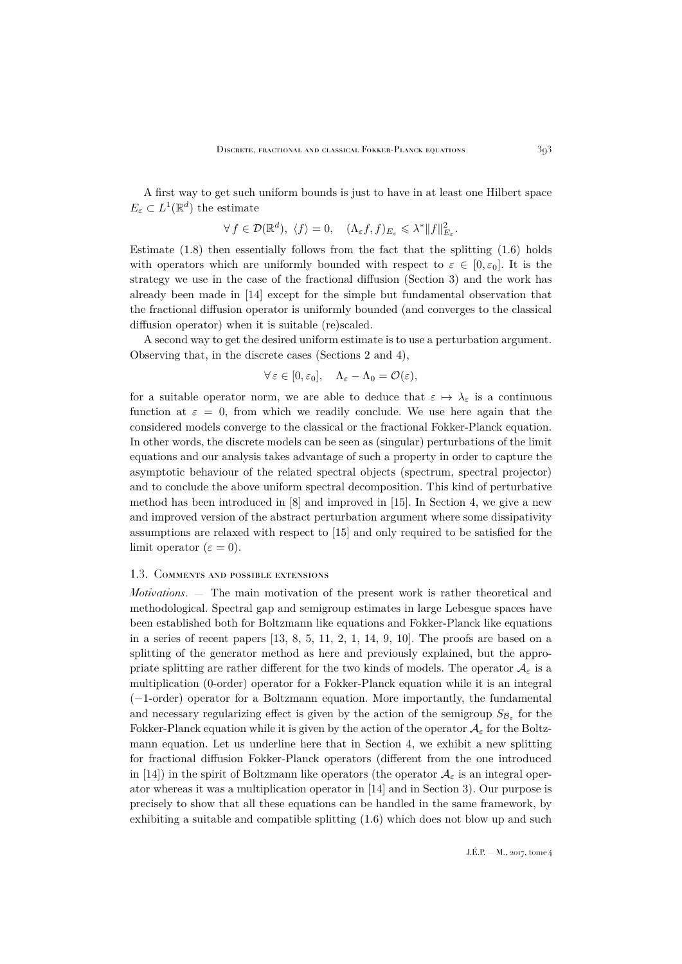A first way to get such uniform bounds is just to have in at least one Hilbert space  $E_{\varepsilon} \subset L^1(\mathbb{R}^d)$  the estimate

$$
\forall f \in \mathcal{D}(\mathbb{R}^d), \ \langle f \rangle = 0, \quad (\Lambda_{\varepsilon} f, f)_{E_{\varepsilon}} \leqslant \lambda^* \|f\|_{E_{\varepsilon}}^2.
$$

Estimate  $(1.8)$  then essentially follows from the fact that the splitting  $(1.6)$  holds with operators which are uniformly bounded with respect to  $\varepsilon \in [0, \varepsilon_0]$ . It is the strategy we use in the case of the fractional diffusion (Section [3\)](#page-22-0) and the work has already been made in [\[14\]](#page-45-1) except for the simple but fundamental observation that the fractional diffusion operator is uniformly bounded (and converges to the classical diffusion operator) when it is suitable (re)scaled.

A second way to get the desired uniform estimate is to use a perturbation argument. Observing that, in the discrete cases (Sections [2](#page-7-0) and [4\)](#page-25-0),

$$
\forall \varepsilon \in [0, \varepsilon_0], \quad \Lambda_{\varepsilon} - \Lambda_0 = \mathcal{O}(\varepsilon),
$$

for a suitable operator norm, we are able to deduce that  $\varepsilon \mapsto \lambda_{\varepsilon}$  is a continuous function at  $\varepsilon = 0$ , from which we readily conclude. We use here again that the considered models converge to the classical or the fractional Fokker-Planck equation. In other words, the discrete models can be seen as (singular) perturbations of the limit equations and our analysis takes advantage of such a property in order to capture the asymptotic behaviour of the related spectral objects (spectrum, spectral projector) and to conclude the above uniform spectral decomposition. This kind of perturbative method has been introduced in [\[8\]](#page-44-1) and improved in [\[15\]](#page-45-4). In Section [4,](#page-25-0) we give a new and improved version of the abstract perturbation argument where some dissipativity assumptions are relaxed with respect to [\[15\]](#page-45-4) and only required to be satisfied for the limit operator ( $\varepsilon = 0$ ).

#### 1.3. Comments and possible extensions

*Motivations*. — The main motivation of the present work is rather theoretical and methodological. Spectral gap and semigroup estimates in large Lebesgue spaces have been established both for Boltzmann like equations and Fokker-Planck like equations in a series of recent papers [\[13,](#page-45-0) [8,](#page-44-1) [5,](#page-44-2) [11,](#page-45-3) [2,](#page-44-5) [1,](#page-44-6) [14,](#page-45-1) [9,](#page-44-3) [10\]](#page-45-5). The proofs are based on a splitting of the generator method as here and previously explained, but the appropriate splitting are rather different for the two kinds of models. The operator  $\mathcal{A}_{\varepsilon}$  is a multiplication (0-order) operator for a Fokker-Planck equation while it is an integral (−1-order) operator for a Boltzmann equation. More importantly, the fundamental and necessary regularizing effect is given by the action of the semigroup  $S_{\mathcal{B}_{\varepsilon}}$  for the Fokker-Planck equation while it is given by the action of the operator  $\mathcal{A}_{\varepsilon}$  for the Boltzmann equation. Let us underline here that in Section [4,](#page-25-0) we exhibit a new splitting for fractional diffusion Fokker-Planck operators (different from the one introduced in [\[14\]](#page-45-1)) in the spirit of Boltzmann like operators (the operator  $\mathcal{A}_{\varepsilon}$  is an integral operator whereas it was a multiplication operator in [\[14\]](#page-45-1) and in Section [3\)](#page-22-0). Our purpose is precisely to show that all these equations can be handled in the same framework, by exhibiting a suitable and compatible splitting [\(1.6\)](#page-4-3) which does not blow up and such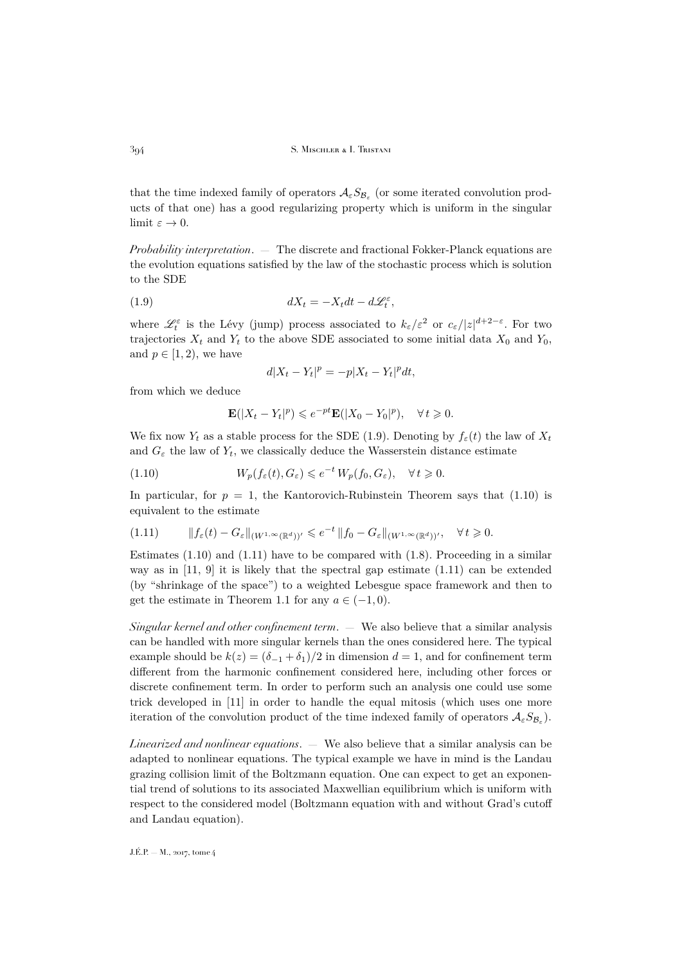that the time indexed family of operators  $\mathcal{A}_{\varepsilon}S_{\mathcal{B}_{\varepsilon}}$  (or some iterated convolution products of that one) has a good regularizing property which is uniform in the singular limit  $\varepsilon \to 0$ .

*Probability interpretation*. — The discrete and fractional Fokker-Planck equations are the evolution equations satisfied by the law of the stochastic process which is solution to the SDE

(1.9) 
$$
dX_t = -X_t dt - d\mathcal{L}_t^{\varepsilon},
$$

where  $\mathscr{L}_t^{\varepsilon}$  is the Lévy (jump) process associated to  $k_{\varepsilon}/\varepsilon^2$  or  $c_{\varepsilon}/|z|^{d+2-\varepsilon}$ . For two trajectories  $X_t$  and  $Y_t$  to the above SDE associated to some initial data  $X_0$  and  $Y_0$ , and  $p \in [1, 2)$ , we have

<span id="page-6-0"></span>
$$
d|X_t - Y_t|^p = -p|X_t - Y_t|^p dt,
$$

from which we deduce

<span id="page-6-1"></span>
$$
\mathbf{E}(|X_t - Y_t|^p) \leqslant e^{-pt} \mathbf{E}(|X_0 - Y_0|^p), \quad \forall t \geqslant 0.
$$

We fix now  $Y_t$  as a stable process for the SDE [\(1.9\)](#page-6-0). Denoting by  $f_{\varepsilon}(t)$  the law of  $X_t$ and  $G_{\varepsilon}$  the law of  $Y_t$ , we classically deduce the Wasserstein distance estimate

(1.10) 
$$
W_p(f_{\varepsilon}(t), G_{\varepsilon}) \leqslant e^{-t} W_p(f_0, G_{\varepsilon}), \quad \forall t \geqslant 0.
$$

In particular, for  $p = 1$ , the Kantorovich-Rubinstein Theorem says that [\(1.10\)](#page-6-1) is equivalent to the estimate

<span id="page-6-2"></span>
$$
(1.11) \t\t\t\t||f_{\varepsilon}(t) - G_{\varepsilon}||_{(W^{1,\infty}(\mathbb{R}^d))'} \leq e^{-t} ||f_0 - G_{\varepsilon}||_{(W^{1,\infty}(\mathbb{R}^d))'}, \quad \forall t \geq 0.
$$

Estimates  $(1.10)$  and  $(1.11)$  have to be compared with  $(1.8)$ . Proceeding in a similar way as in [\[11,](#page-45-3) [9\]](#page-44-3) it is likely that the spectral gap estimate [\(1.11\)](#page-6-2) can be extended (by "shrinkage of the space") to a weighted Lebesgue space framework and then to get the estimate in Theorem [1.1](#page-3-0) for any  $a \in (-1,0)$ .

*Singular kernel and other confinement term*. — We also believe that a similar analysis can be handled with more singular kernels than the ones considered here. The typical example should be  $k(z) = (\delta_{-1} + \delta_1)/2$  in dimension  $d = 1$ , and for confinement term different from the harmonic confinement considered here, including other forces or discrete confinement term. In order to perform such an analysis one could use some trick developed in [\[11\]](#page-45-3) in order to handle the equal mitosis (which uses one more iteration of the convolution product of the time indexed family of operators  $\mathcal{A}_{\varepsilon}S_{\mathcal{B}_{\varepsilon}}$ .

*Linearized and nonlinear equations*. — We also believe that a similar analysis can be adapted to nonlinear equations. The typical example we have in mind is the Landau grazing collision limit of the Boltzmann equation. One can expect to get an exponential trend of solutions to its associated Maxwellian equilibrium which is uniform with respect to the considered model (Boltzmann equation with and without Grad's cutoff and Landau equation).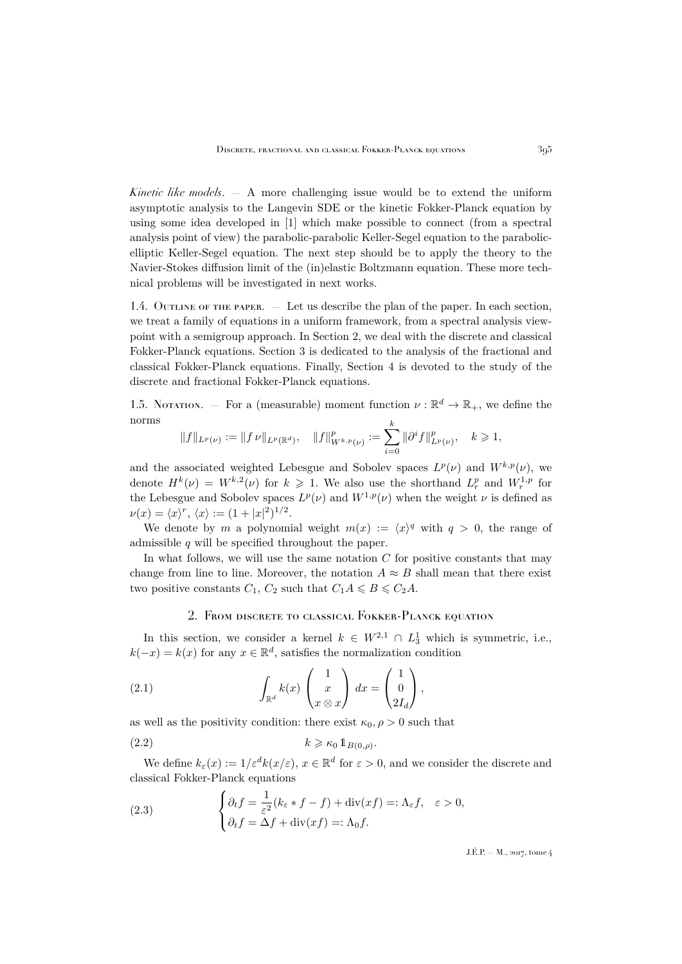*Kinetic like models*. — A more challenging issue would be to extend the uniform asymptotic analysis to the Langevin SDE or the kinetic Fokker-Planck equation by using some idea developed in [\[1\]](#page-44-6) which make possible to connect (from a spectral analysis point of view) the parabolic-parabolic Keller-Segel equation to the parabolicelliptic Keller-Segel equation. The next step should be to apply the theory to the Navier-Stokes diffusion limit of the (in)elastic Boltzmann equation. These more technical problems will be investigated in next works.

1.4. Outline of the paper. — Let us describe the plan of the paper. In each section, we treat a family of equations in a uniform framework, from a spectral analysis viewpoint with a semigroup approach. In Section [2,](#page-7-0) we deal with the discrete and classical Fokker-Planck equations. Section [3](#page-22-0) is dedicated to the analysis of the fractional and classical Fokker-Planck equations. Finally, Section [4](#page-25-0) is devoted to the study of the discrete and fractional Fokker-Planck equations.

1.5. Notation. – For a (measurable) moment function  $\nu : \mathbb{R}^d \to \mathbb{R}_+$ , we define the norms k

$$
||f||_{L^p(\nu)} := ||f \nu||_{L^p(\mathbb{R}^d)}, \quad ||f||_{W^{k,p}(\nu)}^p := \sum_{i=0}^n ||\partial^i f||_{L^p(\nu)}^p, \quad k \geq 1,
$$

and the associated weighted Lebesgue and Sobolev spaces  $L^p(\nu)$  and  $W^{k,p}(\nu)$ , we denote  $H^k(\nu) = W^{k,2}(\nu)$  for  $k \geq 1$ . We also use the shorthand  $L_r^p$  and  $W_r^{1,p}$  for the Lebesgue and Sobolev spaces  $L^p(\nu)$  and  $W^{1,p}(\nu)$  when the weight  $\nu$  is defined as  $\nu(x) = \langle x \rangle^r, \, \langle x \rangle := (1 + |x|^2)^{1/2}.$ 

We denote by m a polynomial weight  $m(x) := \langle x \rangle^q$  with  $q > 0$ , the range of admissible  $q$  will be specified throughout the paper.

In what follows, we will use the same notation  $C$  for positive constants that may change from line to line. Moreover, the notation  $A \approx B$  shall mean that there exist two positive constants  $C_1$ ,  $C_2$  such that  $C_1A \leq B \leq C_2A$ .

## <span id="page-7-2"></span><span id="page-7-1"></span>2. From discrete to classical Fokker-Planck equation

<span id="page-7-0"></span>In this section, we consider a kernel  $k \in W^{2,1} \cap L_3^1$  which is symmetric, i.e.,  $k(-x) = k(x)$  for any  $x \in \mathbb{R}^d$ , satisfies the normalization condition

(2.1) 
$$
\int_{\mathbb{R}^d} k(x) \begin{pmatrix} 1 \\ x \\ x \otimes x \end{pmatrix} dx = \begin{pmatrix} 1 \\ 0 \\ 2I_d \end{pmatrix},
$$

as well as the positivity condition: there exist  $\kappa_0$ ,  $\rho > 0$  such that

$$
(2.2) \t\t k \geqslant \kappa_0 1\!\!1_{B(0,\rho)}.
$$

We define  $k_{\varepsilon}(x) := 1/\varepsilon^d k(x/\varepsilon), x \in \mathbb{R}^d$  for  $\varepsilon > 0$ , and we consider the discrete and classical Fokker-Planck equations

<span id="page-7-3"></span>(2.3) 
$$
\begin{cases} \partial_t f = \frac{1}{\varepsilon^2} (k_\varepsilon * f - f) + \text{div}(xf) =: \Lambda_\varepsilon f, & \varepsilon > 0, \\ \partial_t f = \Delta f + \text{div}(xf) =: \Lambda_0 f. \end{cases}
$$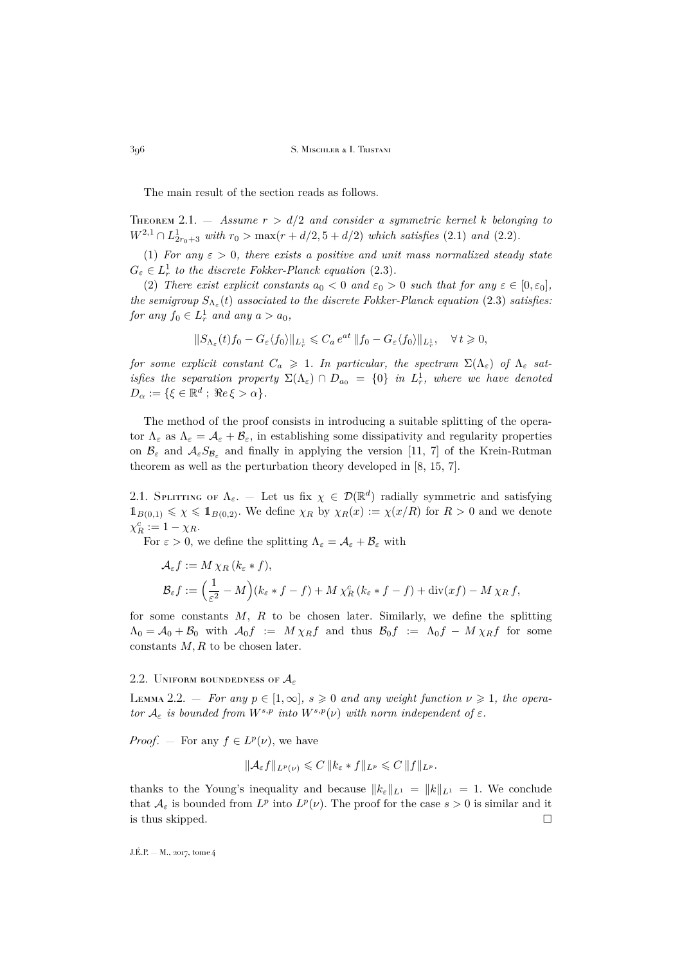The main result of the section reads as follows.

<span id="page-8-0"></span>Theorem 2.1. — *Assume* r > d/2 *and consider a symmetric kernel* k *belonging to*  $W^{2,1} \cap L_{2r_0+3}^1$  *with*  $r_0 > \max(r + d/2, 5 + d/2)$  *which satisfies* [\(2.1\)](#page-7-1) *and* [\(2.2\)](#page-7-2)*.* 

<span id="page-8-1"></span>(1) *For any*  $\varepsilon > 0$ *, there exists a positive and unit mass normalized steady state*  $G_{\varepsilon} \in L_r^1$  to the discrete Fokker-Planck equation [\(2.3\)](#page-7-3).

<span id="page-8-3"></span>(2) *There exist explicit constants*  $a_0 < 0$  *and*  $\varepsilon_0 > 0$  *such that for any*  $\varepsilon \in [0, \varepsilon_0]$ *, the semigroup*  $S_{\Lambda_{\varepsilon}}(t)$  *associated to the discrete Fokker-Planck equation* [\(2.3\)](#page-7-3) *satisfies: for any*  $f_0 \in L^1_r$  *and any*  $a > a_0$ *,* 

$$
\|S_{\Lambda_{\varepsilon}}(t)f_0-G_{\varepsilon}\langle f_0\rangle\|_{L^1_{r}}\leqslant C_a\,e^{at}\,\|f_0-G_{\varepsilon}\langle f_0\rangle\|_{L^1_{r}},\quad\forall\,t\geqslant 0,
$$

*for some explicit constant*  $C_a \geq 1$ *. In particular, the spectrum*  $\Sigma(\Lambda_{\varepsilon})$  *of*  $\Lambda_{\varepsilon}$  *satisfies the separation property*  $\Sigma(\Lambda_{\varepsilon}) \cap D_{a_0} = \{0\}$  *in*  $L_r^1$ *, where we have denoted*  $D_{\alpha} := \{ \xi \in \mathbb{R}^d \; ; \; \Re e \, \xi > \alpha \}.$ 

The method of the proof consists in introducing a suitable splitting of the operator  $\Lambda_{\varepsilon}$  as  $\Lambda_{\varepsilon} = \mathcal{A}_{\varepsilon} + \mathcal{B}_{\varepsilon}$ , in establishing some dissipativity and regularity properties on  $\mathcal{B}_{\varepsilon}$  and  $\mathcal{A}_{\varepsilon}S_{\mathcal{B}_{\varepsilon}}$  and finally in applying the version [\[11,](#page-45-3) [7\]](#page-44-4) of the Krein-Rutman theorem as well as the perturbation theory developed in [\[8,](#page-44-1) [15,](#page-45-4) [7\]](#page-44-4).

2.1. SPLITTING OF  $\Lambda_{\varepsilon}$ . — Let us fix  $\chi \in \mathcal{D}(\mathbb{R}^d)$  radially symmetric and satisfying  $1_{B(0,1)} \leq \chi \leq 1_{B(0,2)}$ . We define  $\chi_R$  by  $\chi_R(x) := \chi(x/R)$  for  $R > 0$  and we denote  $\chi_R^c := 1 - \chi_R.$ 

For  $\varepsilon > 0$ , we define the splitting  $\Lambda_{\varepsilon} = \mathcal{A}_{\varepsilon} + \mathcal{B}_{\varepsilon}$  with

$$
\mathcal{A}_{\varepsilon}f := M \chi_R (k_{\varepsilon} * f),
$$
  
\n
$$
\mathcal{B}_{\varepsilon}f := \left(\frac{1}{\varepsilon^2} - M\right)(k_{\varepsilon} * f - f) + M \chi_R^c (k_{\varepsilon} * f - f) + \text{div}(xf) - M \chi_R f,
$$

for some constants  $M$ ,  $R$  to be chosen later. Similarly, we define the splitting  $\Lambda_0 = \mathcal{A}_0 + \mathcal{B}_0$  with  $\mathcal{A}_0 f := M \chi_R f$  and thus  $\mathcal{B}_0 f := \Lambda_0 f - M \chi_R f$  for some constants  $M, R$  to be chosen later.

### 2.2. UNIFORM BOUNDEDNESS OF  $A_{\varepsilon}$

<span id="page-8-2"></span>LEMMA 2.2. – *For any*  $p \in [1, \infty]$ ,  $s \geq 0$  *and any weight function*  $\nu \geq 1$ , the opera*tor*  $A_{\varepsilon}$  *is bounded from*  $W^{s,p}$  *into*  $W^{s,p}(\nu)$  *with norm independent of*  $\varepsilon$ *.* 

*Proof.* – For any  $f \in L^p(\nu)$ , we have

$$
\|\mathcal{A}_{\varepsilon}f\|_{L^p(\nu)} \leqslant C\, \|k_{\varepsilon} \cdot f\|_{L^p} \leqslant C\, \|f\|_{L^p}.
$$

thanks to the Young's inequality and because  $||k_{\varepsilon}||_{L^1} = ||k||_{L^1} = 1$ . We conclude that  $\mathcal{A}_{\varepsilon}$  is bounded from  $L^p$  into  $L^p(\nu)$ . The proof for the case  $s > 0$  is similar and it is thus skipped.  $\square$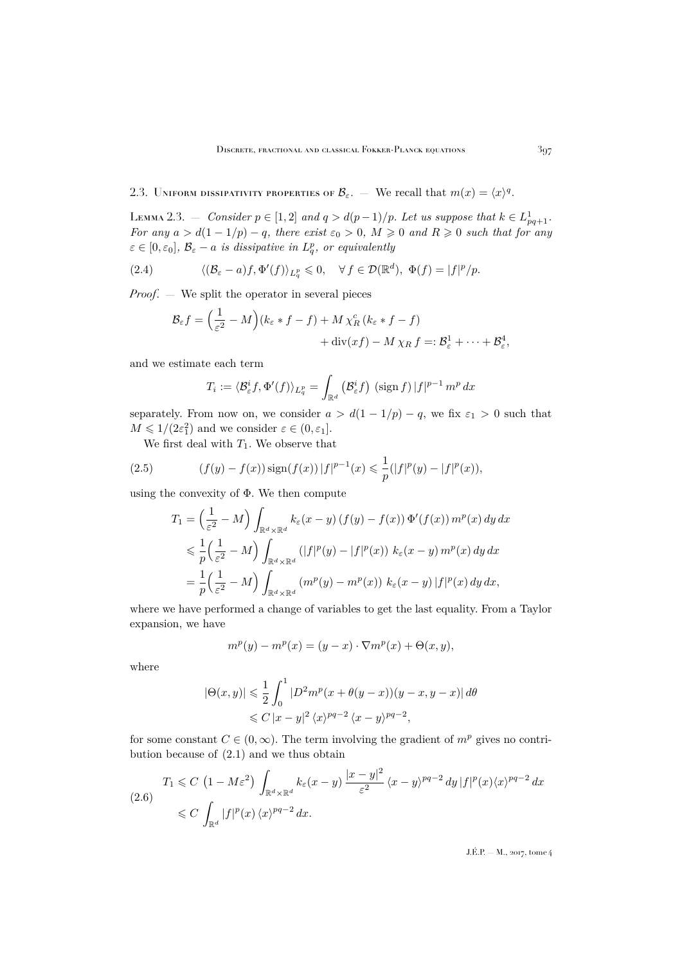## 2.3. UNIFORM DISSIPATIVITY PROPERTIES OF  $\mathcal{B}_{\varepsilon}$ .  $-$  We recall that  $m(x) = \langle x \rangle^{q}$ .

<span id="page-9-3"></span>LEMMA 2.3. – *Consider*  $p \in [1,2]$  and  $q > d(p-1)/p$ . Let us suppose that  $k \in L^1_{pq+1}$ . *For any*  $a > d(1 - 1/p) - q$ *, there exist*  $\varepsilon_0 > 0$ *,*  $M \geq 0$  *and*  $R \geq 0$  *such that for any*  $\varepsilon \in [0, \varepsilon_0], \ \mathcal{B}_{\varepsilon} - a \ \text{ is dissipative in } L_q^p, \text{ or equivalently}$ 

(2.4) 
$$
\langle (\mathcal{B}_{\varepsilon} - a)f, \Phi'(f) \rangle_{L_q^p} \leq 0, \quad \forall f \in \mathcal{D}(\mathbb{R}^d), \ \Phi(f) = |f|^p/p.
$$

*Proof.* — We split the operator in several pieces

<span id="page-9-2"></span>
$$
\mathcal{B}_{\varepsilon}f = \left(\frac{1}{\varepsilon^2} - M\right)(k_{\varepsilon} * f - f) + M \chi_R^c (k_{\varepsilon} * f - f) \n+ \mathrm{div}(xf) - M \chi_R f =: \mathcal{B}_{\varepsilon}^1 + \dots + \mathcal{B}_{\varepsilon}^4,
$$

and we estimate each term

$$
T_i := \langle \mathcal{B}_{\varepsilon}^i f, \Phi'(f) \rangle_{L_q^p} = \int_{\mathbb{R}^d} \left( \mathcal{B}_{\varepsilon}^i f \right) (\text{sign } f) |f|^{p-1} m^p dx
$$

separately. From now on, we consider  $a > d(1 - 1/p) - q$ , we fix  $\varepsilon_1 > 0$  such that  $M \leq 1/(2\varepsilon_1^2)$  and we consider  $\varepsilon \in (0, \varepsilon_1]$ .

We first deal with  $T_1$ . We observe that

(2.5) 
$$
(f(y) - f(x))\operatorname{sign}(f(x))|f|^{p-1}(x) \leq \frac{1}{p}(|f|^p(y) - |f|^p(x)),
$$

using the convexity of Φ. We then compute

<span id="page-9-0"></span>
$$
T_1 = \left(\frac{1}{\varepsilon^2} - M\right) \int_{\mathbb{R}^d \times \mathbb{R}^d} k_{\varepsilon}(x - y) \left(f(y) - f(x)\right) \Phi'(f(x)) \, m^p(x) \, dy \, dx
$$
  
\$\leqslant \frac{1}{p} \left(\frac{1}{\varepsilon^2} - M\right) \int\_{\mathbb{R}^d \times \mathbb{R}^d} \left(|f|^p(y) - |f|^p(x)\right) \, k\_{\varepsilon}(x - y) \, m^p(x) \, dy \, dx\$  
\$= \frac{1}{p} \left(\frac{1}{\varepsilon^2} - M\right) \int\_{\mathbb{R}^d \times \mathbb{R}^d} \left(m^p(y) - m^p(x)\right) \, k\_{\varepsilon}(x - y) \, |f|^p(x) \, dy \, dx\$,

where we have performed a change of variables to get the last equality. From a Taylor expansion, we have

$$
mp(y) - mp(x) = (y - x) \cdot \nabla mp(x) + \Theta(x, y),
$$

where

$$
|\Theta(x,y)| \leq \frac{1}{2} \int_0^1 |D^2 m^p (x + \theta(y-x))(y-x, y-x)| d\theta
$$
  

$$
\leq C |x-y|^2 \langle x \rangle^{pq-2} \langle x-y \rangle^{pq-2},
$$

for some constant  $C \in (0,\infty)$ . The term involving the gradient of  $m^p$  gives no contribution because of [\(2.1\)](#page-7-1) and we thus obtain

<span id="page-9-1"></span>
$$
(2.6) \quad T_1 \leq C \left(1 - M\varepsilon^2\right) \int_{\mathbb{R}^d \times \mathbb{R}^d} k_\varepsilon(x - y) \, \frac{|x - y|^2}{\varepsilon^2} \, \langle x - y \rangle^{pq - 2} \, dy \, |f|^p(x) \langle x \rangle^{pq - 2} \, dx
$$
\n
$$
\leq C \int_{\mathbb{R}^d} |f|^p(x) \, \langle x \rangle^{pq - 2} \, dx.
$$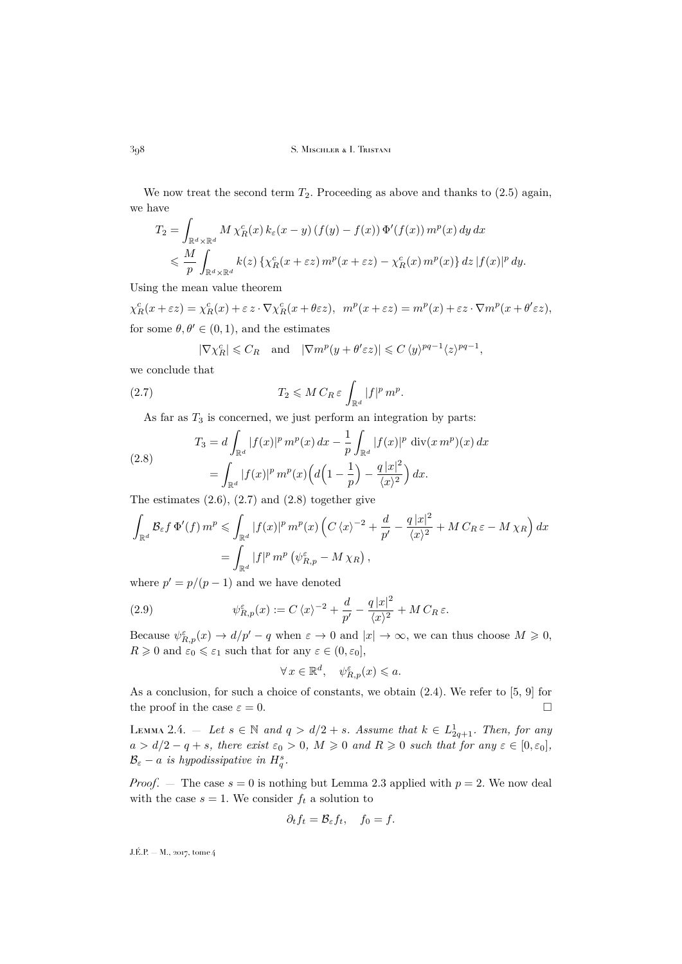We now treat the second term  $T_2$ . Proceeding as above and thanks to  $(2.5)$  again, we have

$$
T_2 = \int_{\mathbb{R}^d \times \mathbb{R}^d} M \chi_R^c(x) k_\varepsilon(x - y) (f(y) - f(x)) \Phi'(f(x)) m^p(x) dy dx
$$
  
\$\leqslant \frac{M}{p} \int\_{\mathbb{R}^d \times \mathbb{R}^d} k(z) \{ \chi\_R^c(x + \varepsilon z) m^p(x + \varepsilon z) - \chi\_R^c(x) m^p(x) \} dz |f(x)|^p dy.\$

Using the mean value theorem

 $\chi_R^c(x+\varepsilon z) = \chi_R^c(x)+\varepsilon z \cdot \nabla \chi_R^c(x+\theta \varepsilon z), \ \ m^p(x+\varepsilon z) = m^p(x)+\varepsilon z \cdot \nabla m^p(x+\theta' \varepsilon z),$ for some  $\theta, \theta' \in (0, 1)$ , and the estimates

<span id="page-10-0"></span>
$$
|\nabla \chi_R^c| \leq C_R
$$
 and  $|\nabla m^p(y + \theta' \varepsilon z)| \leq C \langle y \rangle^{pq-1} \langle z \rangle^{pq-1}$ ,

we conclude that

(2.7) 
$$
T_2 \leqslant M C_R \varepsilon \int_{\mathbb{R}^d} |f|^p m^p.
$$

<span id="page-10-1"></span>As far as  $T_3$  is concerned, we just perform an integration by parts:

(2.8) 
$$
T_3 = d \int_{\mathbb{R}^d} |f(x)|^p m^p(x) dx - \frac{1}{p} \int_{\mathbb{R}^d} |f(x)|^p \operatorname{div}(x m^p)(x) dx
$$

$$
= \int_{\mathbb{R}^d} |f(x)|^p m^p(x) \Big( d\Big(1 - \frac{1}{p}\Big) - \frac{q |x|^2}{\langle x \rangle^2} \Big) dx.
$$

The estimates  $(2.6)$ ,  $(2.7)$  and  $(2.8)$  together give

$$
\int_{\mathbb{R}^d} \mathcal{B}_{\varepsilon} f \Phi'(f) m^p \leq \int_{\mathbb{R}^d} |f(x)|^p m^p(x) \left( C \langle x \rangle^{-2} + \frac{d}{p'} - \frac{q |x|^2}{\langle x \rangle^2} + M C_R \varepsilon - M \chi_R \right) dx
$$
  
= 
$$
\int_{\mathbb{R}^d} |f|^p m^p (\psi_{R,p}^{\varepsilon} - M \chi_R),
$$

where  $p' = p/(p-1)$  and we have denoted

(2.9) 
$$
\psi_{R,p}^{\varepsilon}(x) := C \langle x \rangle^{-2} + \frac{d}{p'} - \frac{q |x|^2}{\langle x \rangle^2} + M C_R \varepsilon.
$$

Because  $\psi_{R,p}^{\varepsilon}(x) \to d/p'-q$  when  $\varepsilon \to 0$  and  $|x| \to \infty$ , we can thus choose  $M \geq 0$ ,  $R \geq 0$  and  $\varepsilon_0 \leq \varepsilon_1$  such that for any  $\varepsilon \in (0, \varepsilon_0],$ 

$$
\forall x \in \mathbb{R}^d, \quad \psi_{R,p}^{\varepsilon}(x) \leqslant a.
$$

As a conclusion, for such a choice of constants, we obtain [\(2.4\)](#page-9-2). We refer to [\[5,](#page-44-2) [9\]](#page-44-3) for the proof in the case  $\varepsilon = 0$ .

<span id="page-10-2"></span>LEMMA 2.4. – Let  $s \in \mathbb{N}$  and  $q > d/2 + s$ . Assume that  $k \in L^1_{2q+1}$ . Then, for any  $a > d/2 - q + s$ , there exist  $\varepsilon_0 > 0$ ,  $M \geq 0$  and  $R \geq 0$  such that for any  $\varepsilon \in [0, \varepsilon_0]$ ,  $\mathcal{B}_{\varepsilon} - a$  *is hypodissipative in*  $H_q^s$ .

*Proof.* – The case  $s = 0$  is nothing but Lemma [2.3](#page-9-3) applied with  $p = 2$ . We now deal with the case  $s = 1$ . We consider  $f_t$  a solution to

$$
\partial_t f_t = \mathcal{B}_{\varepsilon} f_t, \quad f_0 = f.
$$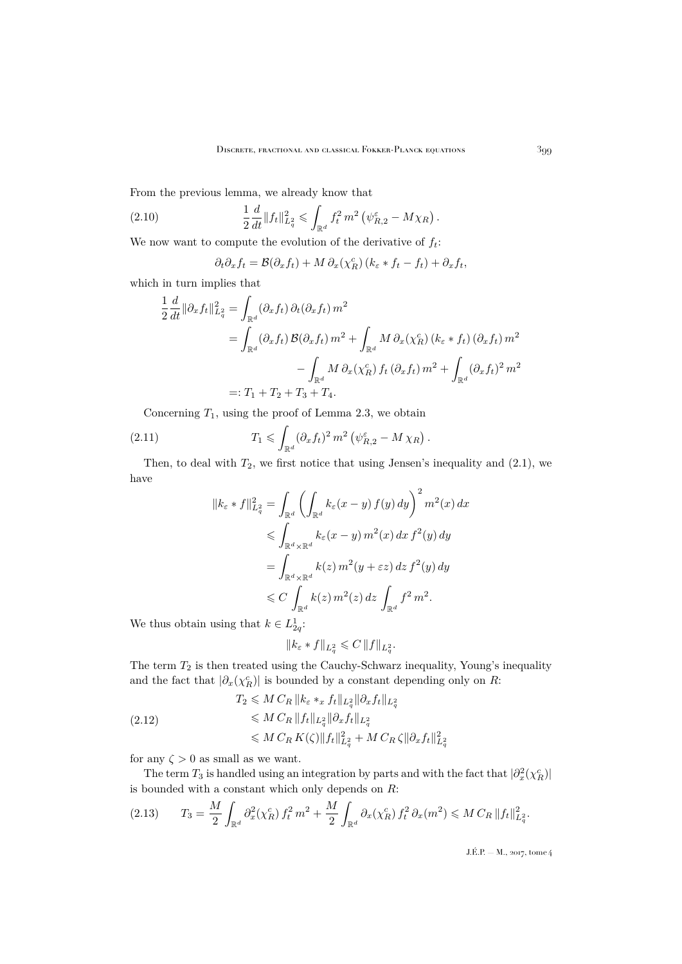From the previous lemma, we already know that

(2.10) 
$$
\frac{1}{2}\frac{d}{dt}\|f_t\|_{L_q^2}^2 \leq \int_{\mathbb{R}^d} f_t^2 m^2 \left(\psi_{R,2}^{\varepsilon} - M\chi_R\right).
$$

We now want to compute the evolution of the derivative of  $f_t$ :

<span id="page-11-3"></span>
$$
\partial_t \partial_x f_t = \mathcal{B}(\partial_x f_t) + M \partial_x (\chi_R^c) \left( k_\varepsilon * f_t - f_t \right) + \partial_x f_t,
$$

which in turn implies that

$$
\frac{1}{2} \frac{d}{dt} ||\partial_x f_t||_{L_q^2}^2 = \int_{\mathbb{R}^d} (\partial_x f_t) \, \partial_t (\partial_x f_t) \, m^2
$$
\n
$$
= \int_{\mathbb{R}^d} (\partial_x f_t) \, \mathcal{B}(\partial_x f_t) \, m^2 + \int_{\mathbb{R}^d} M \, \partial_x (\chi_R^c) \left( k_\varepsilon * f_t \right) \left( \partial_x f_t \right) m^2
$$
\n
$$
- \int_{\mathbb{R}^d} M \, \partial_x (\chi_R^c) \, f_t \left( \partial_x f_t \right) m^2 + \int_{\mathbb{R}^d} (\partial_x f_t)^2 \, m^2
$$
\n
$$
=: T_1 + T_2 + T_3 + T_4.
$$

Concerning  $T_1$ , using the proof of Lemma [2.3,](#page-9-3) we obtain

(2.11) 
$$
T_1 \leqslant \int_{\mathbb{R}^d} (\partial_x f_t)^2 m^2 \left( \psi_{R,2}^{\varepsilon} - M \chi_R \right).
$$

Then, to deal with  $T_2$ , we first notice that using Jensen's inequality and  $(2.1)$ , we have

<span id="page-11-0"></span>
$$
||k_{\varepsilon} * f||_{L_q^2}^2 = \int_{\mathbb{R}^d} \left( \int_{\mathbb{R}^d} k_{\varepsilon}(x - y) f(y) dy \right)^2 m^2(x) dx
$$
  
\n
$$
\leqslant \int_{\mathbb{R}^d \times \mathbb{R}^d} k_{\varepsilon}(x - y) m^2(x) dx f^2(y) dy
$$
  
\n
$$
= \int_{\mathbb{R}^d \times \mathbb{R}^d} k(z) m^2(y + \varepsilon z) dz f^2(y) dy
$$
  
\n
$$
\leqslant C \int_{\mathbb{R}^d} k(z) m^2(z) dz \int_{\mathbb{R}^d} f^2 m^2.
$$

We thus obtain using that  $k \in L_{2q}^1$ :

<span id="page-11-1"></span>
$$
||k_{\varepsilon} * f||_{L_q^2} \leqslant C ||f||_{L_q^2}.
$$

The term  $T_2$  is then treated using the Cauchy-Schwarz inequality, Young's inequality and the fact that  $|\partial_x(\chi_R^c)|$  is bounded by a constant depending only on R:

$$
(2.12)
$$
\n
$$
T_2 \leqslant M \, C_R \, \|k_\varepsilon *_{x} f_t\|_{L^2_q} \|\partial_x f_t\|_{L^2_q}
$$
\n
$$
\leqslant M \, C_R \, \|f_t\|_{L^2_q} \|\partial_x f_t\|_{L^2_q}
$$
\n
$$
\leqslant M \, C_R \, K(\zeta) \|f_t\|_{L^2_q}^2 + M \, C_R \, \zeta \|\partial_x f_t\|_{L^2_q}^2
$$

for any  $\zeta > 0$  as small as we want.

The term  $T_3$  is handled using an integration by parts and with the fact that  $|\partial_x^2(\chi_R^c)|$ is bounded with a constant which only depends on  $R$ :

<span id="page-11-2"></span>
$$
(2.13) \t T_3 = \frac{M}{2} \int_{\mathbb{R}^d} \partial_x^2(\chi_R^c) f_t^2 m^2 + \frac{M}{2} \int_{\mathbb{R}^d} \partial_x(\chi_R^c) f_t^2 \partial_x(m^2) \leqslant M C_R \|f_t\|_{L_q^2}^2.
$$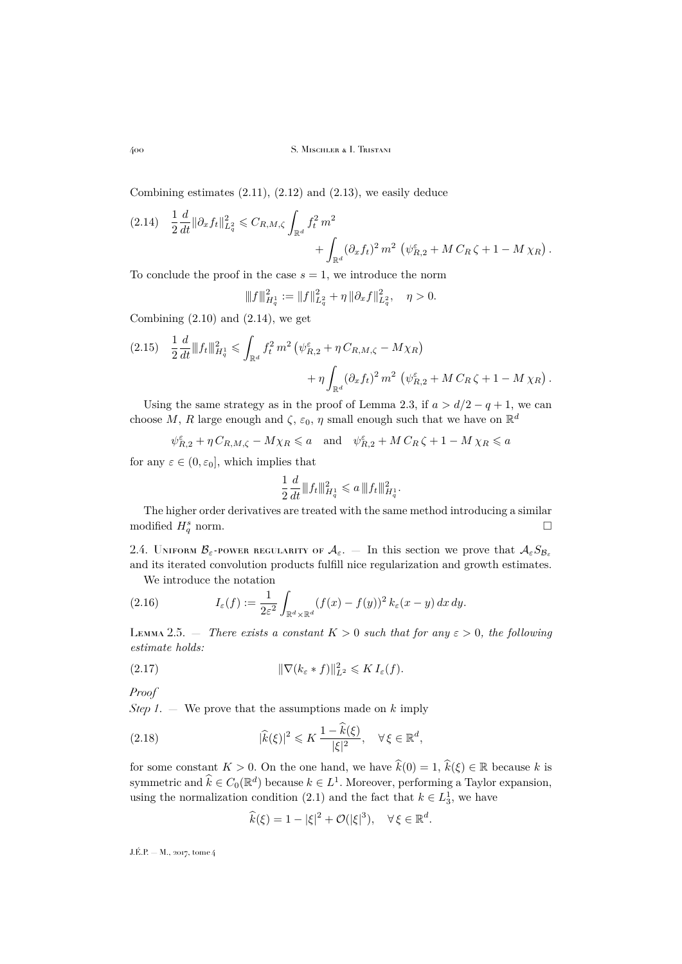Combining estimates  $(2.11)$ ,  $(2.12)$  and  $(2.13)$ , we easily deduce

<span id="page-12-1"></span>
$$
(2.14) \quad \frac{1}{2} \frac{d}{dt} ||\partial_x f_t||_{L_q^2}^2 \leq C_{R,M,\zeta} \int_{\mathbb{R}^d} f_t^2 m^2 + \int_{\mathbb{R}^d} (\partial_x f_t)^2 m^2 \left( \psi_{R,2}^{\varepsilon} + M C_R \zeta + 1 - M \chi_R \right).
$$

To conclude the proof in the case  $s = 1$ , we introduce the norm

$$
||f||_{H_q^1}^2 := ||f||_{L_q^2}^2 + \eta ||\partial_x f||_{L_q^2}^2, \quad \eta > 0.
$$

Combining  $(2.10)$  and  $(2.14)$ , we get

$$
(2.15) \quad \frac{1}{2} \frac{d}{dt} ||f_t||_{H_q^1}^2 \leq \int_{\mathbb{R}^d} f_t^2 m^2 \left( \psi_{R,2}^{\varepsilon} + \eta C_{R,M,\zeta} - M \chi_R \right) + \eta \int_{\mathbb{R}^d} (\partial_x f_t)^2 m^2 \left( \psi_{R,2}^{\varepsilon} + M C_R \zeta + 1 - M \chi_R \right).
$$

Using the same strategy as in the proof of Lemma [2.3,](#page-9-3) if  $a > d/2 - q + 1$ , we can choose M, R large enough and  $\zeta$ ,  $\varepsilon_0$ ,  $\eta$  small enough such that we have on  $\mathbb{R}^d$ 

 $\psi_{R,2}^{\varepsilon} + \eta C_{R,M,\zeta} - M\chi_R \leqslant a$  and  $\psi_{R,2}^{\varepsilon} + M C_R \zeta + 1 - M \chi_R \leqslant a$ 

for any  $\varepsilon \in (0, \varepsilon_0]$ , which implies that

$$
\frac{1}{2}\frac{d}{dt}\|f_t\|_{H_q^1}^2 \leqslant a\,\|f_t\|_{H_q^1}^2.
$$

The higher order derivatives are treated with the same method introducing a similar modified  $H_q^s$  norm.  $q \text{ norm.}$ 

<span id="page-12-0"></span>2.4. UNIFORM  $\mathcal{B}_{\varepsilon}$ -power regularity of  $\mathcal{A}_{\varepsilon}$ . — In this section we prove that  $\mathcal{A}_{\varepsilon}S_{\mathcal{B}_{\varepsilon}}$ and its iterated convolution products fulfill nice regularization and growth estimates.

<span id="page-12-5"></span>We introduce the notation

(2.16) 
$$
I_{\varepsilon}(f) := \frac{1}{2\varepsilon^2} \int_{\mathbb{R}^d \times \mathbb{R}^d} (f(x) - f(y))^2 \, k_{\varepsilon}(x - y) \, dx \, dy.
$$

<span id="page-12-4"></span>LEMMA 2.5.  $\ldots$  *There exists a constant*  $K > 0$  *such that for any*  $\varepsilon > 0$ *, the following estimate holds:*

<span id="page-12-3"></span>(2.17) 
$$
\|\nabla (k_{\varepsilon} * f)\|_{L^2}^2 \leqslant K I_{\varepsilon}(f).
$$

*Proof*

*Step 1.* — We prove that the assumptions made on  $k$  imply

(2.18) 
$$
|\widehat{k}(\xi)|^2 \leq K \frac{1 - \widehat{k}(\xi)}{|\xi|^2}, \quad \forall \xi \in \mathbb{R}^d,
$$

for some constant  $K > 0$ . On the one hand, we have  $\hat{k}(0) = 1$ ,  $\hat{k}(\xi) \in \mathbb{R}$  because k is symmetric and  $\widehat{k} \in C_0(\mathbb{R}^d)$  because  $k \in L^1$ . Moreover, performing a Taylor expansion, using the normalization condition [\(2.1\)](#page-7-1) and the fact that  $k \in L_3^1$ , we have

<span id="page-12-2"></span>
$$
\widehat{k}(\xi) = 1 - |\xi|^2 + \mathcal{O}(|\xi|^3), \quad \forall \xi \in \mathbb{R}^d.
$$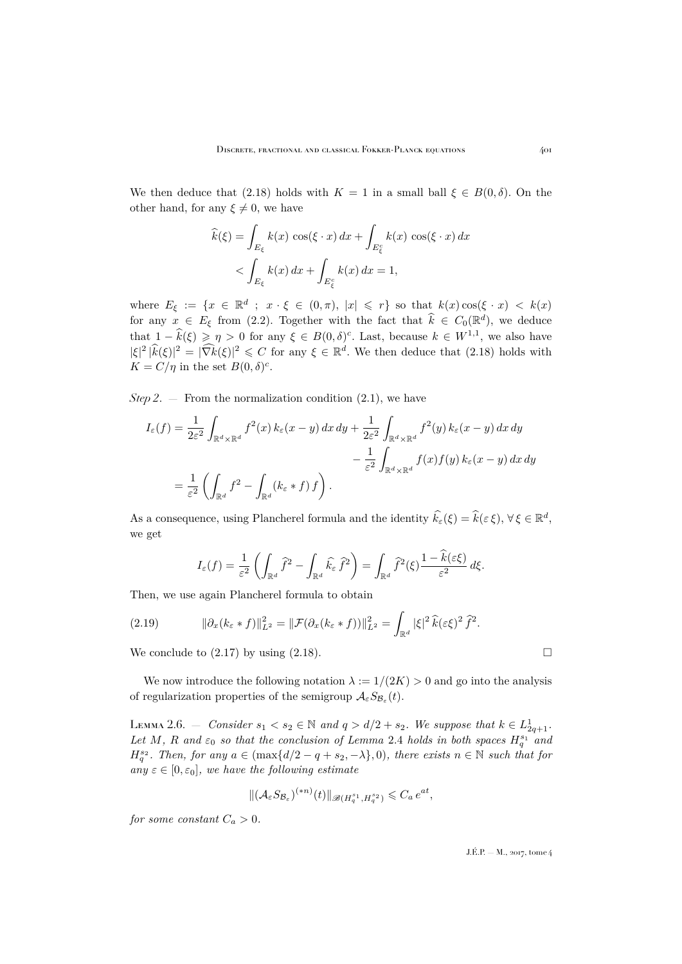We then deduce that [\(2.18\)](#page-12-2) holds with  $K = 1$  in a small ball  $\xi \in B(0,\delta)$ . On the other hand, for any  $\xi \neq 0$ , we have

$$
\widehat{k}(\xi) = \int_{E_{\xi}} k(x) \cos(\xi \cdot x) dx + \int_{E_{\xi}^c} k(x) \cos(\xi \cdot x) dx
$$
  
< 
$$
< \int_{E_{\xi}} k(x) dx + \int_{E_{\xi}^c} k(x) dx = 1,
$$

where  $E_{\xi} := \{x \in \mathbb{R}^d \; ; \; x \cdot \xi \in (0, \pi), |x| \leqslant r\}$  so that  $k(x) \cos(\xi \cdot x) < k(x)$ for any  $x \in E_{\xi}$  from [\(2.2\)](#page-7-2). Together with the fact that  $\hat{k} \in C_0(\mathbb{R}^d)$ , we deduce that  $1 - \hat{k}(\xi) \geqslant \eta > 0$  for any  $\xi \in B(0,\delta)^c$ . Last, because  $k \in W^{1,1}$ , we also have  $|\xi|^2 |\hat{k}(\xi)|^2 = |\widehat{\nabla k}(\xi)|^2 \leq C$  for any  $\xi \in \mathbb{R}^d$ . We then deduce that [\(2.18\)](#page-12-2) holds with  $K = C/\eta$  in the set  $B(0,\delta)^c$ .

*Step 2.*  $-$  From the normalization condition  $(2.1)$ , we have

$$
I_{\varepsilon}(f) = \frac{1}{2\varepsilon^{2}} \int_{\mathbb{R}^{d} \times \mathbb{R}^{d}} f^{2}(x) k_{\varepsilon}(x - y) dx dy + \frac{1}{2\varepsilon^{2}} \int_{\mathbb{R}^{d} \times \mathbb{R}^{d}} f^{2}(y) k_{\varepsilon}(x - y) dx dy
$$
  

$$
- \frac{1}{\varepsilon^{2}} \int_{\mathbb{R}^{d} \times \mathbb{R}^{d}} f(x) f(y) k_{\varepsilon}(x - y) dx dy
$$
  

$$
= \frac{1}{\varepsilon^{2}} \left( \int_{\mathbb{R}^{d}} f^{2} - \int_{\mathbb{R}^{d}} (k_{\varepsilon} * f) f \right).
$$

As a consequence, using Plancherel formula and the identity  $\hat{k}_{\varepsilon}(\xi) = \hat{k}(\varepsilon \xi), \forall \xi \in \mathbb{R}^d$ , we get

$$
I_{\varepsilon}(f) = \frac{1}{\varepsilon^2} \left( \int_{\mathbb{R}^d} \widehat{f}^2 - \int_{\mathbb{R}^d} \widehat{k}_{\varepsilon} \widehat{f}^2 \right) = \int_{\mathbb{R}^d} \widehat{f}^2(\xi) \frac{1 - \widehat{k}(\varepsilon \xi)}{\varepsilon^2} d\xi.
$$

Then, we use again Plancherel formula to obtain

(2.19) 
$$
\|\partial_x (k_{\varepsilon} * f)\|_{L^2}^2 = \|\mathcal{F}(\partial_x (k_{\varepsilon} * f))\|_{L^2}^2 = \int_{\mathbb{R}^d} |\xi|^2 \,\widehat{k}(\varepsilon \xi)^2 \,\widehat{f}^2.
$$

We conclude to  $(2.17)$  by using  $(2.18)$ .

We now introduce the following notation  $\lambda := 1/(2K) > 0$  and go into the analysis of regularization properties of the semigroup  $\mathcal{A}_{\varepsilon}S_{\mathcal{B}_{\varepsilon}}(t)$ .

<span id="page-13-0"></span>LEMMA 2.6. − *Consider*  $s_1 < s_2 \in \mathbb{N}$  and  $q > d/2 + s_2$ . We suppose that  $k ∈ L_{2q+1}^1$ . Let M, R and  $\varepsilon_0$  so that the conclusion of Lemma [2.4](#page-10-2) holds in both spaces  $H_q^{s_1}$  and  $H_q^{s_2}$ . Then, for any  $a \in (\max\{d/2 - q + s_2, -\lambda\}, 0)$ , there exists  $n \in \mathbb{N}$  such that for  $any \varepsilon \in [0, \varepsilon_0]$ *, we have the following estimate* 

$$
\|(\mathcal{A}_{\varepsilon} S_{\mathcal{B}_{\varepsilon}})^{(*n)}(t)\|_{\mathscr{B}(H^{s_1}_{q}, H^{s_2}_{q})} \leqslant C_a e^{at},
$$

*for some constant*  $C_a > 0$ *.*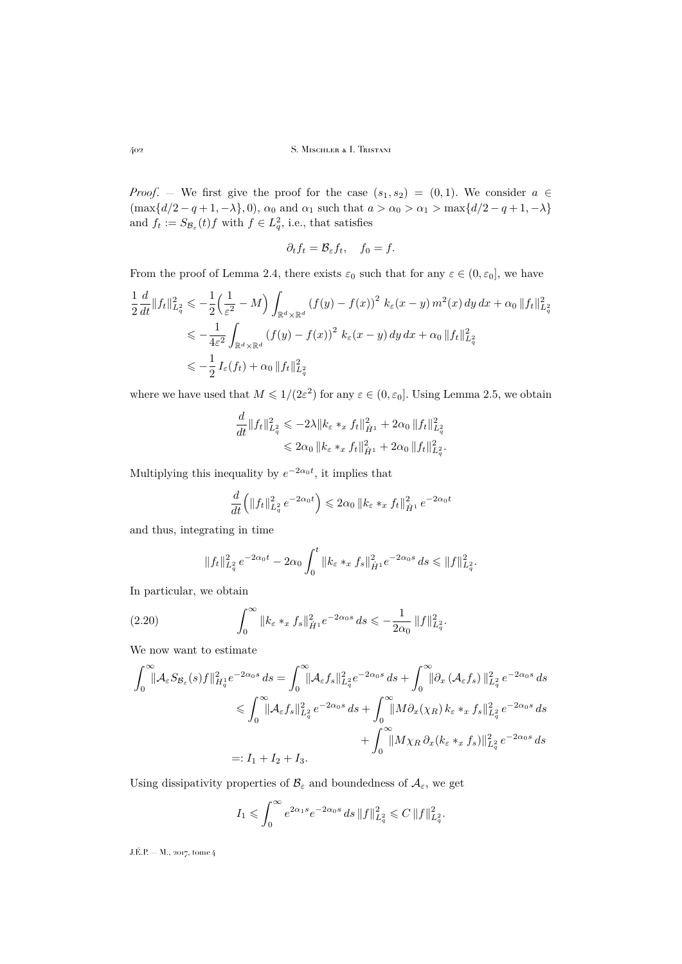*Proof.* — We first give the proof for the case  $(s_1, s_2) = (0, 1)$ . We consider  $a \in$  $(\max\{d/2-q+1,-\lambda\},0), \alpha_0 \text{ and } \alpha_1 \text{ such that } a > \alpha_0 > \alpha_1 > \max\{d/2-q+1,-\lambda\}$ and  $f_t := S_{\mathcal{B}_{\varepsilon}}(t) f$  with  $f \in L_q^2$ , i.e., that satisfies

$$
\partial_t f_t = \mathcal{B}_{\varepsilon} f_t, \quad f_0 = f.
$$

From the proof of Lemma [2.4,](#page-10-2) there exists  $\varepsilon_0$  such that for any  $\varepsilon \in (0, \varepsilon_0]$ , we have

$$
\frac{1}{2} \frac{d}{dt} ||f_t||_{L_q^2}^2 \leq -\frac{1}{2} \left( \frac{1}{\varepsilon^2} - M \right) \int_{\mathbb{R}^d \times \mathbb{R}^d} \left( f(y) - f(x) \right)^2 k_\varepsilon (x - y) m^2(x) \, dy \, dx + \alpha_0 \, ||f_t||_{L_q^2}^2
$$
\n
$$
\leq -\frac{1}{4\varepsilon^2} \int_{\mathbb{R}^d \times \mathbb{R}^d} \left( f(y) - f(x) \right)^2 k_\varepsilon (x - y) \, dy \, dx + \alpha_0 \, ||f_t||_{L_q^2}^2
$$
\n
$$
\leq -\frac{1}{2} I_\varepsilon(f_t) + \alpha_0 \, ||f_t||_{L_q^2}^2
$$

where we have used that  $M \leq 1/(2\varepsilon^2)$  for any  $\varepsilon \in (0, \varepsilon_0]$ . Using Lemma [2.5,](#page-12-4) we obtain

$$
\begin{aligned} \frac{d}{dt} \|f_t\|_{L^2_q}^2 &\leqslant -2\lambda \|k_\varepsilon \ast_x f_t\|_{\dot H^1}^2 + 2\alpha_0 \, \|f_t\|_{L^2_q}^2\\ &\leqslant 2\alpha_0 \, \|k_\varepsilon \ast_x f_t\|_{\dot H^1}^2 + 2\alpha_0 \, \|f_t\|_{L^2_q}^2. \end{aligned}
$$

Multiplying this inequality by  $e^{-2\alpha_0 t}$ , it implies that

$$
\frac{d}{dt}\left(\|f_t\|_{L_q^2}^2 e^{-2\alpha_0 t}\right) \leq 2\alpha_0 \|k_\varepsilon *_{x} f_t\|_{\dot{H}^1}^2 e^{-2\alpha_0 t}
$$

and thus, integrating in time

<span id="page-14-0"></span>
$$
||f_t||_{L_q^2}^2 e^{-2\alpha_0 t} - 2\alpha_0 \int_0^t ||k_{\varepsilon} *_{x} f_s||_{\dot{H}^1}^2 e^{-2\alpha_0 s} ds \le ||f||_{L_q^2}^2.
$$

In particular, we obtain

(2.20) 
$$
\int_0^\infty \|k_\varepsilon * x f_s\|_{\dot{H}^1}^2 e^{-2\alpha_0 s} ds \leq -\frac{1}{2\alpha_0} \|f\|_{L_q^2}^2.
$$

We now want to estimate

$$
\int_0^\infty \lVert \mathcal{A}_{\varepsilon} S_{\mathcal{B}_{\varepsilon}}(s) f \rVert_{H_q^1}^2 e^{-2\alpha_0 s} ds = \int_0^\infty \lVert \mathcal{A}_{\varepsilon} f_s \rVert_{L_q^2}^2 e^{-2\alpha_0 s} ds + \int_0^\infty \lVert \partial_x (\mathcal{A}_{\varepsilon} f_s) \rVert_{L_q^2}^2 e^{-2\alpha_0 s} ds
$$
  
\n
$$
\leq \int_0^\infty \lVert \mathcal{A}_{\varepsilon} f_s \rVert_{L_q^2}^2 e^{-2\alpha_0 s} ds + \int_0^\infty \lVert M \partial_x (\chi_R) k_{\varepsilon} *_{x} f_s \rVert_{L_q^2}^2 e^{-2\alpha_0 s} ds
$$
  
\n
$$
+ \int_0^\infty \lVert M \chi_R \partial_x (k_{\varepsilon} *_{x} f_s) \rVert_{L_q^2}^2 e^{-2\alpha_0 s} ds
$$
  
\n
$$
=: I_1 + I_2 + I_3.
$$

Using dissipativity properties of  $\mathcal{B}_{\varepsilon}$  and boundedness of  $\mathcal{A}_{\varepsilon}$ , we get

$$
I_1 \leqslant \int_0^\infty e^{2\alpha_1 s} e^{-2\alpha_0 s} \, ds \, \|f\|_{L^2_q}^2 \leqslant C \, \|f\|_{L^2_q}^2.
$$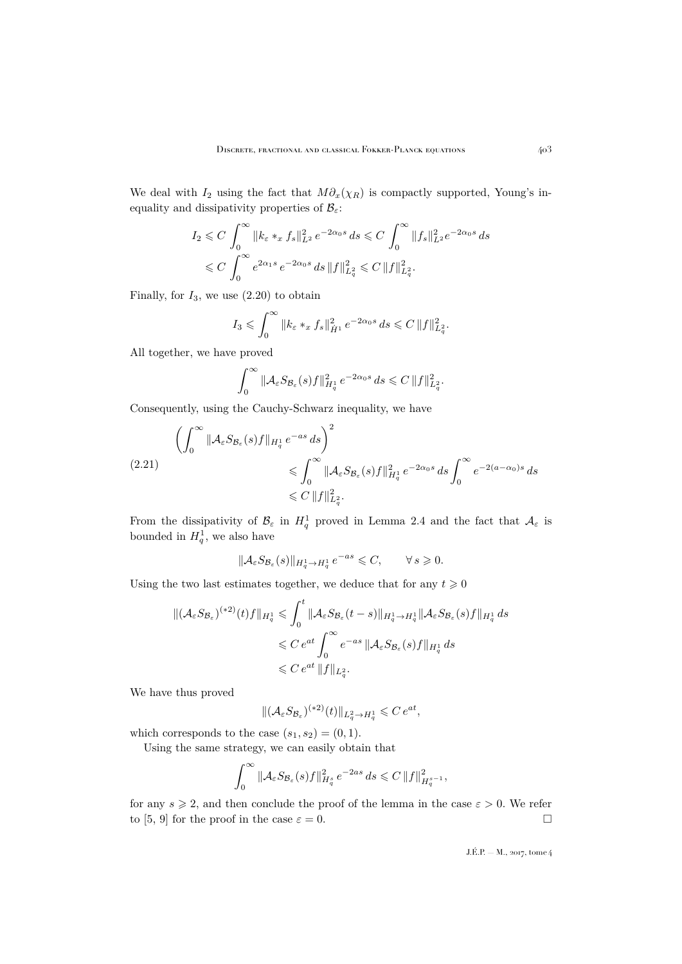We deal with  $I_2$  using the fact that  $M \partial_x(\chi_R)$  is compactly supported, Young's inequality and dissipativity properties of  $\mathcal{B}_{\varepsilon}$ :

$$
I_2 \leq C \int_0^\infty \|k_\varepsilon * x f_s\|_{L^2}^2 e^{-2\alpha_0 s} ds \leq C \int_0^\infty \|f_s\|_{L^2}^2 e^{-2\alpha_0 s} ds
$$
  

$$
\leq C \int_0^\infty e^{2\alpha_1 s} e^{-2\alpha_0 s} ds \|f\|_{L^2_q}^2 \leq C \|f\|_{L^2_q}^2.
$$

Finally, for  $I_3$ , we use  $(2.20)$  to obtain

$$
I_3 \leqslant \int_0^\infty \|k_\varepsilon * _x f_s\|_{\dot{H}^1}^2 e^{-2\alpha_0 s} ds \leqslant C \|f\|_{L^2_q}^2.
$$

All together, we have proved

$$
\int_0^\infty \|\mathcal{A}_{\varepsilon} S_{\mathcal{B}_{\varepsilon}}(s)f\|_{H^1_q}^2 e^{-2\alpha_0 s} ds \leqslant C \|f\|_{L^2_q}^2.
$$

Consequently, using the Cauchy-Schwarz inequality, we have

$$
\left(\int_0^\infty \|\mathcal{A}_{\varepsilon} S_{\mathcal{B}_{\varepsilon}}(s)f\|_{H_q^1} e^{-as} ds\right)^2
$$
\n
$$
\leq \int_0^\infty \|\mathcal{A}_{\varepsilon} S_{\mathcal{B}_{\varepsilon}}(s)f\|_{H_q^1}^2 e^{-2\alpha_0 s} ds \int_0^\infty e^{-2(a-\alpha_0)s} ds
$$
\n
$$
\leq C \|f\|_{L_q^2}^2.
$$

From the dissipativity of  $\mathcal{B}_{\varepsilon}$  in  $H_q^1$  proved in Lemma [2.4](#page-10-2) and the fact that  $\mathcal{A}_{\varepsilon}$  is bounded in  $H_q^1$ , we also have

$$
\|\mathcal{A}_{\varepsilon} S_{\mathcal{B}_{\varepsilon}}(s)\|_{H^1_q \to H^1_q} e^{-as} \leqslant C, \qquad \forall s \geqslant 0.
$$

Using the two last estimates together, we deduce that for any  $t \geq 0$ 

$$
\begin{aligned} \| (\mathcal{A}_{\varepsilon} S_{\mathcal{B}_{\varepsilon}})^{(*2)}(t) f \|_{H^1_q} &\leqslant \int_0^t \| \mathcal{A}_{\varepsilon} S_{\mathcal{B}_{\varepsilon}}(t-s) \|_{H^1_q \to H^1_q} \| \mathcal{A}_{\varepsilon} S_{\mathcal{B}_{\varepsilon}}(s) f \|_{H^1_q} \, ds \\ &\leqslant C \, e^{at} \int_0^\infty e^{-as} \, \| \mathcal{A}_{\varepsilon} S_{\mathcal{B}_{\varepsilon}}(s) f \|_{H^1_q} \, ds \\ &\leqslant C \, e^{at} \, \| f \|_{L^2_q} .\end{aligned}
$$

We have thus proved

$$
\|(\mathcal{A}_{\varepsilon} S_{\mathcal{B}_{\varepsilon}})^{(*2)}(t)\|_{L^2_q \to H^1_q} \leqslant C e^{at},
$$

which corresponds to the case  $(s_1, s_2) = (0, 1)$ .

Using the same strategy, we can easily obtain that

$$
\int_0^\infty \|\mathcal{A}_\varepsilon S_{\mathcal{B}_\varepsilon}(s)f\|_{H^s_q}^2 e^{-2as} ds \leqslant C\, \|f\|_{H^{s-1}_q}^2,
$$

for any  $s \geq 2$ , and then conclude the proof of the lemma in the case  $\varepsilon > 0$ . We refer to [\[5,](#page-44-2) [9\]](#page-44-3) for the proof in the case  $\varepsilon = 0$ .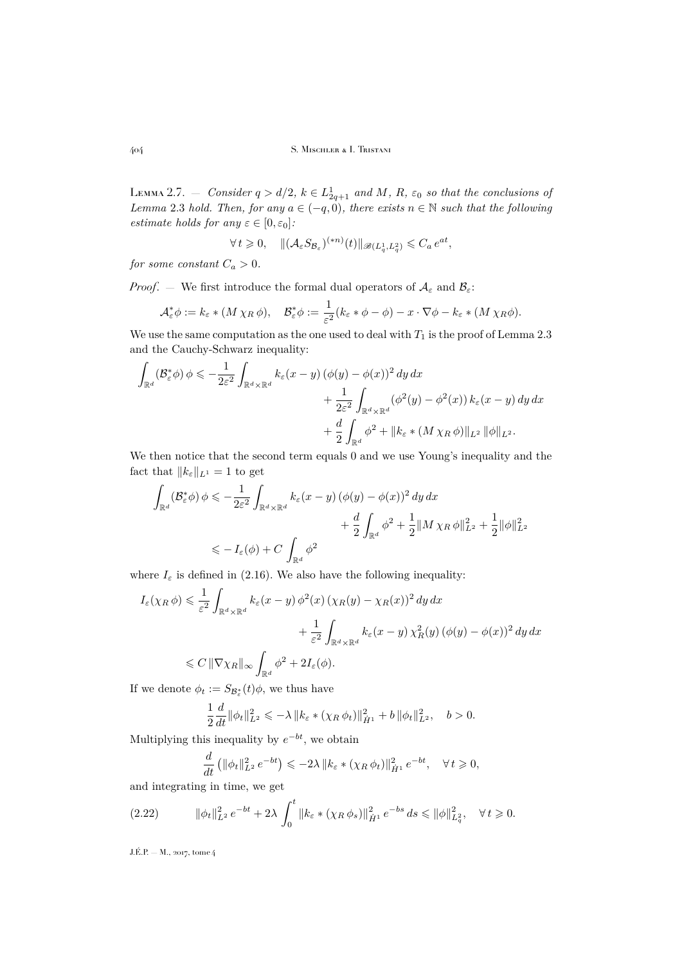<span id="page-16-1"></span>LEMMA 2.7. – *Consider*  $q > d/2$ ,  $k \in L_{2q+1}^1$  and M, R,  $\varepsilon_0$  so that the conclusions of *Lemma* [2.3](#page-9-3) *hold. Then, for any*  $a \in (-q, 0)$ *, there exists*  $n \in \mathbb{N}$  *such that the following estimate holds for any*  $\varepsilon \in [0, \varepsilon_0]$ *:* 

$$
\forall t \geq 0, \quad \| (\mathcal{A}_{\varepsilon} S_{\mathcal{B}_{\varepsilon}})^{(*n)}(t) \|_{\mathscr{B}(L^1_q, L^2_q)} \leqslant C_a e^{at},
$$

*for some constant*  $C_a > 0$ *.* 

*Proof.* — We first introduce the formal dual operators of  $A_{\varepsilon}$  and  $B_{\varepsilon}$ :

$$
\mathcal{A}_{\varepsilon}^* \phi := k_{\varepsilon} * (M \chi_R \phi), \quad \mathcal{B}_{\varepsilon}^* \phi := \frac{1}{\varepsilon^2} (k_{\varepsilon} * \phi - \phi) - x \cdot \nabla \phi - k_{\varepsilon} * (M \chi_R \phi).
$$

We use the same computation as the one used to deal with  $T_1$  is the proof of Lemma [2.3](#page-9-3) and the Cauchy-Schwarz inequality:

$$
\int_{\mathbb{R}^d} (\mathcal{B}_{\varepsilon}^* \phi) \phi \leqslant -\frac{1}{2\varepsilon^2} \int_{\mathbb{R}^d \times \mathbb{R}^d} k_{\varepsilon}(x - y) \left( \phi(y) - \phi(x) \right)^2 dy dx \n+ \frac{1}{2\varepsilon^2} \int_{\mathbb{R}^d \times \mathbb{R}^d} (\phi^2(y) - \phi^2(x)) k_{\varepsilon}(x - y) dy dx \n+ \frac{d}{2} \int_{\mathbb{R}^d} \phi^2 + \|k_{\varepsilon} * (M \chi_R \phi)\|_{L^2} \|\phi\|_{L^2}.
$$

We then notice that the second term equals 0 and we use Young's inequality and the fact that  $||k_{\varepsilon}||_{L^{1}} = 1$  to get

$$
\int_{\mathbb{R}^d} (\mathcal{B}_{\varepsilon}^* \phi) \phi \leqslant -\frac{1}{2\varepsilon^2} \int_{\mathbb{R}^d \times \mathbb{R}^d} k_{\varepsilon} (x - y) \left( \phi(y) - \phi(x) \right)^2 dy dx
$$
  
 
$$
+ \frac{d}{2} \int_{\mathbb{R}^d} \phi^2 + \frac{1}{2} ||M \chi_R \phi||_{L^2}^2 + \frac{1}{2} ||\phi||_{L^2}^2
$$
  
 
$$
\leqslant -I_{\varepsilon}(\phi) + C \int_{\mathbb{R}^d} \phi^2
$$

where  $I_{\varepsilon}$  is defined in [\(2.16\)](#page-12-5). We also have the following inequality:

$$
I_{\varepsilon}(\chi_R \phi) \leq \frac{1}{\varepsilon^2} \int_{\mathbb{R}^d \times \mathbb{R}^d} k_{\varepsilon}(x - y) \phi^2(x) \left(\chi_R(y) - \chi_R(x)\right)^2 dy dx
$$
  
 
$$
+ \frac{1}{\varepsilon^2} \int_{\mathbb{R}^d \times \mathbb{R}^d} k_{\varepsilon}(x - y) \chi_R^2(y) \left(\phi(y) - \phi(x)\right)^2 dy dx
$$
  
 
$$
\leq C \|\nabla \chi_R\|_{\infty} \int_{\mathbb{R}^d} \phi^2 + 2I_{\varepsilon}(\phi).
$$

If we denote  $\phi_t := S_{\mathcal{B}_{\varepsilon}^*}(t)\phi$ , we thus have

$$
\frac{1}{2}\frac{d}{dt}\|\phi_t\|_{L^2}^2 \leq -\lambda \|k_{\varepsilon} * (\chi_R \,\phi_t)\|_{\dot{H}^1}^2 + b\|\phi_t\|_{L^2}^2, \quad b > 0.
$$

Multiplying this inequality by  $e^{-bt}$ , we obtain

<span id="page-16-0"></span>
$$
\frac{d}{dt} \left( \|\phi_t\|_{L^2}^2 e^{-bt} \right) \leq -2\lambda \left\|k_{\varepsilon} * (\chi_R \phi_t) \right\|_{\dot{H}^1}^2 e^{-bt}, \quad \forall t \geq 0,
$$

and integrating in time, we get

$$
(2.22) \t\t ||\phi_t||_{L^2}^2 e^{-bt} + 2\lambda \int_0^t ||k_{\varepsilon} * (\chi_R \phi_s)||_{\dot{H}^1}^2 e^{-bs} ds \le ||\phi||_{L_q^2}^2, \quad \forall t \ge 0.
$$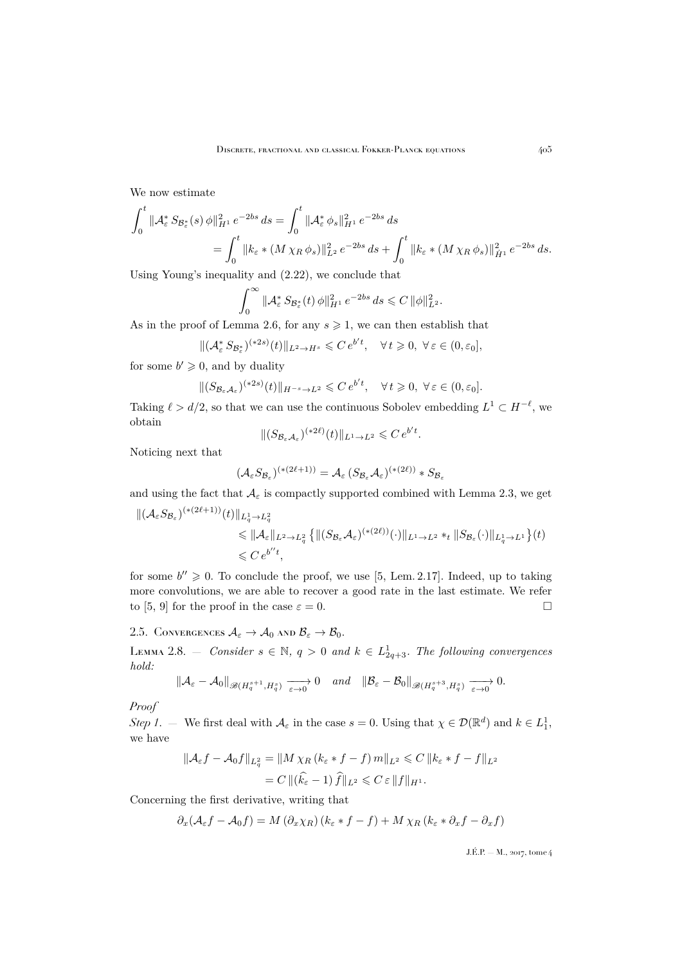We now estimate

$$
\int_0^t \|\mathcal{A}_{\varepsilon}^* S_{\mathcal{B}_{\varepsilon}^*}(s) \phi\|_{H^1}^2 e^{-2bs} ds = \int_0^t \|\mathcal{A}_{\varepsilon}^* \phi_s\|_{H^1}^2 e^{-2bs} ds
$$
  
= 
$$
\int_0^t \|k_{\varepsilon} * (M \chi_R \phi_s)\|_{L^2}^2 e^{-2bs} ds + \int_0^t \|k_{\varepsilon} * (M \chi_R \phi_s)\|_{\dot{H}^1}^2 e^{-2bs} ds.
$$

Using Young's inequality and [\(2.22\)](#page-16-0), we conclude that

$$
\int_0^\infty \|{\mathcal A}_{\varepsilon}^* S_{{\mathcal B}_{\varepsilon}^*}(t) \,\phi\|_{H^1}^2 \, e^{-2bs} \, ds \leqslant C \, \|\phi\|_{L^2}^2.
$$

As in the proof of Lemma [2.6,](#page-13-0) for any  $s \geq 1$ , we can then establish that

$$
\|(\mathcal{A}_{\varepsilon}^* S_{\mathcal{B}_{\varepsilon}^*})^{(*2s)}(t)\|_{L^2\to H^s} \leqslant C e^{b't}, \quad \forall t \geqslant 0, \ \forall \varepsilon \in (0, \varepsilon_0],
$$

for some  $b' \geq 0$ , and by duality

$$
\|(S_{\mathcal{B}_{\varepsilon}\mathcal{A}_{\varepsilon}})^{(*2s)}(t)\|_{H^{-s}\to L^2}\leqslant C\,e^{b't},\quad\forall\,t\geqslant 0,\;\forall\,\varepsilon\in(0,\varepsilon_0].
$$

Taking  $\ell > d/2$ , so that we can use the continuous Sobolev embedding  $L^1 \subset H^{-\ell}$ , we obtain

$$
\|(S_{\mathcal{B}_{\varepsilon}\mathcal{A}_{\varepsilon}})^{(*2\ell)}(t)\|_{L^1\to L^2}\leqslant C\,e^{b't}.
$$

Noticing next that

$$
(\mathcal{A}_{\varepsilon} S_{\mathcal{B}_{\varepsilon}})^{(*(2\ell+1))} = \mathcal{A}_{\varepsilon} (S_{\mathcal{B}_{\varepsilon}} \mathcal{A}_{\varepsilon})^{(*(2\ell))} * S_{\mathcal{B}_{\varepsilon}}
$$

and using the fact that  $A_{\varepsilon}$  is compactly supported combined with Lemma [2.3,](#page-9-3) we get

$$
\begin{split} \|(A_{\varepsilon}S_{\mathcal{B}_{\varepsilon}})^{(*(2\ell+1))}(t)\|_{L_{q}^{1}\to L_{q}^{2}}\\ &\leqslant \|A_{\varepsilon}\|_{L^{2}\to L_{q}^{2}}\left\{\|(S_{\mathcal{B}_{\varepsilon}}A_{\varepsilon})^{(*(2\ell))}(\cdot)\|_{L^{1}\to L^{2}}*_{t}\|S_{\mathcal{B}_{\varepsilon}}(\cdot)\|_{L_{q}^{1}\to L^{1}}\right\}(t)\\ &\leqslant C\,e^{b^{\prime\prime}t}, \end{split}
$$

for some  $b'' \geq 0$ . To conclude the proof, we use [\[5,](#page-44-2) Lem. 2.17]. Indeed, up to taking more convolutions, we are able to recover a good rate in the last estimate. We refer to [\[5,](#page-44-2) [9\]](#page-44-3) for the proof in the case  $\varepsilon = 0$ .

2.5. CONVERGENCES  $A_{\varepsilon} \to A_0$  and  $B_{\varepsilon} \to B_0$ .

<span id="page-17-0"></span>LEMMA 2.8. – *Consider*  $s \in \mathbb{N}$ ,  $q > 0$  and  $k \in L^1_{2q+3}$ . The following convergences *hold:*

$$
\| \mathcal{A}_{\varepsilon}-\mathcal{A}_0 \|_{\mathscr{B}(H^{s+1}_q,H^s_q)} \xrightarrow[\varepsilon \to 0]{} 0 \quad and \quad \| \mathcal{B}_{\varepsilon}-\mathcal{B}_0 \|_{\mathscr{B}(H^{s+3}_q,H^s_q)} \xrightarrow[\varepsilon \to 0]{} 0.
$$

*Proof*

*Step 1*. – We first deal with  $\mathcal{A}_{\varepsilon}$  in the case  $s = 0$ . Using that  $\chi \in \mathcal{D}(\mathbb{R}^d)$  and  $k \in L_1^1$ , we have

$$
\|\mathcal{A}_{\varepsilon}f - \mathcal{A}_{0}f\|_{L_{q}^{2}} = \|M \chi_{R} (k_{\varepsilon} * f - f) m\|_{L^{2}} \leq C \|k_{\varepsilon} * f - f\|_{L^{2}}
$$
  
= 
$$
C \|(\widehat{k}_{\varepsilon} - 1) \widehat{f}\|_{L^{2}} \leq C \varepsilon \|f\|_{H^{1}}.
$$

Concerning the first derivative, writing that

$$
\partial_x(\mathcal{A}_{\varepsilon}f - \mathcal{A}_0f) = M(\partial_x \chi_R)(k_{\varepsilon} * f - f) + M \chi_R(k_{\varepsilon} * \partial_x f - \partial_x f)
$$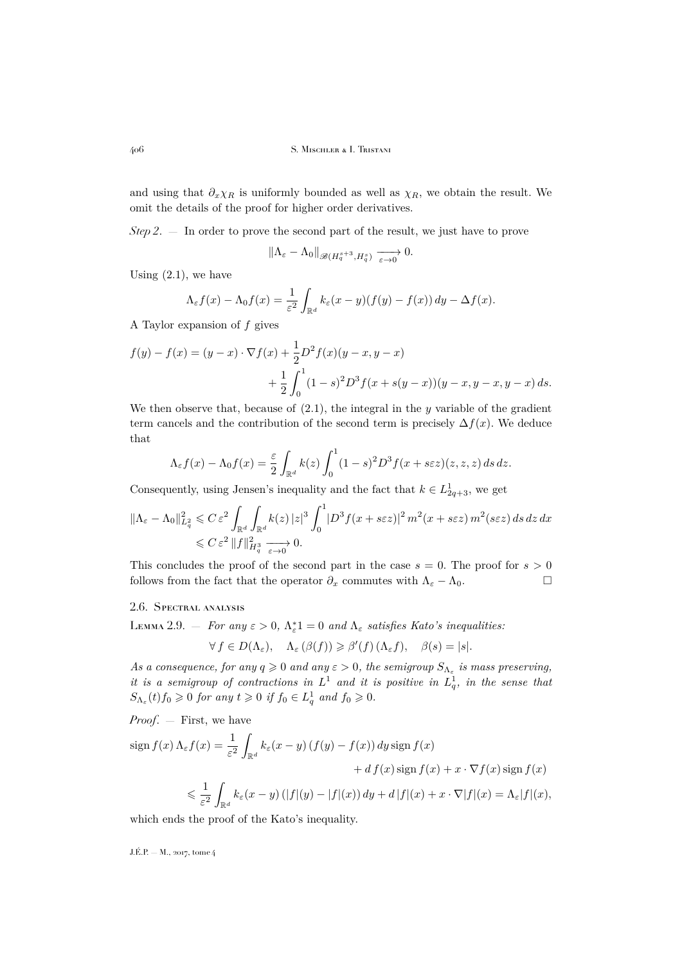and using that  $\partial_x \chi_R$  is uniformly bounded as well as  $\chi_R$ , we obtain the result. We omit the details of the proof for higher order derivatives.

*Step 2*. — In order to prove the second part of the result, we just have to prove

$$
\|\Lambda_{\varepsilon}-\Lambda_0\|_{\mathscr{B}(H^{s+3}_q,H^s_q)}\xrightarrow[\varepsilon\to 0]{} 0.
$$

Using  $(2.1)$ , we have

$$
\Lambda_{\varepsilon} f(x) - \Lambda_0 f(x) = \frac{1}{\varepsilon^2} \int_{\mathbb{R}^d} k_{\varepsilon} (x - y) (f(y) - f(x)) dy - \Delta f(x).
$$

A Taylor expansion of  $f$  gives

$$
f(y) - f(x) = (y - x) \cdot \nabla f(x) + \frac{1}{2} D^2 f(x) (y - x, y - x)
$$
  
+ 
$$
\frac{1}{2} \int_0^1 (1 - s)^2 D^3 f(x + s(y - x)) (y - x, y - x, y - x) ds.
$$

We then observe that, because of  $(2.1)$ , the integral in the y variable of the gradient term cancels and the contribution of the second term is precisely  $\Delta f(x)$ . We deduce that

$$
\Lambda_{\varepsilon}f(x) - \Lambda_0 f(x) = \frac{\varepsilon}{2} \int_{\mathbb{R}^d} k(z) \int_0^1 (1-s)^2 D^3 f(x + s \varepsilon z)(z, z, z) ds dz.
$$

Consequently, using Jensen's inequality and the fact that  $k \in L^1_{2q+3}$ , we get

$$
\|\Lambda_{\varepsilon}-\Lambda_0\|_{L_q^2}^2 \leqslant C \, \varepsilon^2 \int_{\mathbb{R}^d} \int_{\mathbb{R}^d} k(z) \, |z|^3 \int_0^1 |D^3 f(x+s \varepsilon z)|^2 \, m^2(x+s \varepsilon z) \, m^2(s \varepsilon z) \, ds \, dz \, dx
$$
  
\$\leqslant C \, \varepsilon^2 \, \|f\|\_{H\_q^3}^2 \xrightarrow[\varepsilon \to 0]{} 0.

This concludes the proof of the second part in the case  $s = 0$ . The proof for  $s > 0$ follows from the fact that the operator  $\partial_x$  commutes with  $\Lambda_{\varepsilon} - \Lambda_0$ .

### 2.6. Spectral analysis

<span id="page-18-0"></span>LEMMA 2.9. – *For any*  $\varepsilon > 0$ ,  $\Lambda_{\varepsilon}^* = 0$  *and*  $\Lambda_{\varepsilon}$  *satisfies Kato's inequalities:* 

$$
\forall f \in D(\Lambda_{\varepsilon}), \quad \Lambda_{\varepsilon}(\beta(f)) \geqslant \beta'(f) \left(\Lambda_{\varepsilon} f\right), \quad \beta(s) = |s|.
$$

As a consequence, for any  $q \geq 0$  and any  $\varepsilon > 0$ , the semigroup  $S_{\Lambda_{\varepsilon}}$  is mass preserving, *it is a semigroup of contractions in*  $L^1$  *and it is positive in*  $L_q^1$ *, in the sense that*  $S_{\Lambda_{\varepsilon}}(t) f_0 \geqslant 0$  for any  $t \geqslant 0$  if  $f_0 \in L_q^1$  and  $f_0 \geqslant 0$ .

*Proof*. — First, we have

$$
\begin{split} \operatorname{sign} f(x) \, \Lambda_{\varepsilon} f(x) &= \frac{1}{\varepsilon^{2}} \int_{\mathbb{R}^{d}} k_{\varepsilon}(x - y) \left( f(y) - f(x) \right) dy \, \operatorname{sign} f(x) \\ &\quad + d \, f(x) \, \operatorname{sign} f(x) + x \cdot \nabla f(x) \, \operatorname{sign} f(x) \\ &\leqslant \frac{1}{\varepsilon^{2}} \int_{\mathbb{R}^{d}} k_{\varepsilon}(x - y) \left( |f|(y) - |f|(x) \right) dy + d \, |f|(x) + x \cdot \nabla |f|(x) = \Lambda_{\varepsilon} |f|(x), \end{split}
$$

which ends the proof of the Kato's inequality.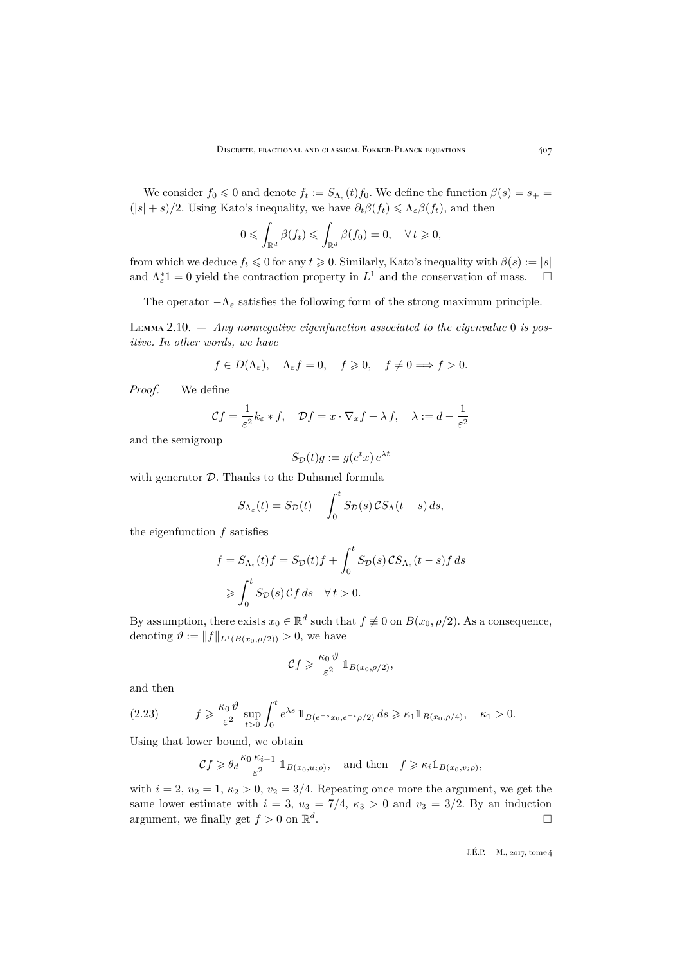We consider  $f_0 \leq 0$  and denote  $f_t := S_{\Lambda_{\varepsilon}}(t) f_0$ . We define the function  $\beta(s) = s_+$  $(|s| + s)/2$ . Using Kato's inequality, we have  $\partial_t \beta(f_t) \leq \Lambda_{\varepsilon} \beta(f_t)$ , and then

$$
0 \leqslant \int_{\mathbb{R}^d} \beta(f_t) \leqslant \int_{\mathbb{R}^d} \beta(f_0) = 0, \quad \forall \, t \geqslant 0,
$$

from which we deduce  $f_t \leq 0$  for any  $t \geq 0$ . Similarly, Kato's inequality with  $\beta(s) := |s|$ and  $\Lambda_{\varepsilon}^*$ 1 = 0 yield the contraction property in  $L^1$  and the conservation of mass.  $\square$ 

The operator  $-\Lambda_{\varepsilon}$  satisfies the following form of the strong maximum principle.

<span id="page-19-0"></span>Lemma 2.10. — *Any nonnegative eigenfunction associated to the eigenvalue* 0 *is positive. In other words, we have*

$$
f \in D(\Lambda_{\varepsilon}), \quad \Lambda_{\varepsilon} f = 0, \quad f \geqslant 0, \quad f \neq 0 \Longrightarrow f > 0.
$$

*Proof*. — We define

$$
\mathcal{C}f = \frac{1}{\varepsilon^2} k_{\varepsilon} * f, \quad \mathcal{D}f = x \cdot \nabla_x f + \lambda f, \quad \lambda := d - \frac{1}{\varepsilon^2}
$$

and the semigroup

$$
S_{\mathcal{D}}(t)g := g(e^t x) e^{\lambda t}
$$

with generator  $D$ . Thanks to the Duhamel formula

$$
S_{\Lambda_{\varepsilon}}(t) = S_{\mathcal{D}}(t) + \int_0^t S_{\mathcal{D}}(s) \, \mathcal{C} S_{\Lambda}(t-s) \, ds,
$$

the eigenfunction  $f$  satisfies

$$
f = S_{\Lambda_{\varepsilon}}(t) f = S_{\mathcal{D}}(t) f + \int_0^t S_{\mathcal{D}}(s) C S_{\Lambda_{\varepsilon}}(t - s) f ds
$$
  
\n
$$
\geqslant \int_0^t S_{\mathcal{D}}(s) C f ds \quad \forall t > 0.
$$

By assumption, there exists  $x_0 \in \mathbb{R}^d$  such that  $f \neq 0$  on  $B(x_0, \rho/2)$ . As a consequence, denoting  $\vartheta := ||f||_{L^1(B(x_0,\rho/2))} > 0$ , we have

$$
\mathcal{C}f \geqslant \frac{\kappa_0 \vartheta}{\varepsilon^2} \mathbb{1}_{B(x_0, \rho/2)},
$$

and then

$$
(2.23) \t f \geq \frac{\kappa_0 \vartheta}{\varepsilon^2} \sup_{t>0} \int_0^t e^{\lambda s} 1_{B(e^{-s}x_0, e^{-t}\rho/2)} ds \geq \kappa_1 1_{B(x_0, \rho/4)}, \quad \kappa_1 > 0.
$$

Using that lower bound, we obtain

$$
\mathcal{C}f\geqslant \theta_d\frac{\kappa_0\,\kappa_{i-1}}{\varepsilon^2}\,\mathbb{1}_{B(x_0,u_i\rho)},\quad\text{and then}\quad f\geqslant \kappa_i\mathbb{1}_{B(x_0,v_i\rho)},
$$

with  $i = 2$ ,  $u_2 = 1$ ,  $\kappa_2 > 0$ ,  $v_2 = 3/4$ . Repeating once more the argument, we get the same lower estimate with  $i = 3$ ,  $u_3 = 7/4$ ,  $\kappa_3 > 0$  and  $v_3 = 3/2$ . By an induction argument, we finally get  $f > 0$  on  $\mathbb{R}^d$ .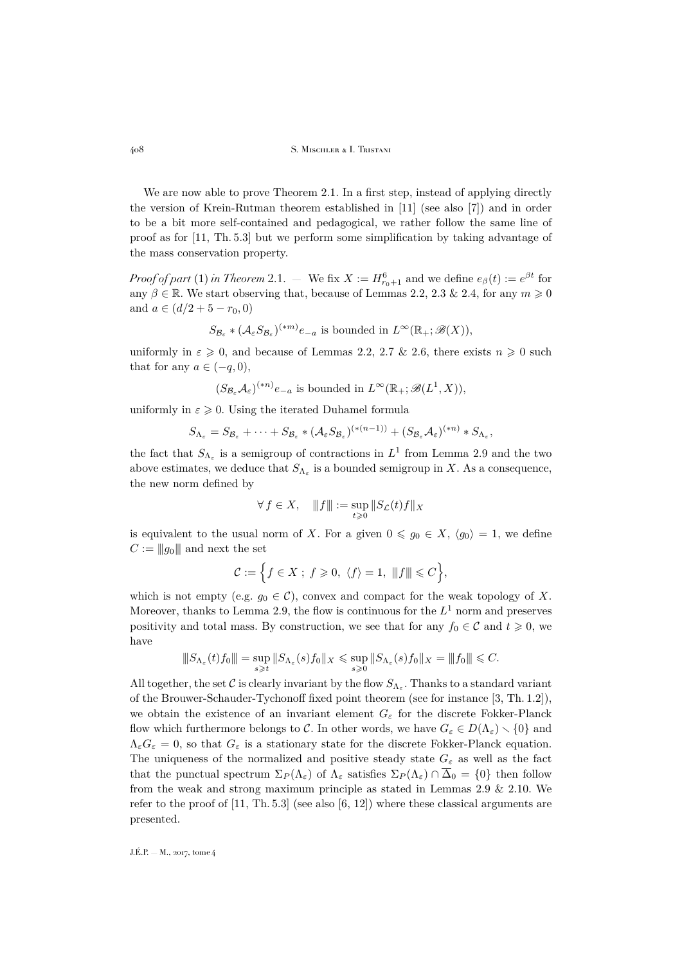We are now able to prove Theorem [2.1.](#page-8-0) In a first step, instead of applying directly the version of Krein-Rutman theorem established in [\[11\]](#page-45-3) (see also [\[7\]](#page-44-4)) and in order to be a bit more self-contained and pedagogical, we rather follow the same line of proof as for [\[11,](#page-45-3) Th. 5.3] but we perform some simplification by taking advantage of the mass conservation property.

*Proof of part* [\(1\)](#page-8-1) *in Theorem* [2.1.](#page-8-0) – We fix  $X := H_{r_0+1}^6$  and we define  $e_\beta(t) := e^{\beta t}$  for any  $\beta \in \mathbb{R}$ . We start observing that, because of Lemmas [2.2,](#page-8-2) [2.3](#page-9-3) & [2.4,](#page-10-2) for any  $m \geq 0$ and  $a \in (d/2 + 5 - r_0, 0)$ 

$$
S_{\mathcal{B}_{\varepsilon}} * (\mathcal{A}_{\varepsilon} S_{\mathcal{B}_{\varepsilon}})^{(*m)} e_{-a}
$$
 is bounded in  $L^{\infty}(\mathbb{R}_{+}; \mathscr{B}(X)),$ 

uniformly in  $\varepsilon \geqslant 0$ , and because of Lemmas [2.2,](#page-8-2) [2.7](#page-16-1) & [2.6,](#page-13-0) there exists  $n \geqslant 0$  such that for any  $a \in (-q, 0)$ ,

$$
(S_{\mathcal{B}_{\varepsilon}}\mathcal{A}_{\varepsilon})^{(*n)}e_{-a}
$$
 is bounded in  $L^{\infty}(\mathbb{R}_{+};\mathscr{B}(L^{1},X)),$ 

uniformly in  $\varepsilon \geq 0$ . Using the iterated Duhamel formula

$$
S_{\Lambda_{\varepsilon}} = S_{\mathcal{B}_{\varepsilon}} + \cdots + S_{\mathcal{B}_{\varepsilon}} * (\mathcal{A}_{\varepsilon} S_{\mathcal{B}_{\varepsilon}})^{(*(n-1))} + (S_{\mathcal{B}_{\varepsilon}} \mathcal{A}_{\varepsilon})^{(*n)} * S_{\Lambda_{\varepsilon}},
$$

the fact that  $S_{\Lambda_{\varepsilon}}$  is a semigroup of contractions in  $L^1$  from Lemma [2.9](#page-18-0) and the two above estimates, we deduce that  $S_{\Lambda_{\varepsilon}}$  is a bounded semigroup in X. As a consequence, the new norm defined by

$$
\forall\,f\in X,\quad \|f\|:=\sup_{t\geqslant 0}\|S_{\mathcal{L}}(t)f\|_X
$$

is equivalent to the usual norm of X. For a given  $0 \leq g_0 \in X$ ,  $\langle g_0 \rangle = 1$ , we define  $C := ||g_0||$  and next the set

$$
\mathcal{C}:=\Big\{f\in X\;;\;f\geqslant 0,\;\langle f\rangle=1,\;\|f\|\leqslant C\Big\},
$$

which is not empty (e.g.  $g_0 \in \mathcal{C}$ ), convex and compact for the weak topology of X. Moreover, thanks to Lemma [2.9,](#page-18-0) the flow is continuous for the  $L^1$  norm and preserves positivity and total mass. By construction, we see that for any  $f_0 \in \mathcal{C}$  and  $t \geq 0$ , we have

$$
||S_{\Lambda_{\varepsilon}}(t)f_0|||=\sup_{s\geqslant t}||S_{\Lambda_{\varepsilon}}(s)f_0||_X\leqslant \sup_{s\geqslant 0}||S_{\Lambda_{\varepsilon}}(s)f_0||_X=\|f_0\|\leqslant C.
$$

All together, the set C is clearly invariant by the flow  $S_{\Lambda_{\varepsilon}}$ . Thanks to a standard variant of the Brouwer-Schauder-Tychonoff fixed point theorem (see for instance [\[3,](#page-44-7) Th. 1.2]), we obtain the existence of an invariant element  $G_{\varepsilon}$  for the discrete Fokker-Planck flow which furthermore belongs to C. In other words, we have  $G_{\varepsilon} \in D(\Lambda_{\varepsilon}) \setminus \{0\}$  and  $\Lambda_{\varepsilon}G_{\varepsilon}=0$ , so that  $G_{\varepsilon}$  is a stationary state for the discrete Fokker-Planck equation. The uniqueness of the normalized and positive steady state  $G_{\varepsilon}$  as well as the fact that the punctual spectrum  $\Sigma_P(\Lambda_{\varepsilon})$  of  $\Lambda_{\varepsilon}$  satisfies  $\Sigma_P(\Lambda_{\varepsilon}) \cap \overline{\Delta}_0 = \{0\}$  then follow from the weak and strong maximum principle as stated in Lemmas [2.9](#page-18-0)  $\&$  [2.10.](#page-19-0) We refer to the proof of  $[11, Th. 5.3]$  $[11, Th. 5.3]$  (see also  $[6, 12]$  $[6, 12]$  $[6, 12]$ ) where these classical arguments are presented.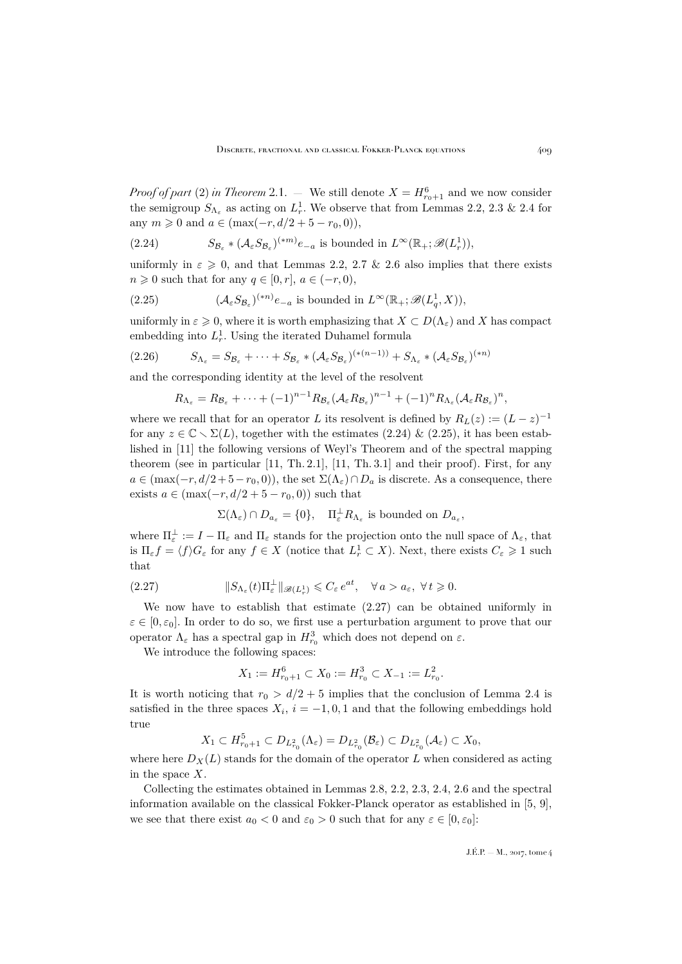*Proof of part* [\(2\)](#page-8-3) *in Theorem* [2.1.](#page-8-0) – We still denote  $X = H_{r_0+1}^6$  and we now consider the semigroup  $S_{\Lambda_{\varepsilon}}$  as acting on  $L_r^1$ . We observe that from Lemmas [2.2,](#page-8-2) [2.3](#page-9-3) & [2.4](#page-10-2) for any  $m \geq 0$  and  $a \in (\max(-r, d/2 + 5 - r_0, 0)),$ 

<span id="page-21-0"></span>(2.24) 
$$
S_{\mathcal{B}_{\varepsilon}} * (\mathcal{A}_{\varepsilon} S_{\mathcal{B}_{\varepsilon}})^{(*m)} e_{-a} \text{ is bounded in } L^{\infty}(\mathbb{R}_{+}; \mathscr{B}(L_{r}^{1})),
$$

uniformly in  $\varepsilon \geqslant 0$ , and that Lemmas [2.2,](#page-8-2) [2.7](#page-16-1) & [2.6](#page-13-0) also implies that there exists  $n \geq 0$  such that for any  $q \in [0, r]$ ,  $a \in (-r, 0)$ ,

<span id="page-21-1"></span>(2.25) 
$$
(\mathcal{A}_{\varepsilon} S_{\mathcal{B}_{\varepsilon}})^{(*n)} e_{-a} \text{ is bounded in } L^{\infty}(\mathbb{R}_{+}; \mathscr{B}(L_{q}^{1}, X)),
$$

uniformly in  $\varepsilon \geq 0$ , where it is worth emphasizing that  $X \subset D(\Lambda_{\varepsilon})$  and X has compact embedding into  $L_r^1$ . Using the iterated Duhamel formula

$$
(2.26) \tS\Lambda_{\varepsilon} = S\mathcal{B}_{\varepsilon} + \cdots + S\mathcal{B}_{\varepsilon} * (A\varepsilonS\mathcal{B}_{\varepsilon})(*(n-1)) + S\Lambda_{\varepsilon} * (A\varepsilonS\mathcal{B}_{\varepsilon})(*n)
$$

and the corresponding identity at the level of the resolvent

<span id="page-21-3"></span>
$$
R_{\Lambda_{\varepsilon}} = R_{\mathcal{B}_{\varepsilon}} + \cdots + (-1)^{n-1} R_{\mathcal{B}_{\varepsilon}} (\mathcal{A}_{\varepsilon} R_{\mathcal{B}_{\varepsilon}})^{n-1} + (-1)^n R_{\Lambda_{\varepsilon}} (\mathcal{A}_{\varepsilon} R_{\mathcal{B}_{\varepsilon}})^n,
$$

where we recall that for an operator L its resolvent is defined by  $R_L(z) := (L - z)^{-1}$ for any  $z \in \mathbb{C} \setminus \Sigma(L)$ , together with the estimates [\(2.24\)](#page-21-0) & [\(2.25\)](#page-21-1), it has been established in [\[11\]](#page-45-3) the following versions of Weyl's Theorem and of the spectral mapping theorem (see in particular [\[11,](#page-45-3) Th. 2.1], [\[11,](#page-45-3) Th. 3.1] and their proof). First, for any  $a \in (\max(-r, d/2 + 5 - r_0, 0))$ , the set  $\Sigma(\Lambda_{\varepsilon}) \cap D_a$  is discrete. As a consequence, there exists  $a \in (\max(-r, d/2 + 5 - r_0, 0))$  such that

<span id="page-21-2"></span>
$$
\Sigma(\Lambda_{\varepsilon})\cap D_{a_{\varepsilon}}=\{0\},\quad \Pi^{\perp}_{\varepsilon}R_{\Lambda_{\varepsilon}}\text{ is bounded on }D_{a_{\varepsilon}},
$$

where  $\Pi_{\varepsilon}^{\perp} := I - \Pi_{\varepsilon}$  and  $\Pi_{\varepsilon}$  stands for the projection onto the null space of  $\Lambda_{\varepsilon}$ , that is  $\Pi_{\varepsilon} f = \langle f \rangle G_{\varepsilon}$  for any  $f \in X$  (notice that  $L_r^1 \subset X$ ). Next, there exists  $C_{\varepsilon} \geqslant 1$  such that

(2.27) 
$$
\|S_{\Lambda_{\varepsilon}}(t)\Pi_{\varepsilon}^{\perp}\|_{\mathscr{B}(L_r^1)} \leqslant C_{\varepsilon} e^{at}, \quad \forall a > a_{\varepsilon}, \ \forall t \geqslant 0.
$$

We now have to establish that estimate [\(2.27\)](#page-21-2) can be obtained uniformly in  $\varepsilon \in [0, \varepsilon_0]$ . In order to do so, we first use a perturbation argument to prove that our operator  $\Lambda_{\varepsilon}$  has a spectral gap in  $H_{r_0}^3$  which does not depend on  $\varepsilon$ .

We introduce the following spaces:

$$
X_1 := H_{r_0+1}^6 \subset X_0 := H_{r_0}^3 \subset X_{-1} := L_{r_0}^2.
$$

It is worth noticing that  $r_0 > d/2 + 5$  implies that the conclusion of Lemma [2.4](#page-10-2) is satisfied in the three spaces  $X_i$ ,  $i = -1, 0, 1$  and that the following embeddings hold true

$$
X_1 \subset H_{r_0+1}^5 \subset D_{L_{r_0}^2}(\Lambda_{\varepsilon}) = D_{L_{r_0}^2}(\mathcal{B}_{\varepsilon}) \subset D_{L_{r_0}^2}(\mathcal{A}_{\varepsilon}) \subset X_0,
$$

where here  $D_Y(L)$  stands for the domain of the operator L when considered as acting in the space  $X$ .

Collecting the estimates obtained in Lemmas [2.8,](#page-17-0) [2.2,](#page-8-2) [2.3,](#page-9-3) [2.4,](#page-10-2) [2.6](#page-13-0) and the spectral information available on the classical Fokker-Planck operator as established in [\[5,](#page-44-2) [9\]](#page-44-3), we see that there exist  $a_0 < 0$  and  $\varepsilon_0 > 0$  such that for any  $\varepsilon \in [0, \varepsilon_0]$ :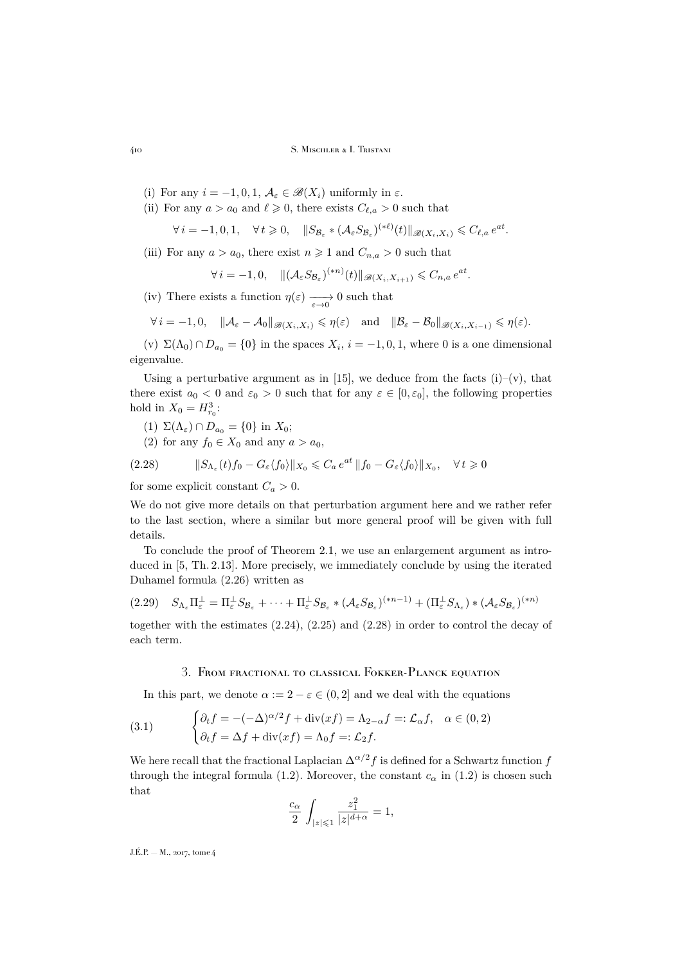- 410 S. Mischler & I. Tristani
	- (i) For any  $i = -1, 0, 1, \mathcal{A}_{\varepsilon} \in \mathscr{B}(X_i)$  uniformly in  $\varepsilon$ .
	- (ii) For any  $a > a_0$  and  $\ell \geq 0$ , there exists  $C_{\ell,a} > 0$  such that

$$
\forall i = -1, 0, 1, \quad \forall t \geq 0, \quad \|S_{\mathcal{B}_{\varepsilon}} * (A_{\varepsilon} S_{\mathcal{B}_{\varepsilon}})^{(*\ell)}(t)\|_{\mathscr{B}(X_i, X_i)} \leqslant C_{\ell, a} e^{at}.
$$

(iii) For any  $a > a_0$ , there exist  $n \ge 1$  and  $C_{n,a} > 0$  such that

$$
\forall i = -1, 0, \quad \| (A_{\varepsilon} S_{\mathcal{B}_{\varepsilon}})^{(*n)}(t) \|_{\mathscr{B}(X_i, X_{i+1})} \leq C_{n, a} e^{at}.
$$

(iv) There exists a function  $\eta(\varepsilon) \longrightarrow 0$  such that

$$
\forall i = -1, 0, \quad \|\mathcal{A}_{\varepsilon} - \mathcal{A}_0\|_{\mathscr{B}(X_i, X_i)} \leq \eta(\varepsilon) \quad \text{and} \quad \|\mathcal{B}_{\varepsilon} - \mathcal{B}_0\|_{\mathscr{B}(X_i, X_{i-1})} \leq \eta(\varepsilon).
$$

(v)  $\Sigma(\Lambda_0) \cap D_{a_0} = \{0\}$  in the spaces  $X_i$ ,  $i = -1, 0, 1$ , where 0 is a one dimensional eigenvalue.

Using a perturbative argument as in [\[15\]](#page-45-4), we deduce from the facts  $(i)$ – $(v)$ , that there exist  $a_0 < 0$  and  $\varepsilon_0 > 0$  such that for any  $\varepsilon \in [0, \varepsilon_0]$ , the following properties hold in  $X_0 = H_{r_0}^3$ :

(1) 
$$
\Sigma(\Lambda_{\varepsilon}) \cap D_{a_0} = \{0\}
$$
 in  $X_0$ ;

<span id="page-22-1"></span>(2) for any  $f_0 \in X_0$  and any  $a > a_0$ ,

(2.28) 
$$
\|S_{\Lambda_{\varepsilon}}(t)f_0 - G_{\varepsilon}\langle f_0 \rangle\|_{X_0} \leqslant C_a e^{at} \|f_0 - G_{\varepsilon}\langle f_0 \rangle\|_{X_0}, \quad \forall t \geqslant 0
$$

for some explicit constant  $C_a > 0$ .

We do not give more details on that perturbation argument here and we rather refer to the last section, where a similar but more general proof will be given with full details.

To conclude the proof of Theorem [2.1,](#page-8-0) we use an enlargement argument as introduced in [\[5,](#page-44-2) Th. 2.13]. More precisely, we immediately conclude by using the iterated Duhamel formula [\(2.26\)](#page-21-3) written as

<span id="page-22-3"></span>
$$
(2.29) \quad S_{\Lambda_{\varepsilon}} \Pi_{\varepsilon}^{\perp} = \Pi_{\varepsilon}^{\perp} S_{\mathcal{B}_{\varepsilon}} + \cdots + \Pi_{\varepsilon}^{\perp} S_{\mathcal{B}_{\varepsilon}} * (\mathcal{A}_{\varepsilon} S_{\mathcal{B}_{\varepsilon}})^{(*n-1)} + (\Pi_{\varepsilon}^{\perp} S_{\Lambda_{\varepsilon}}) * (\mathcal{A}_{\varepsilon} S_{\mathcal{B}_{\varepsilon}})^{(*n)}
$$

together with the estimates [\(2.24\)](#page-21-0), [\(2.25\)](#page-21-1) and [\(2.28\)](#page-22-1) in order to control the decay of each term.

### <span id="page-22-2"></span>3. From fractional to classical Fokker-Planck equation

<span id="page-22-0"></span>In this part, we denote  $\alpha := 2 - \varepsilon \in (0, 2]$  and we deal with the equations

(3.1) 
$$
\begin{cases} \partial_t f = -(-\Delta)^{\alpha/2} f + \operatorname{div}(xf) = \Lambda_{2-\alpha} f =: \mathcal{L}_{\alpha} f, & \alpha \in (0,2) \\ \partial_t f = \Delta f + \operatorname{div}(xf) = \Lambda_0 f =: \mathcal{L}_2 f. \end{cases}
$$

We here recall that the fractional Laplacian  $\Delta^{\alpha/2} f$  is defined for a Schwartz function f through the integral formula [\(1.2\)](#page-2-3). Moreover, the constant  $c_{\alpha}$  in (1.2) is chosen such that

$$
\frac{c_\alpha}{2}\,\int_{|z|\leqslant 1}\frac{z_1^2}{|z|^{d+\alpha}}=1,
$$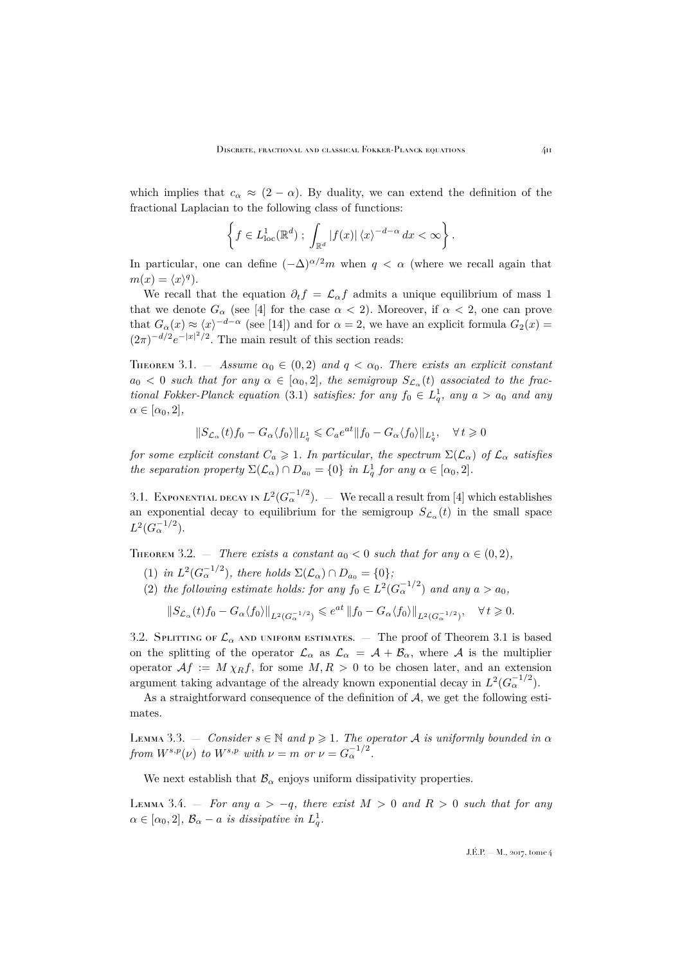which implies that  $c_{\alpha} \approx (2 - \alpha)$ . By duality, we can extend the definition of the fractional Laplacian to the following class of functions:

$$
\left\{f\in L^1_{\text{loc}}(\mathbb{R}^d)\;;\; \int_{\mathbb{R}^d} |f(x)| \,\langle x\rangle^{-d-\alpha} \,dx < \infty\right\}.
$$

In particular, one can define  $(-\Delta)^{\alpha/2}m$  when  $q < \alpha$  (where we recall again that  $m(x) = \langle x \rangle^q$ .

We recall that the equation  $\partial_t f = \mathcal{L}_{\alpha} f$  admits a unique equilibrium of mass 1 that we denote  $G_{\alpha}$  (see [\[4\]](#page-44-9) for the case  $\alpha < 2$ ). Moreover, if  $\alpha < 2$ , one can prove that  $G_{\alpha}(x) \approx \langle x \rangle^{-d-\alpha}$  (see [\[14\]](#page-45-1)) and for  $\alpha = 2$ , we have an explicit formula  $G_2(x) =$  $(2\pi)^{-d/2}e^{-|x|^2/2}$ . The main result of this section reads:

<span id="page-23-0"></span>THEOREM 3.1. — *Assume*  $\alpha_0 \in (0, 2)$  *and*  $q < \alpha_0$ *. There exists an explicit constant*  $a_0 < 0$  such that for any  $\alpha \in [\alpha_0, 2]$ , the semigroup  $S_{\mathcal{L}_{\alpha}}(t)$  associated to the frac*tional Fokker-Planck equation* [\(3.1\)](#page-22-2) *satisfies: for any*  $f_0 \in L_q^1$ , any  $a > a_0$  and any  $\alpha \in [\alpha_0, 2]$ ,

$$
\|S_{\mathcal{L}_{\alpha}}(t)f_0-G_{\alpha}\langle f_0 \rangle\|_{L^1_q}\leqslant C_a e^{at}\|f_0-G_{\alpha}\langle f_0 \rangle\|_{L^1_q}, \quad \forall\, t\geqslant 0
$$

*for some explicit constant*  $C_a \geq 1$ *. In particular, the spectrum*  $\Sigma(\mathcal{L}_{\alpha})$  *of*  $\mathcal{L}_{\alpha}$  *satisfies the separation property*  $\Sigma(\mathcal{L}_{\alpha}) \cap D_{a_0} = \{0\}$  *in*  $L_q^1$  *for any*  $\alpha \in [\alpha_0, 2]$ *.* 

3.1. Exponential decay in  $L^2(G_{\alpha}^{-1/2})$ .  $-$  We recall a result from [\[4\]](#page-44-9) which establishes an exponential decay to equilibrium for the semigroup  $S_{\mathcal{L}_{\alpha}}(t)$  in the small space  $L^2(G_{\alpha}^{-1/2}).$ 

<span id="page-23-1"></span>THEOREM 3.2. — *There exists a constant*  $a_0 < 0$  *such that for any*  $\alpha \in (0, 2)$ *,* 

- (1) *in*  $L^2(G_\alpha^{-1/2})$ *, there holds*  $\Sigma(\mathcal{L}_\alpha) \cap D_{a_0} = \{0\}$ *;*
- (2) the following estimate holds: for any  $f_0 \in L^2(G_\alpha^{-1/2})$  and any  $a > a_0$ ,

$$
\left\|S_{\mathcal{L}_{\alpha}}(t)f_0-G_{\alpha}\langle f_0\rangle\right\|_{L^2(G_{\alpha}^{-1/2})}\leqslant e^{at}\left\|f_0-G_{\alpha}\langle f_0\rangle\right\|_{L^2(G_{\alpha}^{-1/2})},\quad\forall\,t\geqslant 0.
$$

3.2. SPLITTING OF  $\mathcal{L}_{\alpha}$  and uniform estimates.  $-$  The proof of Theorem [3.1](#page-23-0) is based on the splitting of the operator  $\mathcal{L}_{\alpha}$  as  $\mathcal{L}_{\alpha} = \mathcal{A} + \mathcal{B}_{\alpha}$ , where  $\mathcal{A}$  is the multiplier operator  $Af := M \chi_R f$ , for some  $M, R > 0$  to be chosen later, and an extension argument taking advantage of the already known exponential decay in  $L^2(G_{\alpha}^{-1/2})$ .

As a straightforward consequence of the definition of  $A$ , we get the following estimates.

<span id="page-23-3"></span>LEMMA 3.3.  $-$  *Consider*  $s \in \mathbb{N}$  *and*  $p \ge 1$ *. The operator A is uniformly bounded in*  $\alpha$ *from*  $W^{s,p}(\nu)$  *to*  $W^{s,p}$  *with*  $\nu = m$  *or*  $\nu = G_{\alpha}^{-1/2}$ *.* 

We next establish that  $\mathcal{B}_{\alpha}$  enjoys uniform dissipativity properties.

<span id="page-23-2"></span>Lemma 3.4. — *For any* a > −q*, there exist* M > 0 *and* R > 0 *such that for any*  $\alpha \in [\alpha_0, 2], \ \mathcal{B}_{\alpha} - a \ \text{is dissipative in } L_q^1.$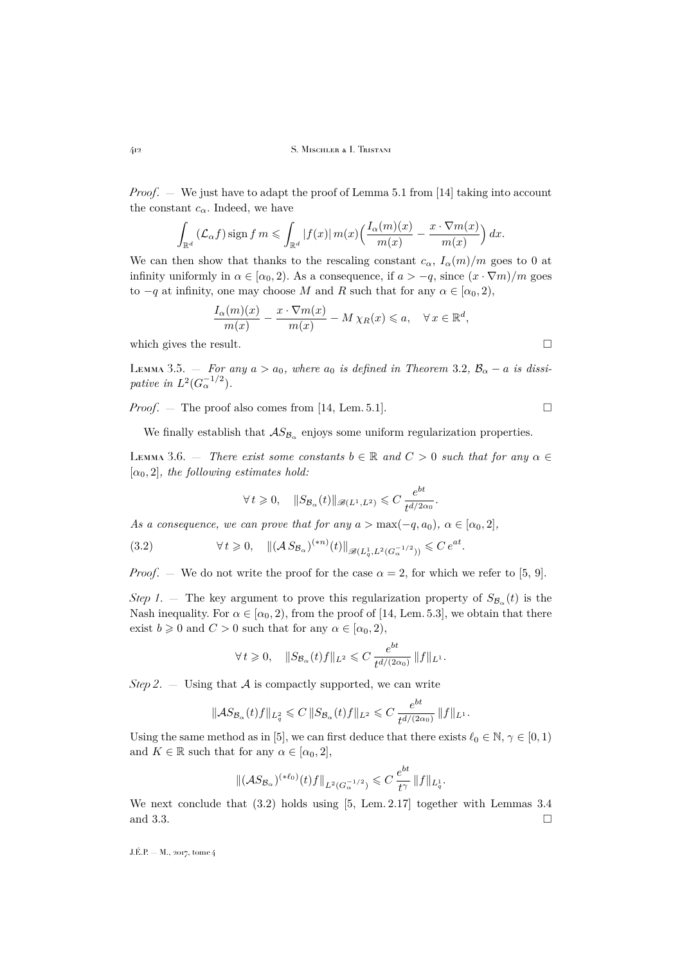*Proof*. — We just have to adapt the proof of Lemma 5.1 from [\[14\]](#page-45-1) taking into account the constant  $c_{\alpha}$ . Indeed, we have

$$
\int_{\mathbb{R}^d} (\mathcal{L}_{\alpha} f) \operatorname{sign} f m \leqslant \int_{\mathbb{R}^d} |f(x)| m(x) \Big( \frac{I_{\alpha}(m)(x)}{m(x)} - \frac{x \cdot \nabla m(x)}{m(x)} \Big) dx.
$$

We can then show that thanks to the rescaling constant  $c_{\alpha}$ ,  $I_{\alpha}(m)/m$  goes to 0 at infinity uniformly in  $\alpha \in [\alpha_0, 2)$ . As a consequence, if  $a > -q$ , since  $(x \cdot \nabla m)/m$  goes to  $-q$  at infinity, one may choose M and R such that for any  $\alpha \in [\alpha_0, 2)$ ,

$$
\frac{I_{\alpha}(m)(x)}{m(x)} - \frac{x \cdot \nabla m(x)}{m(x)} - M \chi_R(x) \leq a, \quad \forall x \in \mathbb{R}^d,
$$

which gives the result.  $\Box$ 

<span id="page-24-1"></span>LEMMA 3.5.  $-$  *For any*  $a > a_0$ *, where*  $a_0$  *is defined in Theorem* [3.2](#page-23-1),  $B_\alpha - a$  *is dissipative in*  $L^2(G_{\alpha}^{-1/2})$ *.* 

*Proof.* — The proof also comes from [\[14,](#page-45-1) Lem. 5.1].

We finally establish that  $AS_{\mathcal{B}_{\alpha}}$  enjoys some uniform regularization properties.

<span id="page-24-2"></span>LEMMA 3.6. — *There exist some constants*  $b \in \mathbb{R}$  and  $C > 0$  *such that for any*  $\alpha \in$  $[\alpha_0, 2]$ *, the following estimates hold:* 

<span id="page-24-0"></span>
$$
\forall t \geqslant 0, \quad \|S_{\mathcal{B}_{\alpha}}(t)\|_{\mathscr{B}(L^1, L^2)} \leqslant C \, \frac{e^{bt}}{t^{d/2\alpha_0}}.
$$

*As a consequence, we can prove that for any*  $a > \max(-q, a_0)$ ,  $\alpha \in [\alpha_0, 2]$ ,

(3.2) 
$$
\forall t \geq 0, \quad \| (\mathcal{A} S_{\mathcal{B}_{\alpha}})^{(*n)}(t) \|_{\mathscr{B}(L^1_q, L^2(G_{\alpha}^{-1/2}))} \leq C e^{at}.
$$

*Proof.* — We do not write the proof for the case  $\alpha = 2$ , for which we refer to [\[5,](#page-44-2) [9\]](#page-44-3).

*Step 1*. – The key argument to prove this regularization property of  $S_{\mathcal{B}_{\alpha}}(t)$  is the Nash inequality. For  $\alpha \in [\alpha_0, 2)$ , from the proof of [\[14,](#page-45-1) Lem. 5.3], we obtain that there exist  $b \ge 0$  and  $C > 0$  such that for any  $\alpha \in [\alpha_0, 2)$ ,

$$
\forall\,t\geqslant 0,\quad \|S_{{\mathcal B}_\alpha}(t)f\|_{L^2}\leqslant C\,\frac{e^{bt}}{t^{d/(2\alpha_0)}}\,\|f\|_{L^1}.
$$

*Step 2.*  $\equiv$  Using that A is compactly supported, we can write

$$
\|\mathcal{A}S_{\mathcal{B}_{\alpha}}(t)f\|_{L^2_q} \leqslant C\, \|S_{\mathcal{B}_{\alpha}}(t)f\|_{L^2} \leqslant C\, \frac{e^{bt}}{t^{d/(2\alpha_0)}}\, \|f\|_{L^1}.
$$

Using the same method as in [\[5\]](#page-44-2), we can first deduce that there exists  $\ell_0 \in \mathbb{N}, \gamma \in [0, 1)$ and  $K \in \mathbb{R}$  such that for any  $\alpha \in [\alpha_0, 2]$ ,

$$
\|({\mathcal A} S_{{\mathcal B}_{\alpha}})^{(*\ell_0)}(t)f\|_{L^2(G_{\alpha}^{-1/2})} \leqslant C\,\frac{e^{bt}}{t^{\gamma}}\,\|f\|_{L^1_q}.
$$

We next conclude that [\(3.2\)](#page-24-0) holds using [\[5,](#page-44-2) Lem. 2.17] together with Lemmas [3.4](#page-23-2) and [3.3.](#page-23-3)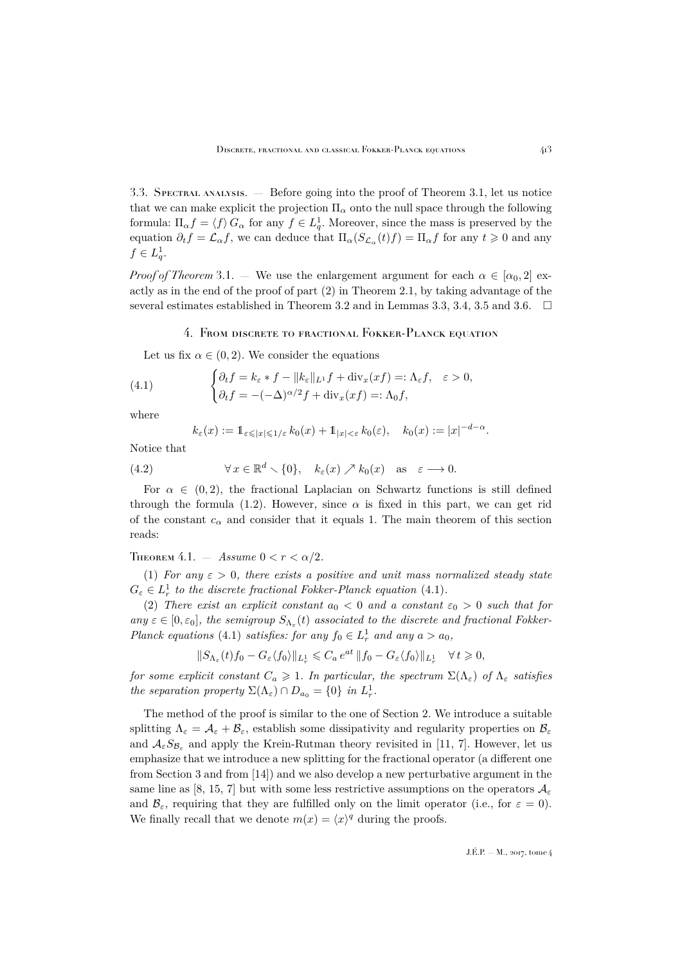3.3. Spectral analysis. — Before going into the proof of Theorem [3.1,](#page-23-0) let us notice that we can make explicit the projection  $\Pi_{\alpha}$  onto the null space through the following formula:  $\Pi_{\alpha} f = \langle f \rangle G_{\alpha}$  for any  $f \in L_q^1$ . Moreover, since the mass is preserved by the equation  $\partial_t f = \mathcal{L}_{\alpha} f$ , we can deduce that  $\Pi_{\alpha}(S_{\mathcal{L}_{\alpha}}(t) f) = \Pi_{\alpha} f$  for any  $t \geq 0$  and any  $f \in L_q^1$ .

*Proof of Theorem* [3.1.](#page-23-0) — We use the enlargement argument for each  $\alpha \in [\alpha_0, 2]$  exactly as in the end of the proof of part (2) in Theorem [2.1,](#page-8-0) by taking advantage of the several estimates established in Theorem [3.2](#page-23-1) and in Lemmas [3.3,](#page-23-3) [3.4,](#page-23-2) [3.5](#page-24-1) and [3.6.](#page-24-2)  $\Box$ 

### 4. From discrete to fractional Fokker-Planck equation

<span id="page-25-0"></span>Let us fix  $\alpha \in (0, 2)$ . We consider the equations

(4.1) 
$$
\begin{cases} \partial_t f = k_{\varepsilon} * f - ||k_{\varepsilon}||_{L^1} f + \text{div}_x(xf) =: \Lambda_{\varepsilon} f, & \varepsilon > 0, \\ \partial_t f = -(-\Delta)^{\alpha/2} f + \text{div}_x(xf) =: \Lambda_0 f, \end{cases}
$$

where

<span id="page-25-1"></span>
$$
k_{\varepsilon}(x) := \mathbb{1}_{\varepsilon \leqslant |x| \leqslant 1/\varepsilon} k_0(x) + \mathbb{1}_{|x| < \varepsilon} k_0(\varepsilon), \quad k_0(x) := |x|^{-d-\alpha}.
$$

Notice that

(4.2) 
$$
\forall x \in \mathbb{R}^d \setminus \{0\}, \quad k_{\varepsilon}(x) \nearrow k_0(x) \quad \text{as} \quad \varepsilon \longrightarrow 0.
$$

For  $\alpha \in (0, 2)$ , the fractional Laplacian on Schwartz functions is still defined through the formula [\(1.2\)](#page-2-3). However, since  $\alpha$  is fixed in this part, we can get rid of the constant  $c_{\alpha}$  and consider that it equals 1. The main theorem of this section reads:

<span id="page-25-2"></span>THEOREM 4.1.  $-$  *Assume*  $0 < r < \alpha/2$ .

<span id="page-25-3"></span>(1) *For any*  $\varepsilon > 0$ *, there exists a positive and unit mass normalized steady state*  $G_{\varepsilon} \in L_r^1$  to the discrete fractional Fokker-Planck equation [\(4.1\)](#page-25-1).

<span id="page-25-4"></span>(2) *There exist an explicit constant*  $a_0 < 0$  *and* a constant  $\varepsilon_0 > 0$  *such that for*  $any \varepsilon \in [0, \varepsilon_0],$  the semigroup  $S_{\Lambda_{\varepsilon}}(t)$  associated to the discrete and fractional Fokker-*Planck equations* [\(4.1\)](#page-25-1) *satisfies: for any*  $f_0 \in L^1_r$  *and any*  $a > a_0$ ,

$$
\|S_{\Lambda_{\varepsilon}}(t)f_0-G_{\varepsilon}\langle f_0\rangle\|_{L^1_{r}}\leqslant C_a\,e^{at}\,\|f_0-G_{\varepsilon}\langle f_0\rangle\|_{L^1_{r}}\quad\forall\,t\geqslant 0,
$$

*for some explicit constant*  $C_a \geq 1$ *. In particular, the spectrum*  $\Sigma(\Lambda_{\varepsilon})$  *of*  $\Lambda_{\varepsilon}$  *satisfies the separation property*  $\Sigma(\Lambda_{\varepsilon}) \cap D_{a_0} = \{0\}$  *in*  $L_r^1$ *.* 

The method of the proof is similar to the one of Section [2.](#page-7-0) We introduce a suitable splitting  $\Lambda_{\varepsilon} = \mathcal{A}_{\varepsilon} + \mathcal{B}_{\varepsilon}$ , establish some dissipativity and regularity properties on  $\mathcal{B}_{\varepsilon}$ and  $\mathcal{A}_{\varepsilon}S_{\mathcal{B}_{\varepsilon}}$  and apply the Krein-Rutman theory revisited in [\[11,](#page-45-3) [7\]](#page-44-4). However, let us emphasize that we introduce a new splitting for the fractional operator (a different one from Section [3](#page-22-0) and from [\[14\]](#page-45-1)) and we also develop a new perturbative argument in the same line as [\[8,](#page-44-1) [15,](#page-45-4) [7\]](#page-44-4) but with some less restrictive assumptions on the operators  $\mathcal{A}_{\varepsilon}$ and  $\mathcal{B}_{\varepsilon}$ , requiring that they are fulfilled only on the limit operator (i.e., for  $\varepsilon = 0$ ). We finally recall that we denote  $m(x) = \langle x \rangle^q$  during the proofs.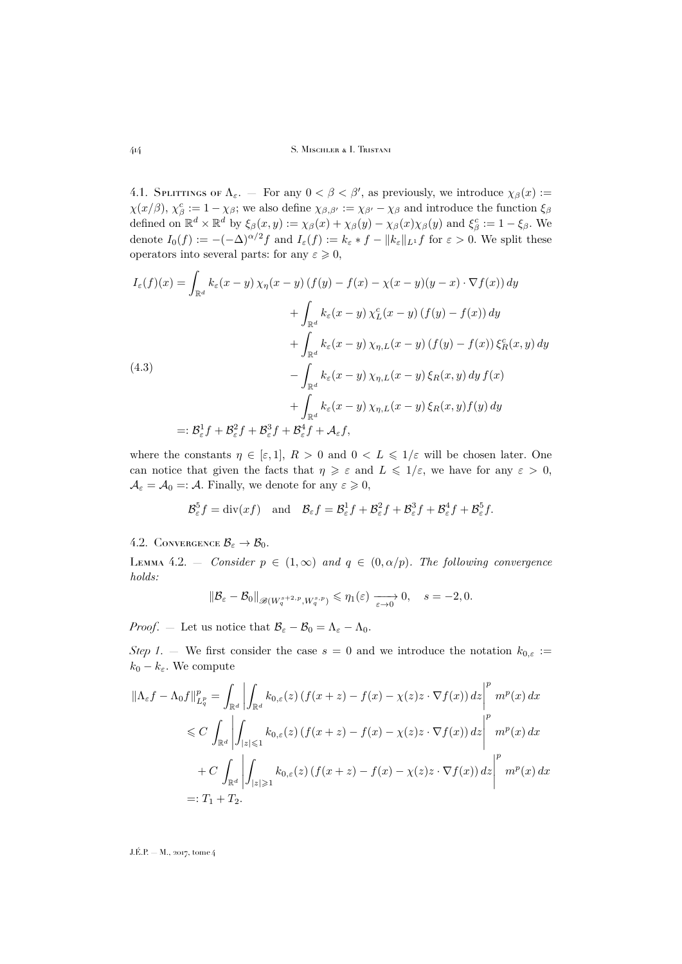4.1. SPLITTINGS OF  $\Lambda_{\varepsilon}$ . – For any  $0 < \beta < \beta'$ , as previously, we introduce  $\chi_{\beta}(x)$ :  $\chi(x/\beta), \chi^c_\beta := 1 - \chi_\beta$ ; we also define  $\chi_{\beta,\beta'} := \chi_{\beta'} - \chi_\beta$  and introduce the function  $\xi_\beta$ defined on  $\mathbb{R}^d \times \mathbb{R}^d$  by  $\xi_\beta(x, y) := \chi_\beta(x) + \chi_\beta(y) - \chi_\beta(x)\chi_\beta(y)$  and  $\xi_\beta^c := 1 - \xi_\beta$ . We denote  $I_0(f) := -(-\Delta)^{\alpha/2} f$  and  $I_{\varepsilon}(f) := k_{\varepsilon} * f - ||k_{\varepsilon}||_{L^1} f$  for  $\varepsilon > 0$ . We split these operators into several parts: for any  $\varepsilon \geqslant 0$ ,

<span id="page-26-0"></span>
$$
I_{\varepsilon}(f)(x) = \int_{\mathbb{R}^d} k_{\varepsilon}(x - y) \chi_{\eta}(x - y) (f(y) - f(x) - \chi(x - y)(y - x) \cdot \nabla f(x)) dy
$$
  
+ 
$$
\int_{\mathbb{R}^d} k_{\varepsilon}(x - y) \chi_L^c(x - y) (f(y) - f(x)) dy
$$
  
+ 
$$
\int_{\mathbb{R}^d} k_{\varepsilon}(x - y) \chi_{\eta, L}(x - y) (f(y) - f(x)) \xi_R^c(x, y) dy
$$
  
(4.3)  
- 
$$
\int_{\mathbb{R}^d} k_{\varepsilon}(x - y) \chi_{\eta, L}(x - y) \xi_R(x, y) dy f(x)
$$
  
+ 
$$
\int_{\mathbb{R}^d} k_{\varepsilon}(x - y) \chi_{\eta, L}(x - y) \xi_R(x, y) f(y) dy
$$
  
=: 
$$
\mathcal{B}_{\varepsilon}^1 f + \mathcal{B}_{\varepsilon}^2 f + \mathcal{B}_{\varepsilon}^3 f + \mathcal{B}_{\varepsilon}^4 f + \mathcal{A}_{\varepsilon} f,
$$

where the constants  $\eta \in [\varepsilon, 1], R > 0$  and  $0 < L \leq 1/\varepsilon$  will be chosen later. One can notice that given the facts that  $\eta \geq \varepsilon$  and  $L \leq 1/\varepsilon$ , we have for any  $\varepsilon > 0$ ,  $\mathcal{A}_{\varepsilon} = \mathcal{A}_{0} =: \mathcal{A}$ . Finally, we denote for any  $\varepsilon \geqslant 0$ ,

$$
\mathcal{B}_{\varepsilon}^{5}f = \text{div}(xf) \quad \text{and} \quad \mathcal{B}_{\varepsilon}f = \mathcal{B}_{\varepsilon}^{1}f + \mathcal{B}_{\varepsilon}^{2}f + \mathcal{B}_{\varepsilon}^{3}f + \mathcal{B}_{\varepsilon}^{4}f + \mathcal{B}_{\varepsilon}^{5}f.
$$

4.2. CONVERGENCE  $\mathcal{B}_{\varepsilon} \to \mathcal{B}_0$ .

<span id="page-26-1"></span>LEMMA 4.2. – *Consider*  $p \in (1,\infty)$  *and*  $q \in (0,\alpha/p)$ *. The following convergence holds:*

$$
\|\mathcal{B}_{\varepsilon}-\mathcal{B}_0\|_{\mathscr{B}(W_q^{s+2,p}, W_q^{s,p})}\leqslant \eta_1(\varepsilon)\xrightarrow[\varepsilon\to 0]{} 0,\quad s=-2,0.
$$

*Proof.* — Let us notice that  $\mathcal{B}_{\varepsilon} - \mathcal{B}_0 = \Lambda_{\varepsilon} - \Lambda_0$ .

*Step 1*. — We first consider the case  $s = 0$  and we introduce the notation  $k_{0,\varepsilon}$  :=  $k_0 - k_{\varepsilon}$ . We compute

$$
\begin{split} \|\Lambda_{\varepsilon}f - \Lambda_{0}f\|_{L_{q}^{p}}^{p} &= \int_{\mathbb{R}^{d}}\left|\int_{\mathbb{R}^{d}}k_{0,\varepsilon}(z)\left(f(x+z) - f(x) - \chi(z)z\cdot\nabla f(x)\right)dz\right|^{p} \, m^{p}(x) \, dx \\ &\leqslant C\,\int_{\mathbb{R}^{d}}\left|\int_{|z|\leqslant 1}k_{0,\varepsilon}(z)\left(f(x+z) - f(x) - \chi(z)z\cdot\nabla f(x)\right)dz\right|^{p} \, m^{p}(x) \, dx \\ &\quad + C\,\int_{\mathbb{R}^{d}}\left|\int_{|z|\geqslant 1}k_{0,\varepsilon}(z)\left(f(x+z) - f(x) - \chi(z)z\cdot\nabla f(x)\right)dz\right|^{p} \, m^{p}(x) \, dx \\ &=: T_{1} + T_{2}. \end{split}
$$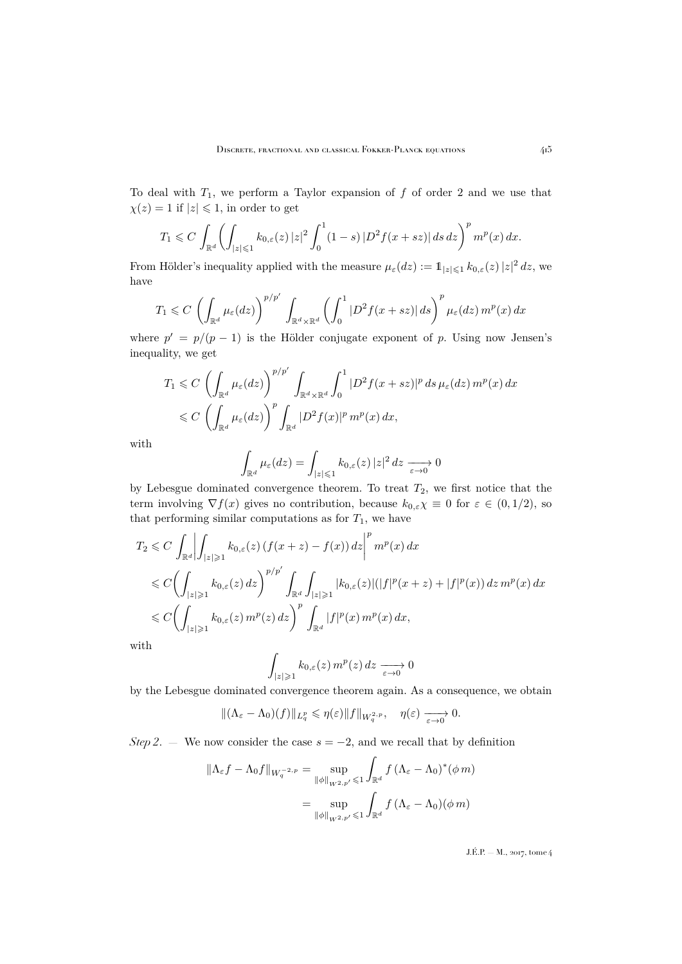To deal with  $T_1$ , we perform a Taylor expansion of  $f$  of order 2 and we use that  $\chi(z) = 1$  if  $|z| \leq 1$ , in order to get

$$
T_1 \leqslant C \, \int_{\mathbb{R}^d} \biggl( \int_{|z| \leqslant 1} k_{0,\varepsilon}(z) \, |z|^2 \int_0^1 (1-s) \, |D^2 f(x+sz)| \, ds \, dz \biggr)^p \, m^p(x) \, dx.
$$

From Hölder's inequality applied with the measure  $\mu_{\varepsilon}(dz) := 1_{|z| \leq 1} k_{0,\varepsilon}(z) |z|^2 dz$ , we have

$$
T_1 \leqslant C \left( \int_{\mathbb{R}^d} \mu_{\varepsilon}(dz) \right)^{p/p'} \int_{\mathbb{R}^d \times \mathbb{R}^d} \left( \int_0^1 |D^2 f(x+sz)| ds \right)^p \mu_{\varepsilon}(dz) m^p(x) dx
$$

where  $p' = p/(p-1)$  is the Hölder conjugate exponent of p. Using now Jensen's inequality, we get

$$
T_1 \leqslant C \left( \int_{\mathbb{R}^d} \mu_{\varepsilon}(dz) \right)^{p/p'} \int_{\mathbb{R}^d \times \mathbb{R}^d} \int_0^1 |D^2 f(x+sz)|^p \, ds \, \mu_{\varepsilon}(dz) \, m^p(x) \, dx
$$
  
\$\leqslant C \left( \int\_{\mathbb{R}^d} \mu\_{\varepsilon}(dz) \right)^p \int\_{\mathbb{R}^d} |D^2 f(x)|^p \, m^p(x) \, dx, \,

with

$$
\int_{\mathbb{R}^d} \mu_{\varepsilon}(dz) = \int_{|z| \leq 1} k_{0,\varepsilon}(z) |z|^2 dz \xrightarrow[\varepsilon \to 0]{} 0
$$

by Lebesgue dominated convergence theorem. To treat  $T_2$ , we first notice that the term involving  $\nabla f(x)$  gives no contribution, because  $k_{0,\varepsilon}\chi \equiv 0$  for  $\varepsilon \in (0,1/2)$ , so that performing similar computations as for  $T_1$ , we have

$$
T_2 \leq C \int_{\mathbb{R}^d} \left| \int_{|z| \geq 1} k_{0,\varepsilon}(z) \left( f(x+z) - f(x) \right) dz \right|^p m^p(x) dx
$$
  
\n
$$
\leq C \left( \int_{|z| \geq 1} k_{0,\varepsilon}(z) dz \right)^{p/p'} \int_{\mathbb{R}^d} \int_{|z| \geq 1} |k_{0,\varepsilon}(z)| (|f|^p(x+z) + |f|^p(x)) dz m^p(x) dx
$$
  
\n
$$
\leq C \left( \int_{|z| \geq 1} k_{0,\varepsilon}(z) m^p(z) dz \right)^p \int_{\mathbb{R}^d} |f|^p(x) m^p(x) dx,
$$

with

$$
\int_{|z|\geqslant 1} k_{0,\varepsilon}(z) \, m^p(z) \, dz \xrightarrow[\varepsilon \to 0]{} 0
$$

by the Lebesgue dominated convergence theorem again. As a consequence, we obtain

$$
\|(\Lambda_{\varepsilon}-\Lambda_0)(f)\|_{L^p_q}\leqslant \eta(\varepsilon)\|f\|_{W_q^{2,p}},\quad \eta(\varepsilon)\xrightarrow[\varepsilon\to 0]{}0.
$$

*Step 2.* — We now consider the case  $s = -2$ , and we recall that by definition

$$
\|\Lambda_{\varepsilon}f - \Lambda_0f\|_{W_q^{-2,p}} = \sup_{\|\phi\|_{W^{2,p'}} \leq 1} \int_{\mathbb{R}^d} f(\Lambda_{\varepsilon} - \Lambda_0)^*(\phi m)
$$

$$
= \sup_{\|\phi\|_{W^{2,p'}} \leq 1} \int_{\mathbb{R}^d} f(\Lambda_{\varepsilon} - \Lambda_0)(\phi m)
$$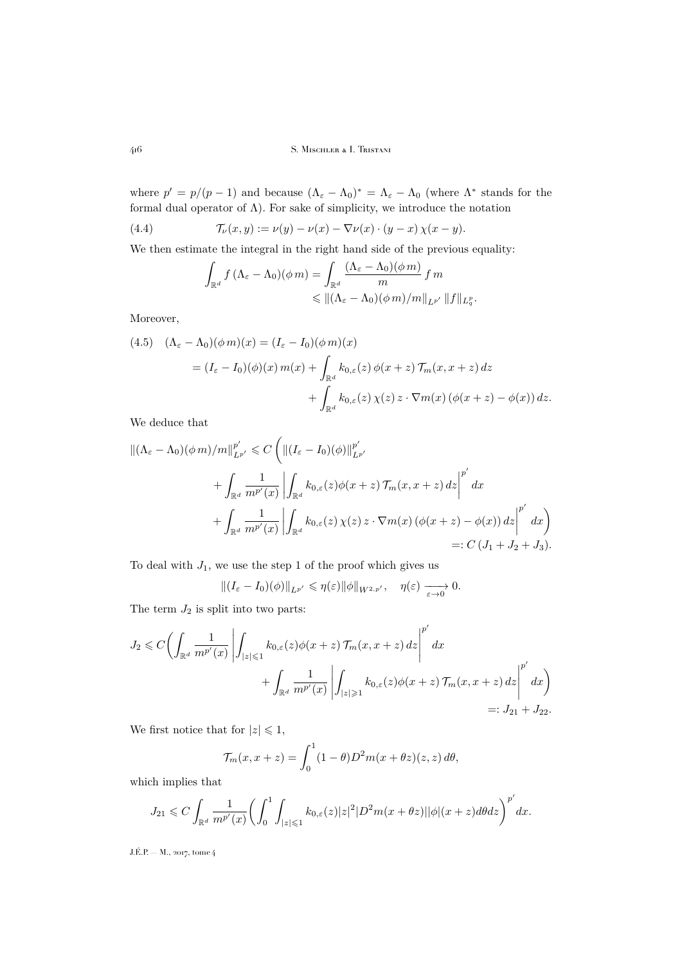where  $p' = p/(p-1)$  and because  $(\Lambda_{\varepsilon} - \Lambda_0)^* = \Lambda_{\varepsilon} - \Lambda_0$  (where  $\Lambda^*$  stands for the formal dual operator of  $\Lambda$ ). For sake of simplicity, we introduce the notation

(4.4) 
$$
\mathcal{T}_{\nu}(x,y) := \nu(y) - \nu(x) - \nabla \nu(x) \cdot (y-x) \chi(x-y).
$$

We then estimate the integral in the right hand side of the previous equality:

<span id="page-28-0"></span>
$$
\int_{\mathbb{R}^d} f(\Lambda_{\varepsilon} - \Lambda_0)(\phi m) = \int_{\mathbb{R}^d} \frac{(\Lambda_{\varepsilon} - \Lambda_0)(\phi m)}{m} f m
$$
  
\$\leqslant \left\| (\Lambda\_{\varepsilon} - \Lambda\_0)(\phi m) / m \right\|\_{L^{p'}} \|f\|\_{L^p\_q}\$.

Moreover,

<span id="page-28-1"></span>(4.5) 
$$
(\Lambda_{\varepsilon} - \Lambda_0)(\phi m)(x) = (I_{\varepsilon} - I_0)(\phi m)(x)
$$

$$
= (I_{\varepsilon} - I_0)(\phi)(x) m(x) + \int_{\mathbb{R}^d} k_{0,\varepsilon}(z) \phi(x+z) \mathcal{T}_m(x, x+z) dz
$$

$$
+ \int_{\mathbb{R}^d} k_{0,\varepsilon}(z) \chi(z) z \cdot \nabla m(x) (\phi(x+z) - \phi(x)) dz.
$$

We deduce that

$$
\begin{split} \left\| (\Lambda_{\varepsilon} - \Lambda_0)(\phi \, m) / m \right\|_{L^{p'}}^{p'} &\leq C \left( \left\| (I_{\varepsilon} - I_0)(\phi) \right\|_{L^{p'}}^{p'} \\ &+ \int_{\mathbb{R}^d} \frac{1}{m^{p'}(x)} \left| \int_{\mathbb{R}^d} k_{0,\varepsilon}(z) \phi(x+z) \, \mathcal{T}_m(x, x+z) \, dz \right|^{p'} dx \right. \\ &\left. + \int_{\mathbb{R}^d} \frac{1}{m^{p'}(x)} \left| \int_{\mathbb{R}^d} k_{0,\varepsilon}(z) \, \chi(z) \, z \cdot \nabla m(x) \left( \phi(x+z) - \phi(x) \right) dz \right|^{p'} dx \right) \\ &=: C \left( J_1 + J_2 + J_3 \right). \end{split}
$$

To deal with  $J_1$ , we use the step 1 of the proof which gives us

$$
\left\| (I_{\varepsilon} - I_0)(\phi) \right\|_{L^{p'}} \leqslant \eta(\varepsilon) \|\phi\|_{W^{2,p'}}, \quad \eta(\varepsilon) \xrightarrow[\varepsilon \to 0]{} 0.
$$

The term  $J_2$  is split into two parts:

$$
J_2 \leq C \left( \int_{\mathbb{R}^d} \frac{1}{m^{p'}(x)} \left| \int_{|z| \leq 1} k_{0,\varepsilon}(z) \phi(x+z) \mathcal{T}_m(x,x+z) \, dz \right|^{p'} dx + \int_{\mathbb{R}^d} \frac{1}{m^{p'}(x)} \left| \int_{|z| \geq 1} k_{0,\varepsilon}(z) \phi(x+z) \mathcal{T}_m(x,x+z) \, dz \right|^{p'} dx \right)
$$
  
 
$$
=: J_{21} + J_{22}.
$$

We first notice that for  $|z| \leq 1$ ,

$$
\mathcal{T}_m(x, x+z) = \int_0^1 (1-\theta) D^2 m(x+\theta z)(z, z) d\theta,
$$

which implies that

$$
J_{21} \leqslant C \int_{\mathbb{R}^d} \frac{1}{m^{p'}(x)} \bigg( \int_0^1 \int_{|z| \leqslant 1} k_{0,\varepsilon}(z) |z|^2 |D^2 m(x + \theta z)| |\phi|(x + z) d\theta dz \bigg)^{p'} dx.
$$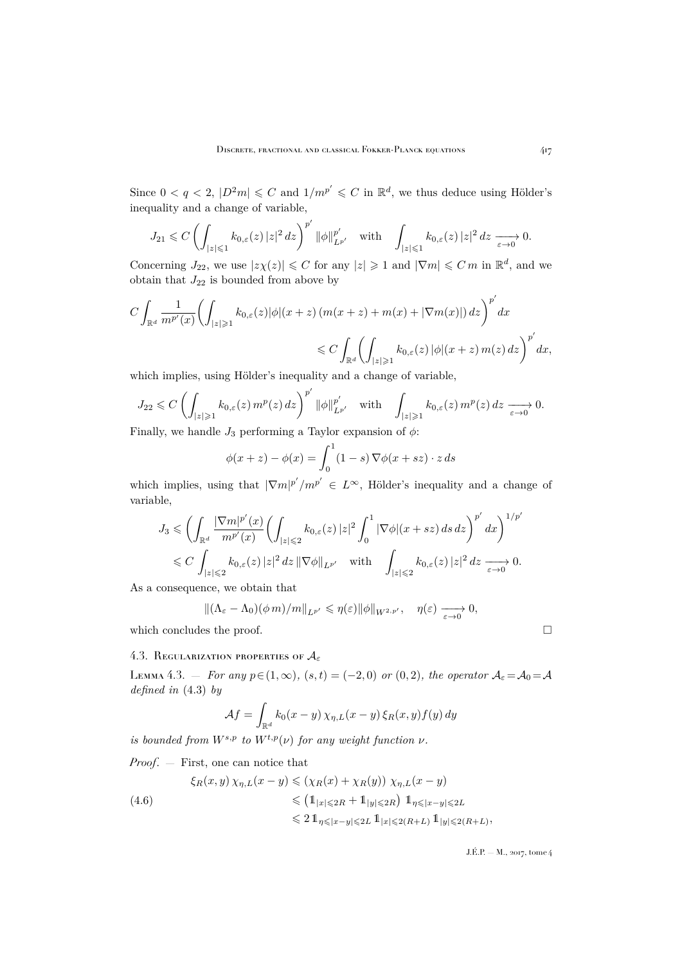Since  $0 < q < 2$ ,  $|D^2m| \leq C$  and  $1/m^{p'} \leq C$  in  $\mathbb{R}^d$ , we thus deduce using Hölder's inequality and a change of variable,

$$
J_{21} \leqslant C \left( \int_{|z| \leqslant 1} k_{0,\varepsilon}(z) |z|^2 \, dz \right)^{p'} \|\phi\|_{L^{p'}}^{p'} \quad \text{with} \quad \int_{|z| \leqslant 1} k_{0,\varepsilon}(z) |z|^2 \, dz \xrightarrow[\varepsilon \to 0]{} 0.
$$

Concerning  $J_{22}$ , we use  $|z\chi(z)| \leq C$  for any  $|z| \geq 1$  and  $|\nabla m| \leq C m$  in  $\mathbb{R}^d$ , and we obtain that  ${\cal J}_{22}$  is bounded from above by

$$
C \int_{\mathbb{R}^d} \frac{1}{m^{p'}(x)} \left( \int_{|z| \geq 1} k_{0,\varepsilon}(z) |\phi|(x+z) \left( m(x+z) + m(x) + |\nabla m(x)| \right) dz \right)^{p'} dx
$$
  

$$
\leq C \int_{\mathbb{R}^d} \left( \int_{|z| \geq 1} k_{0,\varepsilon}(z) |\phi|(x+z) m(z) dz \right)^{p'} dx,
$$

which implies, using Hölder's inequality and a change of variable,

$$
J_{22} \leqslant C \left( \int_{|z| \geqslant 1} k_{0,\varepsilon}(z) \, m^p(z) \, dz \right)^{p'} \|\phi\|_{L^{p'}}^{p'}, \quad \text{with} \quad \int_{|z| \geqslant 1} k_{0,\varepsilon}(z) \, m^p(z) \, dz \xrightarrow[\varepsilon \to 0]{} 0.
$$

Finally, we handle  $J_3$  performing a Taylor expansion of  $\phi$ :

$$
\phi(x+z) - \phi(x) = \int_0^1 (1-s) \nabla \phi(x+sz) \cdot z \, ds
$$

which implies, using that  $|\nabla m|^{p'} / m^{p'} \in L^{\infty}$ , Hölder's inequality and a change of variable,

$$
J_3 \leqslant \left(\int_{\mathbb{R}^d} \frac{|\nabla m|^{p'}(x)}{m^{p'}(x)} \left(\int_{|z| \leqslant 2} k_{0,\varepsilon}(z) |z|^2 \int_0^1 |\nabla \phi|(x+sz) ds dz\right)^{p'} dx\right)^{1/p'}\n\leqslant C \int_{|z| \leqslant 2} k_{0,\varepsilon}(z) |z|^2 dz \, \|\nabla \phi\|_{L^{p'}} \quad \text{with} \quad \int_{|z| \leqslant 2} k_{0,\varepsilon}(z) |z|^2 dz \xrightarrow[\varepsilon \to 0]{} 0.
$$

As a consequence, we obtain that

$$
\|(\Lambda_{\varepsilon}-\Lambda_0)(\phi m)/m\|_{L^{p'}}\leqslant \eta(\varepsilon)\|\phi\|_{W^{2,p'}},\quad \eta(\varepsilon)\xrightarrow[\varepsilon\to 0]{}0,
$$

which concludes the proof.  $\hfill \square$ 

### 4.3. REGULARIZATION PROPERTIES OF  $A_{\varepsilon}$

<span id="page-29-0"></span>LEMMA 4.3. – *For any*  $p \in (1, \infty)$ *,*  $(s, t) = (-2, 0)$  *or*  $(0, 2)$ *, the operator*  $\mathcal{A}_{\varepsilon} = \mathcal{A}_0 = \mathcal{A}$ *defined in* [\(4.3\)](#page-26-0) *by*

$$
\mathcal{A}f = \int_{\mathbb{R}^d} k_0(x - y) \,\chi_{\eta, L}(x - y) \,\xi_R(x, y) f(y) \,dy
$$

*is bounded from*  $W^{s,p}$  *to*  $W^{t,p}(\nu)$  *for any weight function*  $\nu$ *.* 

*Proof*. — First, one can notice that

<span id="page-29-1"></span>
$$
\xi_R(x, y) \chi_{\eta, L}(x - y) \le (\chi_R(x) + \chi_R(y)) \chi_{\eta, L}(x - y)
$$
  

$$
\le (1_{|x| \le 2R} + 1_{|y| \le 2R}) 1_{\eta \le |x - y| \le 2L}
$$
  

$$
\le 2 1_{\eta \le |x - y| \le 2L} 1_{|x| \le 2(R + L)} 1_{|y| \le 2(R + L)},
$$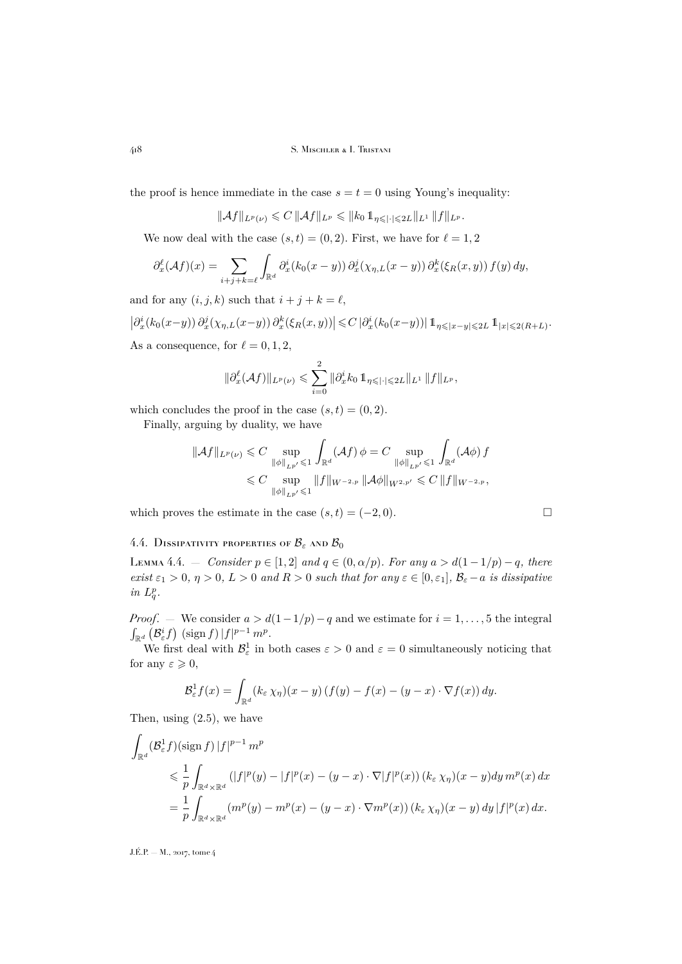the proof is hence immediate in the case  $s = t = 0$  using Young's inequality:

 $\|\mathcal{A}f\|_{L^p(\nu)} \leq C \|\mathcal{A}f\|_{L^p} \leq \|k_0 1\|_{\eta \leq | \cdot | \leq 2L} \|_{L^1} \|f\|_{L^p}.$ 

We now deal with the case  $(s, t) = (0, 2)$ . First, we have for  $\ell = 1, 2$ 

$$
\partial_x^{\ell}(\mathcal{A}f)(x) = \sum_{i+j+k=\ell} \int_{\mathbb{R}^d} \partial_x^i (k_0(x-y)) \, \partial_x^j (\chi_{\eta,L}(x-y)) \, \partial_x^k (\xi_R(x,y)) \, f(y) \, dy,
$$

and for any  $(i, j, k)$  such that  $i + j + k = \ell$ ,

$$
\left|\partial_x^i(k_0(x-y))\partial_x^j(\chi_{\eta,L}(x-y))\partial_x^k(\xi_R(x,y))\right|\leq C\left|\partial_x^i(k_0(x-y))\right|\mathbb{1}_{\eta\leqslant|x-y|\leqslant 2L}\mathbb{1}_{|x|\leqslant 2(R+L)}.
$$
 As a consequence, for  $\ell=0,1,2$ ,

$$
\|\partial_x^{\ell}(\mathcal{A}f)\|_{L^p(\nu)} \leq \sum_{i=0}^2 \|\partial_x^i k_0 1\!\!1_{\eta \leqslant |\cdot| \leqslant 2L} \|_{L^1} \|f\|_{L^p},
$$

which concludes the proof in the case  $(s, t) = (0, 2)$ .

Finally, arguing by duality, we have

$$
\|\mathcal{A}f\|_{L^{p}(\nu)} \leq C \sup_{\|\phi\|_{L^{p'}} \leq 1} \int_{\mathbb{R}^d} (\mathcal{A}f) \phi = C \sup_{\|\phi\|_{L^{p'}} \leq 1} \int_{\mathbb{R}^d} (\mathcal{A}\phi) f
$$
  

$$
\leq C \sup_{\|\phi\|_{L^{p'}} \leq 1} \|f\|_{W^{-2,p}} \|\mathcal{A}\phi\|_{W^{2,p'}} \leq C \|f\|_{W^{-2,p}},
$$

which proves the estimate in the case  $(s, t) = (-2, 0)$ .

### 4.4. DISSIPATIVITY PROPERTIES OF  $\mathcal{B}_{\varepsilon}$  and  $\mathcal{B}_{0}$

<span id="page-30-0"></span>LEMMA 4.4. — *Consider*  $p ∈ [1, 2]$  *and*  $q ∈ (0, α/p)$ *. For any*  $a > d(1 − 1/p) − q$ *, there exist*  $\varepsilon_1 > 0$ ,  $\eta > 0$ ,  $L > 0$  *and*  $R > 0$  *such that for any*  $\varepsilon \in [0, \varepsilon_1]$ ,  $\mathcal{B}_{\varepsilon} - a$  *is dissipative*  $in L_q^p$ .

*Proof.* — We consider  $a > d(1-1/p)-q$  and we estimate for  $i = 1, ..., 5$  the integral  $\int_{\mathbb{R}^d} \left( \mathcal{B}_{\varepsilon}^i f \right) \left( \operatorname{sign} f \right) |f|^{p-1} m^p.$ 

We first deal with  $\mathcal{B}^1_{\varepsilon}$  in both cases  $\varepsilon > 0$  and  $\varepsilon = 0$  simultaneously noticing that for any  $\varepsilon \geqslant 0$ ,

$$
\mathcal{B}_{\varepsilon}^{1} f(x) = \int_{\mathbb{R}^{d}} (k_{\varepsilon} \chi_{\eta})(x - y) \left( f(y) - f(x) - (y - x) \cdot \nabla f(x) \right) dy.
$$

Then, using [\(2.5\)](#page-9-0), we have

$$
\int_{\mathbb{R}^d} (\mathcal{B}_{\varepsilon}^1 f)(\text{sign } f) |f|^{p-1} m^p
$$
\n
$$
\leq \frac{1}{p} \int_{\mathbb{R}^d \times \mathbb{R}^d} (|f|^p(y) - |f|^p(x) - (y - x) \cdot \nabla |f|^p(x)) (k_{\varepsilon} \chi_{\eta})(x - y) dy m^p(x) dx
$$
\n
$$
= \frac{1}{p} \int_{\mathbb{R}^d \times \mathbb{R}^d} (m^p(y) - m^p(x) - (y - x) \cdot \nabla m^p(x)) (k_{\varepsilon} \chi_{\eta})(x - y) dy |f|^p(x) dx.
$$

$$
\sqcup
$$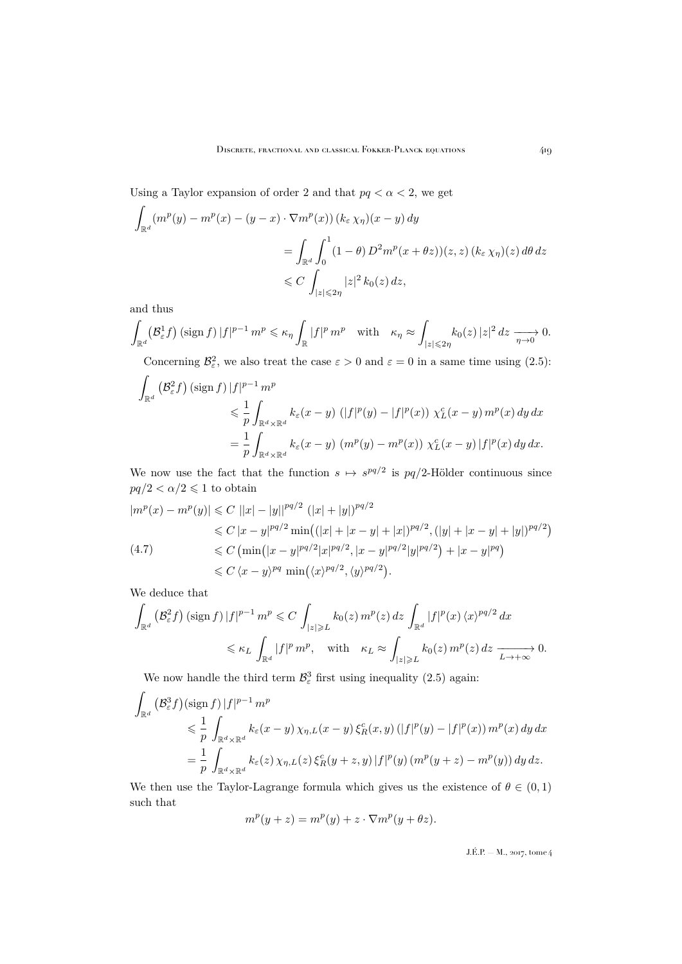Using a Taylor expansion of order 2 and that  $pq < \alpha < 2$ , we get

$$
\int_{\mathbb{R}^d} (m^p(y) - m^p(x) - (y - x) \cdot \nabla m^p(x)) (k_{\varepsilon} \chi_{\eta})(x - y) dy
$$
\n
$$
= \int_{\mathbb{R}^d} \int_0^1 (1 - \theta) D^2 m^p(x + \theta z) (z, z) (k_{\varepsilon} \chi_{\eta})(z) d\theta dz
$$
\n
$$
\leq C \int_{|z| \leq 2\eta} |z|^2 k_0(z) dz,
$$

and thus

$$
\int_{\mathbb{R}^d} \left(\mathcal{B}^1_{\varepsilon} f\right) \left(\operatorname{sign} f\right) |f|^{p-1} \, m^p \leqslant \kappa_\eta \int_{\mathbb{R}} |f|^p \, m^p \quad \text{with} \quad \kappa_\eta \approx \int_{|z| \leqslant 2\eta} k_0(z) \, |z|^2 \, dz \xrightarrow[\eta \to 0]{} 0.
$$

Concerning  $\mathcal{B}_{\varepsilon}^2$ , we also treat the case  $\varepsilon > 0$  and  $\varepsilon = 0$  in a same time using [\(2.5\)](#page-9-0):

$$
\int_{\mathbb{R}^d} \left( \mathcal{B}_{\varepsilon}^2 f \right) (\text{sign } f) |f|^{p-1} m^p
$$
\n
$$
\leq \frac{1}{p} \int_{\mathbb{R}^d \times \mathbb{R}^d} k_{\varepsilon}(x - y) (|f|^p(y) - |f|^p(x)) \chi_L^c(x - y) m^p(x) dy dx
$$
\n
$$
= \frac{1}{p} \int_{\mathbb{R}^d \times \mathbb{R}^d} k_{\varepsilon}(x - y) (m^p(y) - m^p(x)) \chi_L^c(x - y) |f|^p(x) dy dx.
$$

We now use the fact that the function  $s \mapsto s^{pq/2}$  is  $pq/2$ -Hölder continuous since  $pq/2<\alpha/2\leqslant 1$  to obtain

<span id="page-31-0"></span>
$$
|m^{p}(x) - m^{p}(y)| \leq C ||x| - |y||^{pq/2} (|x| + |y|)^{pq/2}
$$
  
\n
$$
\leq C |x - y|^{pq/2} \min\left( (|x| + |x - y| + |x|)^{pq/2}, (|y| + |x - y| + |y|)^{pq/2} \right)
$$
  
\n
$$
\leq C \left( \min\left( |x - y|^{pq/2} |x|^{pq/2}, |x - y|^{pq/2} |y|^{pq/2} \right) + |x - y|^{pq} \right)
$$
  
\n
$$
\leq C \left( x - y \right)^{pq} \min\left( \left\langle x \right\rangle^{pq/2}, \left\langle y \right\rangle^{pq/2} \right).
$$

We deduce that

$$
\int_{\mathbb{R}^d} \left( \mathcal{B}_{\varepsilon}^2 f \right) (\text{sign } f) \, |f|^{p-1} \, m^p \leqslant C \, \int_{|z| \geqslant L} k_0(z) \, m^p(z) \, dz \, \int_{\mathbb{R}^d} |f|^p(x) \, \langle x \rangle^{pq/2} \, dx
$$
\n
$$
\leqslant \kappa_L \, \int_{\mathbb{R}^d} |f|^p \, m^p, \quad \text{with} \quad \kappa_L \approx \int_{|z| \geqslant L} k_0(z) \, m^p(z) \, dz \, \xrightarrow[L \to +\infty]{} 0.
$$

We now handle the third term  $\mathcal{B}^3_{\varepsilon}$  first using inequality [\(2.5\)](#page-9-0) again:

$$
\int_{\mathbb{R}^d} \left( \mathcal{B}_{\varepsilon}^3 f \right) (\text{sign } f) \, |f|^{p-1} \, m^p
$$
\n
$$
\leq \frac{1}{p} \int_{\mathbb{R}^d \times \mathbb{R}^d} k_{\varepsilon}(x - y) \, \chi_{\eta, L}(x - y) \, \xi_R^c(x, y) \left( |f|^p(y) - |f|^p(x) \right) m^p(x) \, dy \, dx
$$
\n
$$
= \frac{1}{p} \int_{\mathbb{R}^d \times \mathbb{R}^d} k_{\varepsilon}(z) \, \chi_{\eta, L}(z) \, \xi_R^c(y + z, y) \, |f|^p(y) \left( m^p(y + z) - m^p(y) \right) dy \, dz.
$$

We then use the Taylor-Lagrange formula which gives us the existence of  $\theta \in (0,1)$ such that

$$
m^{p}(y+z) = m^{p}(y) + z \cdot \nabla m^{p}(y + \theta z).
$$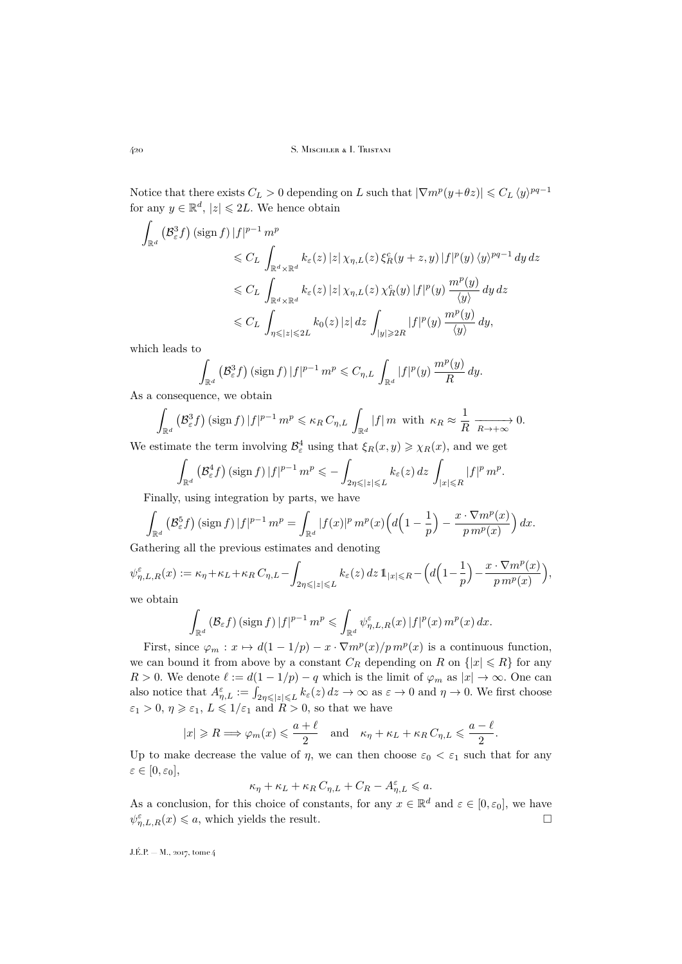Notice that there exists  $C_L > 0$  depending on L such that  $|\nabla m^p(y+\theta z)| \leq C_L \langle y \rangle^{pq-1}$ for any  $y \in \mathbb{R}^d$ ,  $|z| \leq 2L$ . We hence obtain

$$
\int_{\mathbb{R}^d} \left( \mathcal{B}_{\varepsilon}^3 f \right) (\text{sign } f) |f|^{p-1} m^p
$$
\n
$$
\leqslant C_L \int_{\mathbb{R}^d \times \mathbb{R}^d} k_{\varepsilon}(z) |z| \chi_{\eta, L}(z) \xi_R^c(y+z, y) |f|^p(y) \langle y \rangle^{pq-1} dy dz
$$
\n
$$
\leqslant C_L \int_{\mathbb{R}^d \times \mathbb{R}^d} k_{\varepsilon}(z) |z| \chi_{\eta, L}(z) \chi_R^c(y) |f|^p(y) \frac{m^p(y)}{\langle y \rangle} dy dz
$$
\n
$$
\leqslant C_L \int_{\eta \leqslant |z| \leqslant 2L} k_0(z) |z| dz \int_{|y| \geqslant 2R} |f|^p(y) \frac{m^p(y)}{\langle y \rangle} dy,
$$

which leads to

$$
\int_{\mathbb{R}^d} \left( \mathcal{B}_{\varepsilon}^3 f \right) (\text{sign } f) \, |f|^{p-1} \, m^p \leqslant C_{\eta, L} \, \int_{\mathbb{R}^d} |f|^p(y) \, \frac{m^p(y)}{R} \, dy.
$$

As a consequence, we obtain

$$
\int_{\mathbb{R}^d} \left( \mathcal{B}_{\varepsilon}^3 f \right) (\operatorname{sign} f) |f|^{p-1} m^p \leqslant \kappa_R C_{\eta, L} \int_{\mathbb{R}^d} |f| m \text{ with } \kappa_R \approx \frac{1}{R} \xrightarrow[R \to +\infty]{} 0.
$$

We estimate the term involving  $\mathcal{B}_{\varepsilon}^4$  using that  $\xi_R(x, y) \geq \chi_R(x)$ , and we get

$$
\int_{\mathbb{R}^d} \left( \mathcal{B}_{\varepsilon}^4 f \right) \left( \operatorname{sign} f \right) |f|^{p-1} \, m^p \leqslant - \int_{2\eta \leqslant |z| \leqslant L} k_{\varepsilon}(z) \, dz \, \int_{|x| \leqslant R} |f|^p \, m^p.
$$

Finally, using integration by parts, we have

$$
\int_{\mathbb{R}^d} \left( \mathcal{B}_{\varepsilon}^5 f \right) (\text{sign } f) \, |f|^{p-1} \, m^p = \int_{\mathbb{R}^d} |f(x)|^p \, m^p(x) \Big( d \Big( 1 - \frac{1}{p} \Big) - \frac{x \cdot \nabla m^p(x)}{p \, m^p(x)} \Big) \, dx.
$$

Gathering all the previous estimates and denoting

$$
\psi_{\eta,L,R}^\varepsilon(x):=\kappa_\eta+\kappa_L+\kappa_R\,C_{\eta,L}-\int_{2\eta\leqslant |z|\leqslant L}k_\varepsilon(z)\,dz\,\mathrm{1\hspace{-1.4ex}1}_{|x|\leqslant R}-\Big(d\Big(1-\frac{1}{p}\Big)-\frac{x\cdot\nabla m^p(x)}{p\,m^p(x)}\Big),
$$
 we obtain

we obtain

$$
\int_{\mathbb{R}^d} \left( \mathcal{B}_{\varepsilon} f \right) (\text{sign } f) \, |f|^{p-1} \, m^p \leqslant \int_{\mathbb{R}^d} \psi_{\eta, L, R}^{\varepsilon}(x) \, |f|^p(x) \, m^p(x) \, dx.
$$

First, since  $\varphi_m : x \mapsto d(1 - 1/p) - x \cdot \nabla m^p(x)/p m^p(x)$  is a continuous function, we can bound it from above by a constant  $C_R$  depending on R on  $\{|x| \le R\}$  for any R > 0. We denote  $\ell := d(1 - 1/p) - q$  which is the limit of  $\varphi_m$  as  $|x| \to \infty$ . One can also notice that  $A_{\eta,L}^{\varepsilon} := \int_{2\eta \leqslant |z| \leqslant L} k_{\varepsilon}(z) dz \to \infty$  as  $\varepsilon \to 0$  and  $\eta \to 0$ . We first choose  $\varepsilon_1 > 0, \, \eta \geqslant \varepsilon_1, \, L \leqslant 1/\varepsilon_1 \text{ and } R > 0$ , so that we have

$$
|x| \ge R \Longrightarrow \varphi_m(x) \le \frac{a+\ell}{2}
$$
 and  $\kappa_{\eta} + \kappa_L + \kappa_R C_{\eta,L} \le \frac{a-\ell}{2}$ .

Up to make decrease the value of  $\eta$ , we can then choose  $\varepsilon_0 < \varepsilon_1$  such that for any  $\varepsilon \in [0, \varepsilon_0],$ 

$$
\kappa_{\eta} + \kappa_L + \kappa_R C_{\eta,L} + C_R - A^{\varepsilon}_{\eta,L} \leqslant a.
$$

As a conclusion, for this choice of constants, for any  $x \in \mathbb{R}^d$  and  $\varepsilon \in [0, \varepsilon_0]$ , we have  $\psi_{\eta,L,R}^{\varepsilon}(x) \leq a$ , which yields the result.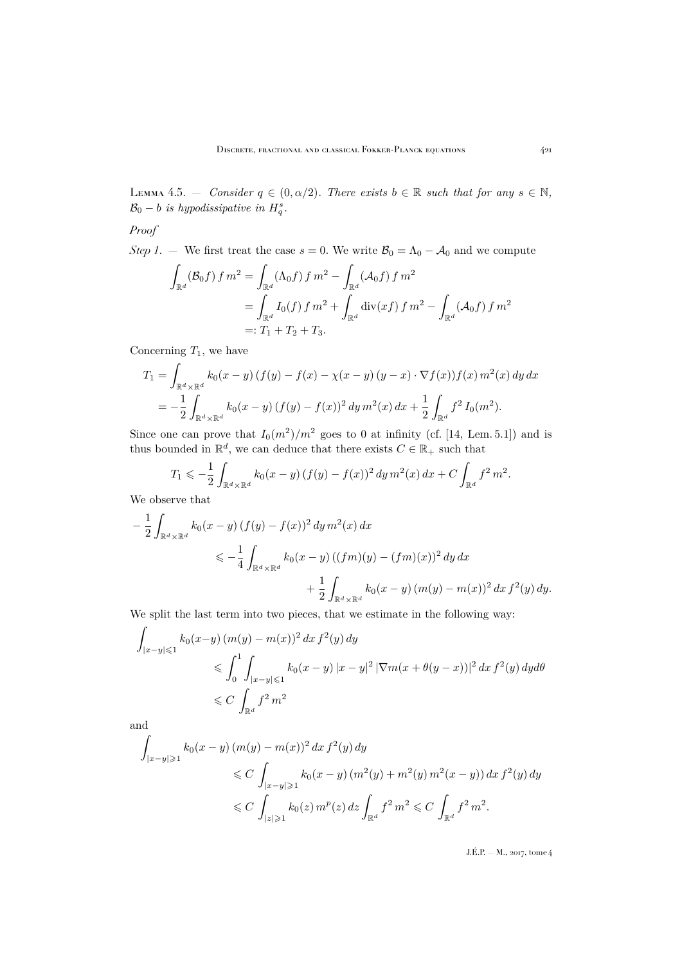<span id="page-33-0"></span>LEMMA 4.5.  $-$  *Consider*  $q \in (0, \alpha/2)$ *. There exists*  $b \in \mathbb{R}$  *such that for any*  $s \in \mathbb{N}$ *,*  $\mathcal{B}_0 - b$  *is hypodissipative in*  $H_q^s$ .

## *Proof*

*Step 1*. — We first treat the case  $s = 0$ . We write  $\mathcal{B}_0 = \Lambda_0 - \mathcal{A}_0$  and we compute

$$
\int_{\mathbb{R}^d} (\mathcal{B}_0 f) f m^2 = \int_{\mathbb{R}^d} (\Lambda_0 f) f m^2 - \int_{\mathbb{R}^d} (\mathcal{A}_0 f) f m^2
$$
  
= 
$$
\int_{\mathbb{R}^d} I_0(f) f m^2 + \int_{\mathbb{R}^d} \text{div}(xf) f m^2 - \int_{\mathbb{R}^d} (\mathcal{A}_0 f) f m^2
$$
  
=:  $T_1 + T_2 + T_3$ .

Concerning  $T_1$ , we have

$$
T_1 = \int_{\mathbb{R}^d \times \mathbb{R}^d} k_0(x - y) (f(y) - f(x) - \chi(x - y) (y - x) \cdot \nabla f(x)) f(x) m^2(x) dy dx
$$
  
= 
$$
-\frac{1}{2} \int_{\mathbb{R}^d \times \mathbb{R}^d} k_0(x - y) (f(y) - f(x))^2 dy m^2(x) dx + \frac{1}{2} \int_{\mathbb{R}^d} f^2 I_0(m^2).
$$

Since one can prove that  $I_0(m^2)/m^2$  goes to 0 at infinity (cf. [\[14,](#page-45-1) Lem. 5.1]) and is thus bounded in  $\mathbb{R}^d$ , we can deduce that there exists  $C \in \mathbb{R}_+$  such that

$$
T_1 \leqslant -\frac{1}{2} \int_{\mathbb{R}^d \times \mathbb{R}^d} k_0(x-y) \left( f(y) - f(x) \right)^2 dy \, m^2(x) \, dx + C \int_{\mathbb{R}^d} f^2 \, m^2.
$$

We observe that

$$
-\frac{1}{2} \int_{\mathbb{R}^d \times \mathbb{R}^d} k_0(x - y) (f(y) - f(x))^2 dy m^2(x) dx
$$
  
\$\leqslant -\frac{1}{4} \int\_{\mathbb{R}^d \times \mathbb{R}^d} k\_0(x - y) ((fm)(y) - (fm)(x))^2 dy dx\$  
\$+ \frac{1}{2} \int\_{\mathbb{R}^d \times \mathbb{R}^d} k\_0(x - y) (m(y) - m(x))^2 dx f^2(y) dy.\$

We split the last term into two pieces, that we estimate in the following way:

$$
\int_{|x-y| \leqslant 1} k_0(x-y) (m(y) - m(x))^2 dx f^2(y) dy
$$
  
\n
$$
\leqslant \int_0^1 \int_{|x-y| \leqslant 1} k_0(x-y) |x-y|^2 |\nabla m(x + \theta(y-x))|^2 dx f^2(y) dy d\theta
$$
  
\n
$$
\leqslant C \int_{\mathbb{R}^d} f^2 m^2
$$

and

$$
\int_{|x-y| \geqslant 1} k_0(x-y) (m(y) - m(x))^2 dx f^2(y) dy
$$
  
\n
$$
\leqslant C \int_{|x-y| \geqslant 1} k_0(x-y) (m^2(y) + m^2(y) m^2(x-y)) dx f^2(y) dy
$$
  
\n
$$
\leqslant C \int_{|z| \geqslant 1} k_0(z) m^p(z) dz \int_{\mathbb{R}^d} f^2 m^2 \leqslant C \int_{\mathbb{R}^d} f^2 m^2.
$$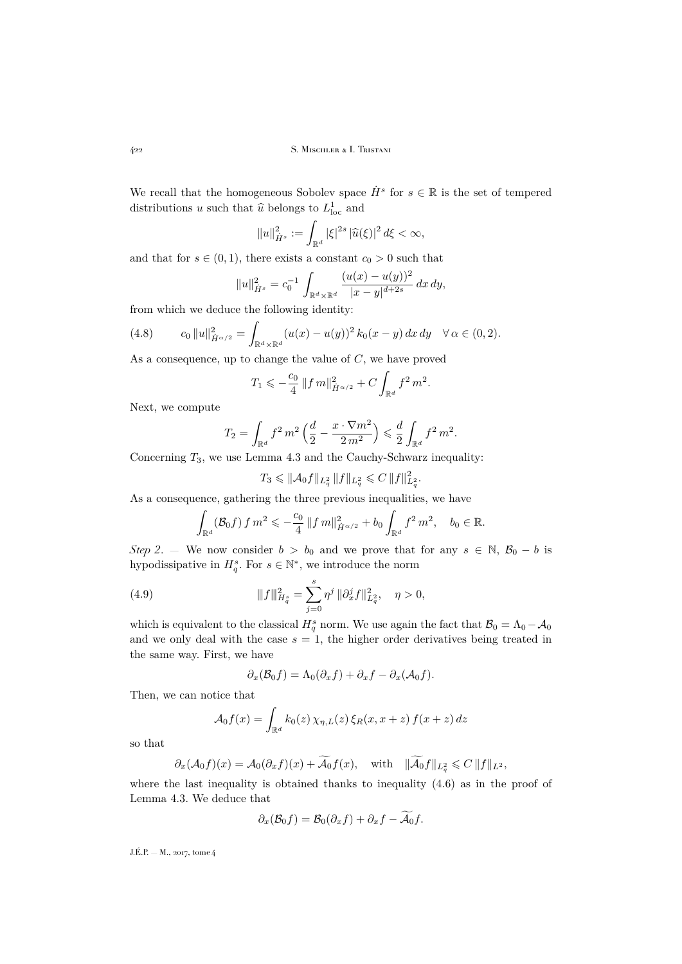We recall that the homogeneous Sobolev space  $\dot{H}^s$  for  $s \in \mathbb{R}$  is the set of tempered distributions u such that  $\hat{u}$  belongs to  $L^1_{loc}$  and

$$
||u||_{\dot{H}^{s}}^{2} := \int_{\mathbb{R}^{d}} |\xi|^{2s} |\widehat{u}(\xi)|^{2} d\xi < \infty,
$$

and that for  $s \in (0, 1)$ , there exists a constant  $c_0 > 0$  such that

$$
||u||_{\dot{H}^s}^2 = c_0^{-1} \int_{\mathbb{R}^d \times \mathbb{R}^d} \frac{(u(x) - u(y))^2}{|x - y|^{d + 2s}} dx dy,
$$

from which we deduce the following identity:

<span id="page-34-0"></span>(4.8) 
$$
c_0 \|u\|_{\dot{H}^{\alpha/2}}^2 = \int_{\mathbb{R}^d \times \mathbb{R}^d} (u(x) - u(y))^2 k_0(x - y) dx dy \quad \forall \alpha \in (0, 2).
$$

As a consequence, up to change the value of C, we have proved

$$
T_1 \leqslant -\frac{c_0}{4} \left\| f \, m \right\|_{\dot{H}^{\alpha/2}}^2 + C \int_{\mathbb{R}^d} f^2 \, m^2.
$$

Next, we compute

$$
T_2 = \int_{\mathbb{R}^d} f^2 \, m^2 \left( \frac{d}{2} - \frac{x \cdot \nabla m^2}{2 \, m^2} \right) \leqslant \frac{d}{2} \int_{\mathbb{R}^d} f^2 \, m^2.
$$

Concerning  $T_3$ , we use Lemma [4.3](#page-29-0) and the Cauchy-Schwarz inequality:

$$
T_3 \leqslant ||\mathcal{A}_0 f||_{L_q^2} ||f||_{L_q^2} \leqslant C ||f||_{L_q^2}^2.
$$

As a consequence, gathering the three previous inequalities, we have

$$
\int_{\mathbb{R}^d} (\mathcal{B}_0 f) f m^2 \leqslant -\frac{c_0}{4} ||f m||_{\dot{H}^{\alpha/2}}^2 + b_0 \int_{\mathbb{R}^d} f^2 m^2, \quad b_0 \in \mathbb{R}.
$$

*Step 2*. — We now consider  $b > b_0$  and we prove that for any  $s \in \mathbb{N}$ ,  $\mathcal{B}_0 - b$  is hypodissipative in  $H_q^s$ . For  $s \in \mathbb{N}^*$ , we introduce the norm

(4.9) 
$$
\|f\|_{H_q^s}^2 = \sum_{j=0}^s \eta^j \|\partial_x^j f\|_{L_q^2}^2, \quad \eta > 0,
$$

which is equivalent to the classical  $H_q^s$  norm. We use again the fact that  $B_0 = \Lambda_0 - A_0$ and we only deal with the case  $s = 1$ , the higher order derivatives being treated in the same way. First, we have

<span id="page-34-1"></span>
$$
\partial_x(\mathcal{B}_0f) = \Lambda_0(\partial_x f) + \partial_x f - \partial_x(\mathcal{A}_0f).
$$

Then, we can notice that

$$
\mathcal{A}_0 f(x) = \int_{\mathbb{R}^d} k_0(z) \,\chi_{\eta,L}(z) \,\xi_R(x,x+z) \,f(x+z) \,dz
$$

so that

$$
\partial_x(\mathcal{A}_0 f)(x) = \mathcal{A}_0(\partial_x f)(x) + \widetilde{\mathcal{A}_0} f(x), \quad \text{with} \quad \|\widetilde{\mathcal{A}_0} f\|_{L^2_q} \leqslant C \|f\|_{L^2},
$$

where the last inequality is obtained thanks to inequality  $(4.6)$  as in the proof of Lemma [4.3.](#page-29-0) We deduce that

$$
\partial_x(\mathcal{B}_0f)=\mathcal{B}_0(\partial_xf)+\partial_xf-\mathcal{A}_0f.
$$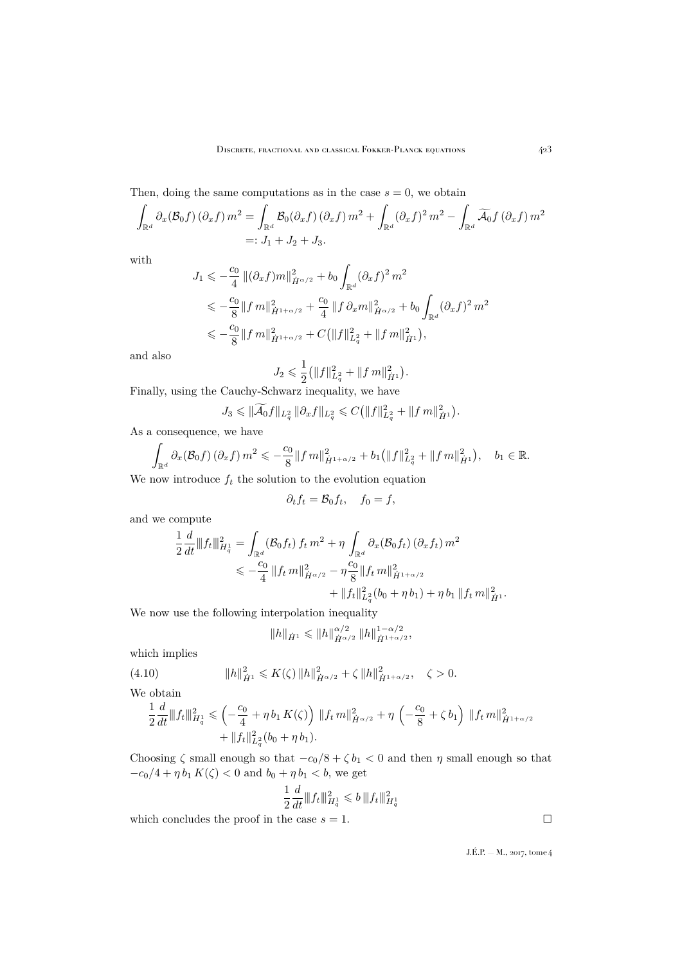Then, doing the same computations as in the case  $s = 0$ , we obtain

$$
\int_{\mathbb{R}^d} \partial_x (\mathcal{B}_0 f) (\partial_x f) m^2 = \int_{\mathbb{R}^d} \mathcal{B}_0(\partial_x f) (\partial_x f) m^2 + \int_{\mathbb{R}^d} (\partial_x f)^2 m^2 - \int_{\mathbb{R}^d} \widetilde{\mathcal{A}}_0 f (\partial_x f) m^2
$$
  
=:  $J_1 + J_2 + J_3$ .

with

$$
J_1 \leqslant -\frac{c_0}{4} \left\| (\partial_x f) m \right\|_{\dot{H}^{\alpha/2}}^2 + b_0 \int_{\mathbb{R}^d} (\partial_x f)^2 m^2
$$
  

$$
\leqslant -\frac{c_0}{8} \left\| f m \right\|_{\dot{H}^{1+\alpha/2}}^2 + \frac{c_0}{4} \left\| f \partial_x m \right\|_{\dot{H}^{\alpha/2}}^2 + b_0 \int_{\mathbb{R}^d} (\partial_x f)^2 m^2
$$
  

$$
\leqslant -\frac{c_0}{8} \left\| f m \right\|_{\dot{H}^{1+\alpha/2}}^2 + C \left( \left\| f \right\|_{L_q^2}^2 + \left\| f m \right\|_{\dot{H}^1}^2 \right),
$$

and also

$$
J_2\leqslant \frac{1}{2}\big(\|f\|_{L^2_q}^2+\|f\,m\|_{\dot{H}^1}^2\big).
$$

Finally, using the Cauchy-Schwarz inequality, we have

$$
J_3 \leq \|\widetilde{\mathcal{A}_0}f\|_{L^2_q} \|\partial_x f\|_{L^2_q} \leqslant C \big(\|f\|_{L^2_q}^2 + \|f\,m\|_{\dot{H}^1}^2\big).
$$

As a consequence, we have

$$
\int_{\mathbb{R}^d} \partial_x (\mathcal{B}_0 f) \left( \partial_x f \right) m^2 \leqslant -\frac{c_0}{8} \| f m \|_{\dot{H}^{1+\alpha/2}}^2 + b_1 \left( \| f \|_{L_q^2}^2 + \| f m \|_{\dot{H}^1}^2 \right), \quad b_1 \in \mathbb{R}.
$$

We now introduce  $f_t$  the solution to the evolution equation

$$
\partial_t f_t = \mathcal{B}_0 f_t, \quad f_0 = f,
$$

and we compute

$$
\frac{1}{2} \frac{d}{dt} ||f_t||_{H_q^1}^2 = \int_{\mathbb{R}^d} (\mathcal{B}_0 f_t) f_t m^2 + \eta \int_{\mathbb{R}^d} \partial_x (\mathcal{B}_0 f_t) (\partial_x f_t) m^2
$$
  
\n
$$
\leq -\frac{c_0}{4} ||f_t m||_{\dot{H}^{\alpha/2}}^2 - \eta \frac{c_0}{8} ||f_t m||_{\dot{H}^{1+\alpha/2}}^2
$$
  
\n
$$
+ ||f_t||_{L_q^2}^2 (b_0 + \eta b_1) + \eta b_1 ||f_t m||_{\dot{H}^1}^2.
$$

We now use the following interpolation inequality

<span id="page-35-0"></span>
$$
\|h\|_{\dot{H}^1}\leqslant \|h\|_{\dot{H}^{\alpha/2}}^{\alpha/2}\, \|h\|_{\dot{H}^{1+\alpha/2}}^{1-\alpha/2},
$$

which implies

(4.10) 
$$
||h||_{\dot{H}^1}^2 \le K(\zeta) ||h||_{\dot{H}^{\alpha/2}}^2 + \zeta ||h||_{\dot{H}^{1+\alpha/2}}^2, \quad \zeta > 0.
$$

We obtain

$$
\frac{1}{2}\frac{d}{dt}||f_t||_{H_q^1}^2 \leq \left(-\frac{c_0}{4} + \eta b_1 K(\zeta)\right) ||f_t m||_{\dot{H}^{\alpha/2}}^2 + \eta \left(-\frac{c_0}{8} + \zeta b_1\right) ||f_t m||_{\dot{H}^{1+\alpha/2}}^2 + ||f_t||_{L_q^2}^2(b_0 + \eta b_1).
$$

Choosing  $\zeta$  small enough so that  $-c_0/8 + \zeta b_1 < 0$  and then  $\eta$  small enough so that  $-c_0/4 + \eta b_1 K(\zeta) < 0$  and  $b_0 + \eta b_1 < b$ , we get

$$
\frac{1}{2} \frac{d}{dt} {|\hspace{-.02in}|\hspace{-.02in}|} f_t{|\hspace{-.02in}|\hspace{-.02in}|}^2_{H^1_q} \leqslant b \, {|\hspace{-.02in}|\hspace{-.02in}|} f_t{|\hspace{-.02in}|\hspace{-.02in}|}^2_{H^1_q}
$$

which concludes the proof in the case  $s = 1$ .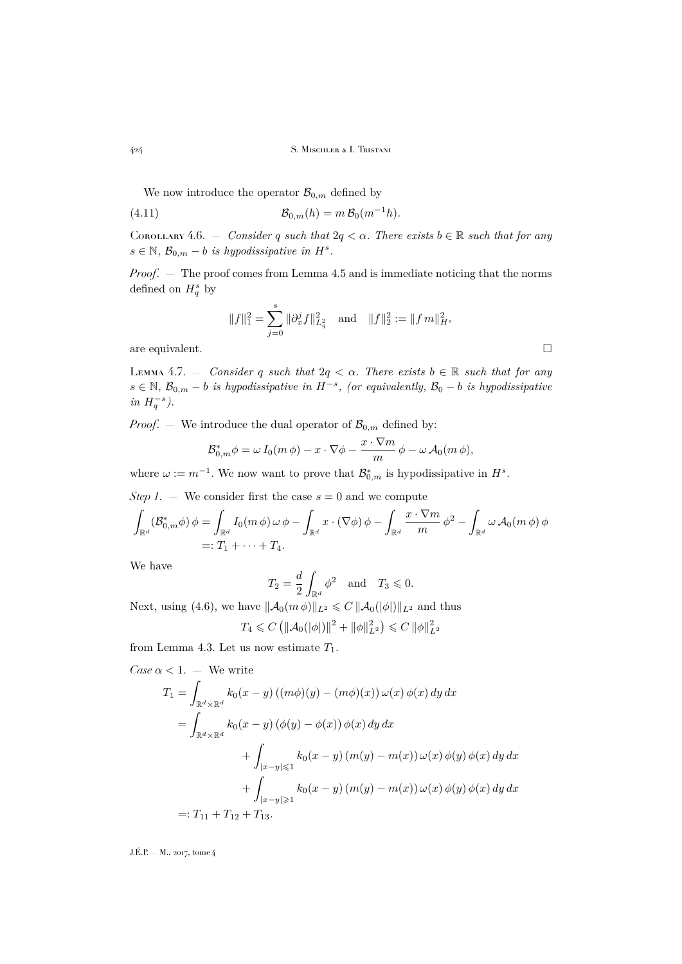We now introduce the operator  $\mathcal{B}_{0,m}$  defined by

(4.11) 
$$
\mathcal{B}_{0,m}(h) = m \, \mathcal{B}_0(m^{-1}h).
$$

<span id="page-36-1"></span>COROLLARY 4.6. — *Consider* q *such that*  $2q < \alpha$ *. There exists*  $b \in \mathbb{R}$  *such that for any*  $s \in \mathbb{N}, \mathcal{B}_{0,m} - b$  *is hypodissipative in*  $H^s$ .

*Proof*. — The proof comes from Lemma [4.5](#page-33-0) and is immediate noticing that the norms defined on  $H_q^s$  by

<span id="page-36-0"></span>
$$
||f||_1^2 = \sum_{j=0}^s \|\partial_x^j f\|_{L^2_q}^2 \quad \text{and} \quad ||f||_2^2 := ||f m||_{H^s}^2
$$

are equivalent.  $\hfill \square$ 

<span id="page-36-2"></span>LEMMA 4.7. – *Consider* q *such that*  $2q < \alpha$ . There exists  $b \in \mathbb{R}$  *such that for any*  $s \in \mathbb{N}$ ,  $\mathcal{B}_{0,m} - b$  *is hypodissipative in*  $H^{-s}$ , (or equivalently,  $\mathcal{B}_0 - b$  *is hypodissipative*  $in H_q^{-s}$ ).

*Proof.* – We introduce the dual operator of  $\mathcal{B}_{0,m}$  defined by:

$$
\mathcal{B}_{0,m}^* \phi = \omega I_0(m \phi) - x \cdot \nabla \phi - \frac{x \cdot \nabla m}{m} \phi - \omega \mathcal{A}_0(m \phi),
$$

where  $\omega := m^{-1}$ . We now want to prove that  $\mathcal{B}_{0,m}^*$  is hypodissipative in  $H^s$ .

*Step 1.* — We consider first the case  $s = 0$  and we compute

$$
\int_{\mathbb{R}^d} (\mathcal{B}_{0,m}^* \phi) \phi = \int_{\mathbb{R}^d} I_0(m \phi) \omega \phi - \int_{\mathbb{R}^d} x \cdot (\nabla \phi) \phi - \int_{\mathbb{R}^d} \frac{x \cdot \nabla m}{m} \phi^2 - \int_{\mathbb{R}^d} \omega \mathcal{A}_0(m \phi) \phi
$$
  
=:  $T_1 + \dots + T_4$ .

We have

$$
T_2 = \frac{d}{2} \int_{\mathbb{R}^d} \phi^2 \quad \text{and} \quad T_3 \leqslant 0.
$$

Next, using [\(4.6\)](#page-29-1), we have  $\|\mathcal{A}_0(m\phi)\|_{L^2} \leq C \|\mathcal{A}_0(|\phi|)\|_{L^2}$  and thus  $T_4 \leqslant C \left( \|\mathcal{A}_0(|\phi|) \|^2 + \|\phi\|_{L^2}^2 \right) \leqslant C \, \|\phi\|_{L^2}^2$ 

from Lemma [4.3.](#page-29-0) Let us now estimate  $T_1$ .

Case 
$$
\alpha
$$
 < 1. - We write  
\n
$$
T_1 = \int_{\mathbb{R}^d \times \mathbb{R}^d} k_0(x - y) ((m\phi)(y) - (m\phi)(x)) \omega(x) \phi(x) dy dx
$$
\n
$$
= \int_{\mathbb{R}^d \times \mathbb{R}^d} k_0(x - y) (\phi(y) - \phi(x)) \phi(x) dy dx
$$
\n
$$
+ \int_{|x - y| \le 1} k_0(x - y) (m(y) - m(x)) \omega(x) \phi(y) \phi(x) dy dx
$$
\n
$$
+ \int_{|x - y| \ge 1} k_0(x - y) (m(y) - m(x)) \omega(x) \phi(y) \phi(x) dy dx
$$
\n
$$
=: T_{11} + T_{12} + T_{13}.
$$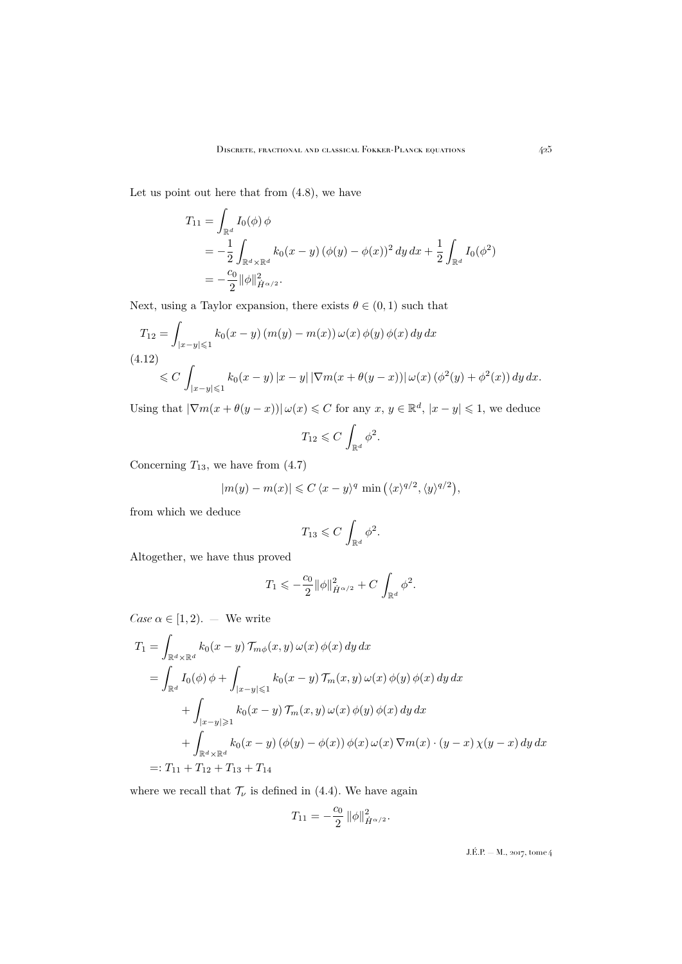Let us point out here that from [\(4.8\)](#page-34-0), we have

$$
T_{11} = \int_{\mathbb{R}^d} I_0(\phi) \phi
$$
  
=  $-\frac{1}{2} \int_{\mathbb{R}^d \times \mathbb{R}^d} k_0(x - y) (\phi(y) - \phi(x))^2 dy dx + \frac{1}{2} \int_{\mathbb{R}^d} I_0(\phi^2)$   
=  $-\frac{c_0}{2} ||\phi||_{\dot{H}^{\alpha/2}}^2.$ 

Next, using a Taylor expansion, there exists  $\theta \in (0,1)$  such that

<span id="page-37-0"></span>
$$
T_{12} = \int_{|x-y| \leq 1} k_0(x-y) (m(y) - m(x)) \omega(x) \phi(y) \phi(x) dy dx
$$
  
(4.12)  

$$
\leq C \int_{|x-y| \leq 1} k_0(x-y) |x-y| |\nabla m(x + \theta(y-x))| \omega(x) (\phi^2(y) + \phi^2(x)) dy dx.
$$

Using that  $|\nabla m(x+\theta(y-x))| \omega(x) \leq C$  for any  $x, y \in \mathbb{R}^d$ ,  $|x-y| \leq 1$ , we deduce

$$
T_{12} \leqslant C \int_{\mathbb{R}^d} \phi^2.
$$

Concerning  $T_{13}$ , we have from  $(4.7)$ 

$$
|m(y) - m(x)| \leq C \langle x - y \rangle^{q} \min\left(\langle x \rangle^{q/2}, \langle y \rangle^{q/2}\right),
$$

from which we deduce

$$
T_{13} \leqslant C \, \int_{\mathbb{R}^d} \phi^2.
$$

Altogether, we have thus proved

$$
T_1 \leqslant -\frac{c_0}{2} \|\phi\|_{\dot{H}^{\alpha/2}}^2 + C \int_{\mathbb{R}^d} \phi^2.
$$

*Case*  $\alpha \in [1, 2)$ . — We write

$$
T_1 = \int_{\mathbb{R}^d \times \mathbb{R}^d} k_0(x - y) \mathcal{T}_{m\phi}(x, y) \omega(x) \phi(x) dy dx
$$
  
\n
$$
= \int_{\mathbb{R}^d} I_0(\phi) \phi + \int_{|x - y| \leq 1} k_0(x - y) \mathcal{T}_m(x, y) \omega(x) \phi(y) \phi(x) dy dx
$$
  
\n
$$
+ \int_{|x - y| \geq 1} k_0(x - y) \mathcal{T}_m(x, y) \omega(x) \phi(y) \phi(x) dy dx
$$
  
\n
$$
+ \int_{\mathbb{R}^d \times \mathbb{R}^d} k_0(x - y) (\phi(y) - \phi(x)) \phi(x) \omega(x) \nabla m(x) \cdot (y - x) \chi(y - x) dy dx
$$
  
\n
$$
=: T_{11} + T_{12} + T_{13} + T_{14}
$$

where we recall that  $\mathcal{T}_{\nu}$  is defined in [\(4.4\)](#page-28-0). We have again

$$
T_{11} = -\frac{c_0}{2} \|\phi\|_{\dot{H}^{\alpha/2}}^2.
$$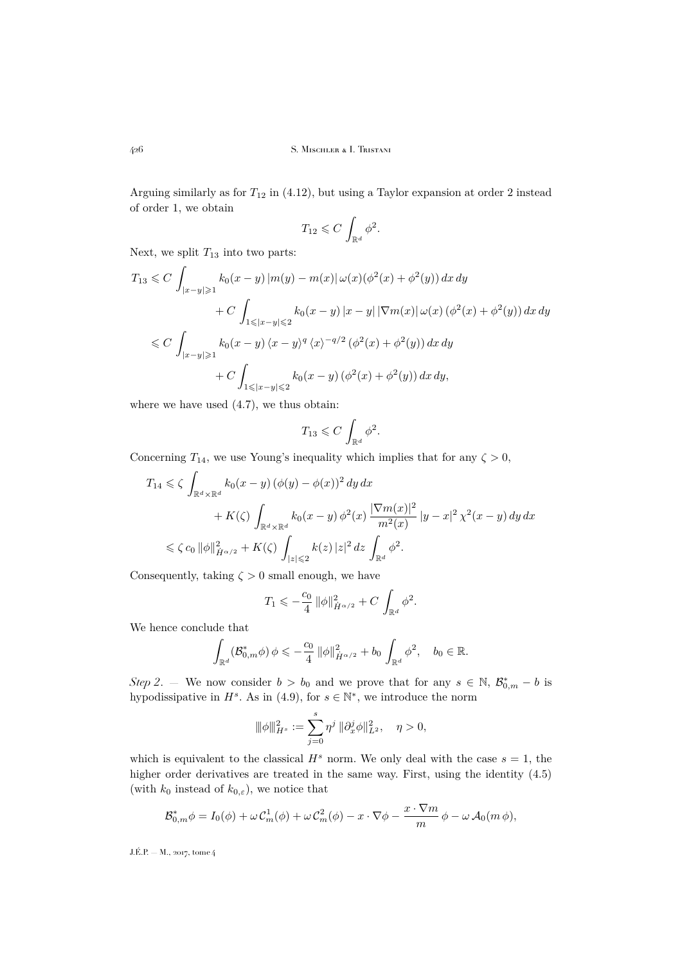Arguing similarly as for  $T_{12}$  in [\(4.12\)](#page-37-0), but using a Taylor expansion at order 2 instead of order 1, we obtain

$$
T_{12} \leqslant C \int_{\mathbb{R}^d} \phi^2.
$$

Next, we split  $T_{13}$  into two parts:

$$
T_{13} \leq C \int_{|x-y| \geq 1} k_0(x-y) |m(y) - m(x)| \omega(x) (\phi^2(x) + \phi^2(y)) dx dy
$$
  
+ 
$$
C \int_{1 \leq |x-y| \leq 2} k_0(x-y) |x-y| |\nabla m(x)| \omega(x) (\phi^2(x) + \phi^2(y)) dx dy
$$
  

$$
\leq C \int_{|x-y| \geq 1} k_0(x-y) \langle x-y \rangle^q \langle x \rangle^{-q/2} (\phi^2(x) + \phi^2(y)) dx dy
$$
  
+ 
$$
C \int_{1 \leq |x-y| \leq 2} k_0(x-y) (\phi^2(x) + \phi^2(y)) dx dy,
$$

where we have used  $(4.7)$ , we thus obtain:

$$
T_{13}\leqslant C\,\int_{\mathbb{R}^d}\phi^2.
$$

Concerning  $T_{14}$ , we use Young's inequality which implies that for any  $\zeta > 0$ ,

$$
T_{14} \leq \zeta \int_{\mathbb{R}^d \times \mathbb{R}^d} k_0(x - y) (\phi(y) - \phi(x))^2 dy dx
$$
  
+  $K(\zeta) \int_{\mathbb{R}^d \times \mathbb{R}^d} k_0(x - y) \phi^2(x) \frac{|\nabla m(x)|^2}{m^2(x)} |y - x|^2 \chi^2(x - y) dy dx$   
 $\leq \zeta c_0 ||\phi||_{\dot{H}^{\alpha/2}}^2 + K(\zeta) \int_{|z| \leq 2} k(z) |z|^2 dz \int_{\mathbb{R}^d} \phi^2.$ 

Consequently, taking  $\zeta > 0$  small enough, we have

$$
T_1 \leqslant -\frac{c_0}{4} \|\phi\|_{\dot{H}^{\alpha/2}}^2 + C \int_{\mathbb{R}^d} \phi^2.
$$

We hence conclude that

$$
\int_{\mathbb{R}^d} (\mathcal{B}_{0,m}^* \phi) \phi \leq -\frac{c_0}{4} ||\phi||_{\dot{H}^{\alpha/2}}^2 + b_0 \int_{\mathbb{R}^d} \phi^2, \quad b_0 \in \mathbb{R}.
$$

*Step 2.* — We now consider  $b > b_0$  and we prove that for any  $s \in \mathbb{N}$ ,  $\mathcal{B}_{0,m}^* - b$  is hypodissipative in  $H^s$ . As in [\(4.9\)](#page-34-1), for  $s \in \mathbb{N}^*$ , we introduce the norm

$$
\|\phi\|_{H^s}^2 := \sum_{j=0}^s \eta^j \|\partial_x^j \phi\|_{L^2}^2, \quad \eta > 0,
$$

which is equivalent to the classical  $H^s$  norm. We only deal with the case  $s = 1$ , the higher order derivatives are treated in the same way. First, using the identity  $(4.5)$ (with  $k_0$  instead of  $k_{0,\varepsilon}$ ), we notice that

$$
\mathcal{B}_{0,m}^* \phi = I_0(\phi) + \omega \mathcal{C}_m^1(\phi) + \omega \mathcal{C}_m^2(\phi) - x \cdot \nabla \phi - \frac{x \cdot \nabla m}{m} \phi - \omega \mathcal{A}_0(m \phi),
$$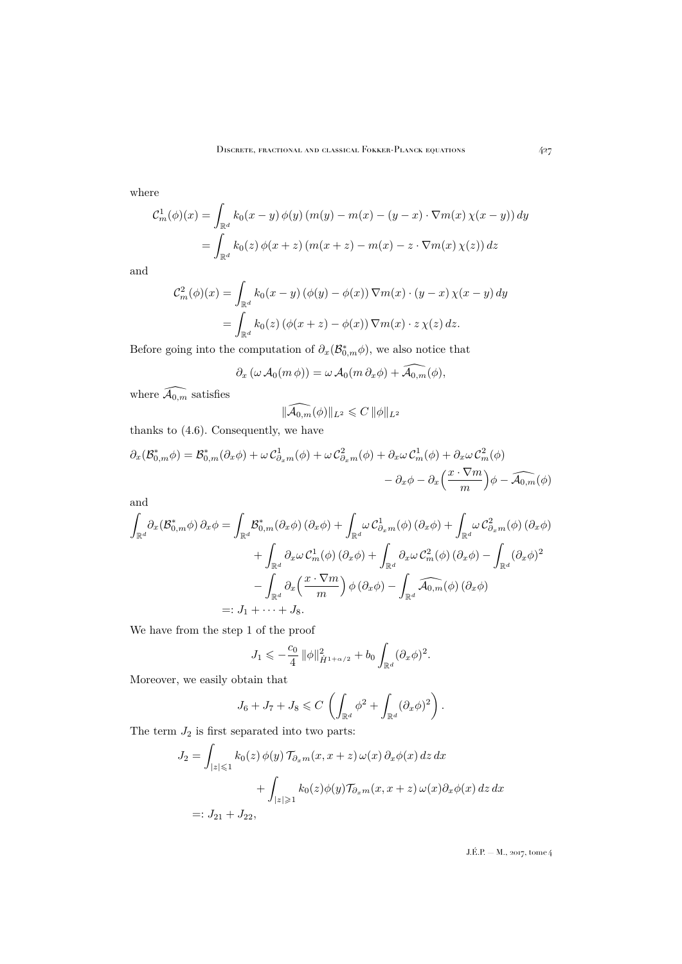where

$$
C_m^1(\phi)(x) = \int_{\mathbb{R}^d} k_0(x - y) \phi(y) (m(y) - m(x) - (y - x) \cdot \nabla m(x) \chi(x - y)) dy
$$
  
= 
$$
\int_{\mathbb{R}^d} k_0(z) \phi(x + z) (m(x + z) - m(x) - z \cdot \nabla m(x) \chi(z)) dz
$$

and

$$
\mathcal{C}^2_m(\phi)(x) = \int_{\mathbb{R}^d} k_0(x - y) \left( \phi(y) - \phi(x) \right) \nabla m(x) \cdot (y - x) \chi(x - y) dy
$$
  
= 
$$
\int_{\mathbb{R}^d} k_0(z) \left( \phi(x + z) - \phi(x) \right) \nabla m(x) \cdot z \chi(z) dz.
$$

Before going into the computation of  $\partial_x(\mathcal{B}_{0,m}^*\phi)$ , we also notice that

$$
\partial_x(\omega\, \mathcal{A}_0(m\, \phi)) = \omega\, \mathcal{A}_0(m\, \partial_x \phi) + \widehat{\mathcal{A}_{0,m}}(\phi),
$$

where  $\widehat{\mathcal{A}_{0,m}}$  satisfies

$$
\|\widehat{\mathcal{A}_{0,m}}(\phi)\|_{L^2}\leqslant C\,\|\phi\|_{L^2}
$$

thanks to [\(4.6\)](#page-29-1). Consequently, we have

$$
\partial_x(\mathcal{B}_{0,m}^*\phi) = \mathcal{B}_{0,m}^*(\partial_x \phi) + \omega \mathcal{C}_{\partial_x m}^1(\phi) + \omega \mathcal{C}_{\partial_x m}^2(\phi) + \partial_x \omega \mathcal{C}_{m}^1(\phi) + \partial_x \omega \mathcal{C}_{m}^2(\phi) - \partial_x \phi - \partial_x \left(\frac{x \cdot \nabla m}{m}\right) \phi - \widehat{\mathcal{A}_{0,m}}(\phi)
$$

and

$$
\int_{\mathbb{R}^d} \partial_x (\mathcal{B}_{0,m}^* \phi) \, \partial_x \phi = \int_{\mathbb{R}^d} \mathcal{B}_{0,m}^* (\partial_x \phi) \left( \partial_x \phi \right) + \int_{\mathbb{R}^d} \omega \, \mathcal{C}_{\partial_x m}^1(\phi) \left( \partial_x \phi \right) + \int_{\mathbb{R}^d} \omega \, \mathcal{C}_{\partial_x m}^2(\phi) \left( \partial_x \phi \right) \n+ \int_{\mathbb{R}^d} \partial_x \omega \, \mathcal{C}_m^1(\phi) \left( \partial_x \phi \right) + \int_{\mathbb{R}^d} \partial_x \omega \, \mathcal{C}_m^2(\phi) \left( \partial_x \phi \right) - \int_{\mathbb{R}^d} \left( \partial_x \phi \right)^2 \n- \int_{\mathbb{R}^d} \partial_x \left( \frac{x \cdot \nabla m}{m} \right) \phi \left( \partial_x \phi \right) - \int_{\mathbb{R}^d} \widehat{\mathcal{A}_{0,m}}(\phi) \left( \partial_x \phi \right) \n=: J_1 + \dots + J_8.
$$

We have from the step 1 of the proof

$$
J_1 \leqslant -\frac{c_0}{4} \, \|\phi\|_{\dot{H}^{1+\alpha/2}}^2 + b_0 \int_{\mathbb{R}^d} (\partial_x \phi)^2.
$$

Moreover, we easily obtain that

$$
J_6 + J_7 + J_8 \leqslant C \left( \int_{\mathbb{R}^d} \phi^2 + \int_{\mathbb{R}^d} (\partial_x \phi)^2 \right).
$$

The term  $J_2$  is first separated into two parts:

$$
J_2 = \int_{|z| \le 1} k_0(z) \phi(y) \mathcal{T}_{\partial_x m}(x, x+z) \omega(x) \partial_x \phi(x) dz dx
$$
  
+ 
$$
\int_{|z| \ge 1} k_0(z) \phi(y) \mathcal{T}_{\partial_x m}(x, x+z) \omega(x) \partial_x \phi(x) dz dx
$$
  
=: 
$$
J_{21} + J_{22},
$$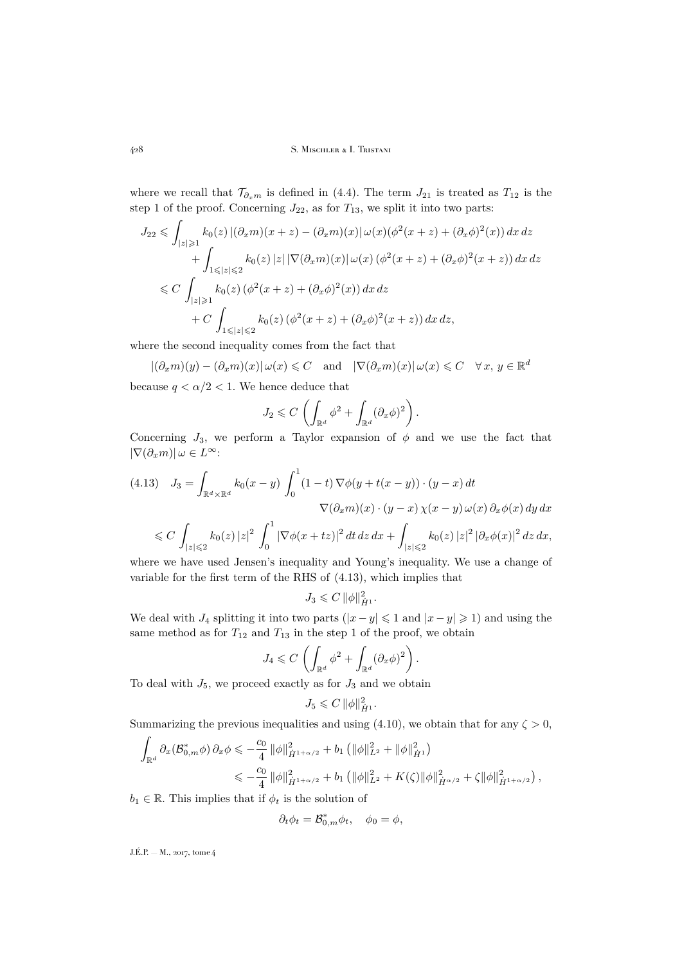where we recall that  $\mathcal{T}_{\partial_x m}$  is defined in [\(4.4\)](#page-28-0). The term  $J_{21}$  is treated as  $T_{12}$  is the step 1 of the proof. Concerning  $J_{22}$ , as for  $T_{13}$ , we split it into two parts:

$$
J_{22} \leq \int_{|z| \geq 1} k_0(z) \left| (\partial_x m)(x+z) - (\partial_x m)(x) \right| \omega(x) (\phi^2(x+z) + (\partial_x \phi)^2(x)) dx dz
$$
  
+ 
$$
\int_{1 \leq |z| \leq 2} k_0(z) |z| |\nabla(\partial_x m)(x)| \omega(x) (\phi^2(x+z) + (\partial_x \phi)^2(x+z)) dx dz
$$
  

$$
\leq C \int_{|z| \geq 1} k_0(z) (\phi^2(x+z) + (\partial_x \phi)^2(x)) dx dz
$$
  
+ 
$$
C \int_{1 \leq |z| \leq 2} k_0(z) (\phi^2(x+z) + (\partial_x \phi)^2(x+z)) dx dz,
$$

where the second inequality comes from the fact that

 $|(\partial_x m)(y) - (\partial_x m)(x)| \omega(x) \leq C$  and  $|\nabla(\partial_x m)(x)| \omega(x) \leq C \quad \forall x, y \in \mathbb{R}^d$ because  $q < \alpha/2 < 1$ . We hence deduce that

$$
J_2 \leqslant C \left( \int_{\mathbb{R}^d} \phi^2 + \int_{\mathbb{R}^d} (\partial_x \phi)^2 \right).
$$

Concerning  $J_3$ , we perform a Taylor expansion of  $\phi$  and we use the fact that  $|\nabla(\partial_x m)| \omega \in L^{\infty}$ :

<span id="page-40-0"></span>
$$
(4.13) \quad J_3 = \int_{\mathbb{R}^d \times \mathbb{R}^d} k_0(x - y) \int_0^1 (1 - t) \nabla \phi(y + t(x - y)) \cdot (y - x) dt
$$

$$
\nabla (\partial_x m)(x) \cdot (y - x) \chi(x - y) \omega(x) \partial_x \phi(x) dy dx
$$

$$
\leq C \int_{|z| \leq 2} k_0(z) |z|^2 \int_0^1 |\nabla \phi(x + tz)|^2 dt dz dx + \int_{|z| \leq 2} k_0(z) |z|^2 |\partial_x \phi(x)|^2 dz dx,
$$

where we have used Jensen's inequality and Young's inequality. We use a change of variable for the first term of the RHS of [\(4.13\)](#page-40-0), which implies that

$$
J_3 \leqslant C \, \|\phi\|_{\dot H^1}^2.
$$

We deal with  $J_4$  splitting it into two parts  $(|x-y| \leq 1$  and  $|x-y| \geq 1$ ) and using the same method as for  $T_{12}$  and  $T_{13}$  in the step 1 of the proof, we obtain

$$
J_4 \leqslant C \, \left( \int_{\mathbb{R}^d} \phi^2 + \int_{\mathbb{R}^d} (\partial_x \phi)^2 \right).
$$

To deal with  $J_5$ , we proceed exactly as for  $J_3$  and we obtain

$$
J_5 \leqslant C \, \|\phi\|_{\dot{H}^1}^2.
$$

Summarizing the previous inequalities and using [\(4.10\)](#page-35-0), we obtain that for any  $\zeta > 0$ ,

$$
\int_{\mathbb{R}^d} \partial_x (\mathcal{B}_{0,m}^* \phi) \, \partial_x \phi \leq -\frac{c_0}{4} \, \|\phi\|_{\dot{H}^{1+\alpha/2}}^2 + b_1 \left( \|\phi\|_{L^2}^2 + \|\phi\|_{\dot{H}^1}^2 \right)
$$
\n
$$
\leq -\frac{c_0}{4} \, \|\phi\|_{\dot{H}^{1+\alpha/2}}^2 + b_1 \left( \|\phi\|_{L^2}^2 + K(\zeta) \|\phi\|_{\dot{H}^{\alpha/2}}^2 + \zeta \|\phi\|_{\dot{H}^{1+\alpha/2}}^2 \right),
$$

 $b_1 \in \mathbb{R}$ . This implies that if  $\phi_t$  is the solution of

$$
\partial_t \phi_t = \mathcal{B}_{0,m}^* \phi_t, \quad \phi_0 = \phi,
$$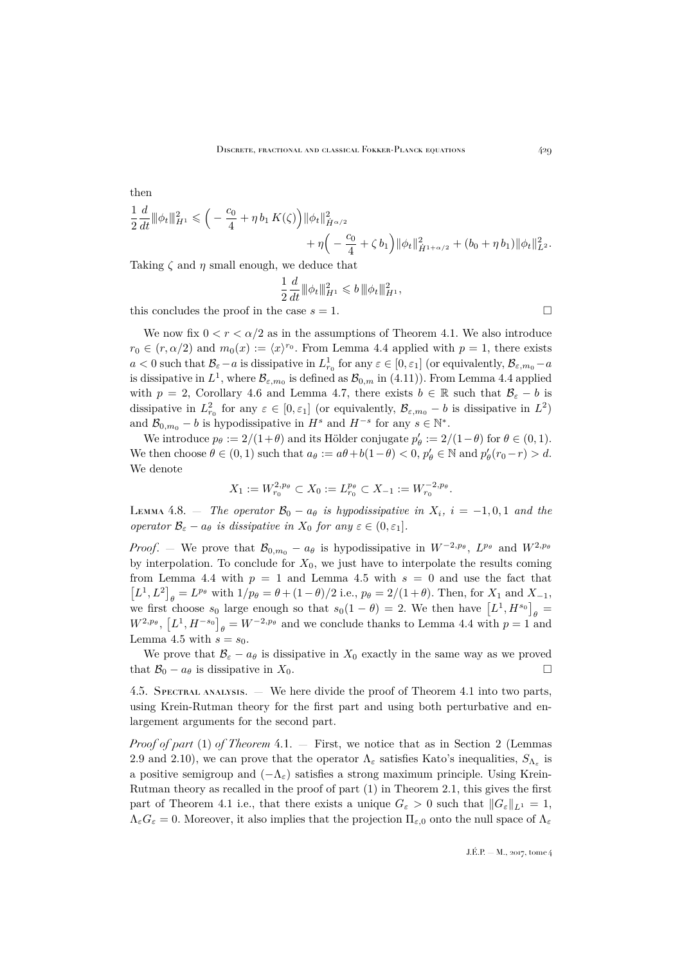then  
\n
$$
\frac{1}{2} \frac{d}{dt} ||\phi_t||_{H^1}^2 \leq \left( -\frac{c_0}{4} + \eta b_1 K(\zeta) \right) ||\phi_t||_{\dot{H}^{\alpha/2}}^2 + \eta \left( -\frac{c_0}{4} + \zeta b_1 \right) ||\phi_t||_{H^{1+\alpha/2}}^2 + (b_0 + \eta b_1) ||\phi_t||_{L^2}^2.
$$

Taking  $\zeta$  and  $\eta$  small enough, we deduce that

$$
\frac{1}{2}\frac{d}{dt}\|\phi_t\|_{H^1}^2 \leqslant b\,\|\phi_t\|_{H^1}^2,
$$

this concludes the proof in the case  $s = 1$ .

We now fix  $0 \le r \le \alpha/2$  as in the assumptions of Theorem [4.1.](#page-25-2) We also introduce  $r_0 \in (r, \alpha/2)$  and  $m_0(x) := \langle x \rangle^{r_0}$ . From Lemma [4.4](#page-30-0) applied with  $p = 1$ , there exists  $a < 0$  such that  $B_{\varepsilon} - a$  is dissipative in  $L^1_{r_0}$  for any  $\varepsilon \in [0, \varepsilon_1]$  (or equivalently,  $B_{\varepsilon,m_0} - a$ is dissipative in  $L^1$ , where  $\mathcal{B}_{\varepsilon,m_0}$  is defined as  $\mathcal{B}_{0,m}$  in [\(4.11\)](#page-36-0)). From Lemma [4.4](#page-30-0) applied with  $p = 2$ , Corollary [4.6](#page-36-1) and Lemma [4.7,](#page-36-2) there exists  $b \in \mathbb{R}$  such that  $\mathcal{B}_{\varepsilon} - b$  is dissipative in  $L^2_{r_0}$  for any  $\varepsilon \in [0, \varepsilon_1]$  (or equivalently,  $\mathcal{B}_{\varepsilon,m_0} - b$  is dissipative in  $L^2$ ) and  $\mathcal{B}_{0,m_0} - b$  is hypodissipative in  $H^s$  and  $H^{-s}$  for any  $s \in \mathbb{N}^*$ .

We introduce  $p_\theta := 2/(1+\theta)$  and its Hölder conjugate  $p'_\theta := 2/(1-\theta)$  for  $\theta \in (0,1)$ . We then choose  $\theta \in (0,1)$  such that  $a_{\theta} := a\theta + b(1-\theta) < 0$ ,  $p'_{\theta} \in \mathbb{N}$  and  $p'_{\theta}(r_0-r) > d$ . We denote

$$
X_1 := W_{r_0}^{2,p_\theta} \subset X_0 := L_{r_0}^{p_\theta} \subset X_{-1} := W_{r_0}^{-2,p_\theta}.
$$

<span id="page-41-0"></span>LEMMA 4.8. — *The operator*  $\mathcal{B}_0 - a_\theta$  *is hypodissipative in*  $X_i$ ,  $i = -1, 0, 1$  *and the operator*  $\mathcal{B}_{\varepsilon} - a_{\theta}$  *is dissipative in*  $X_0$  *for any*  $\varepsilon \in (0, \varepsilon_1]$ *.* 

*Proof.* – We prove that  $\mathcal{B}_{0,m_0} - a_\theta$  is hypodissipative in  $W^{-2,p_\theta}$ ,  $L^{p_\theta}$  and  $W^{2,p_\theta}$ by interpolation. To conclude for  $X_0$ , we just have to interpolate the results coming from Lemma [4.4](#page-30-0) with  $p = 1$  and Lemma [4.5](#page-33-0) with  $s = 0$  and use the fact that  $[L^1, L^2]_{\theta} = L^{p_{\theta}}$  with  $1/p_{\theta} = \theta + (1 - \theta)/2$  i.e.,  $p_{\theta} = 2/(1 + \theta)$ . Then, for  $X_1$  and  $X_{-1}$ , we first choose  $s_0$  large enough so that  $s_0(1 - \theta) = 2$ . We then have  $[L^1, H^{s_0}]_{\theta} =$  $W^{2,p_{\theta}},$   $[L^1, H^{-s_0}]_{\theta} = W^{-2,p_{\theta}}$  and we conclude thanks to Lemma [4.4](#page-30-0) with  $p = 1$  and Lemma [4.5](#page-33-0) with  $s = s_0$ .

We prove that  $\mathcal{B}_{\varepsilon} - a_{\theta}$  is dissipative in  $X_0$  exactly in the same way as we proved that  $\mathcal{B}_0 - a_\theta$  is dissipative in  $X_0$ .

4.5. Spectral analysis. — We here divide the proof of Theorem [4.1](#page-25-2) into two parts, using Krein-Rutman theory for the first part and using both perturbative and enlargement arguments for the second part.

*Proof of part* [\(1\)](#page-25-3) *of Theorem* [4.1.](#page-25-2) — First, we notice that as in Section [2](#page-7-0) (Lemmas [2.9](#page-18-0) and [2.10\)](#page-19-0), we can prove that the operator  $\Lambda_{\varepsilon}$  satisfies Kato's inequalities,  $S_{\Lambda_{\varepsilon}}$  is a positive semigroup and  $(-\Lambda_{\varepsilon})$  satisfies a strong maximum principle. Using Krein-Rutman theory as recalled in the proof of part (1) in Theorem [2.1,](#page-8-0) this gives the first part of Theorem [4.1](#page-25-2) i.e., that there exists a unique  $G_{\varepsilon} > 0$  such that  $||G_{\varepsilon}||_{L^{1}} = 1$ ,  $\Lambda_{\varepsilon}G_{\varepsilon}=0$ . Moreover, it also implies that the projection  $\Pi_{\varepsilon,0}$  onto the null space of  $\Lambda_{\varepsilon}$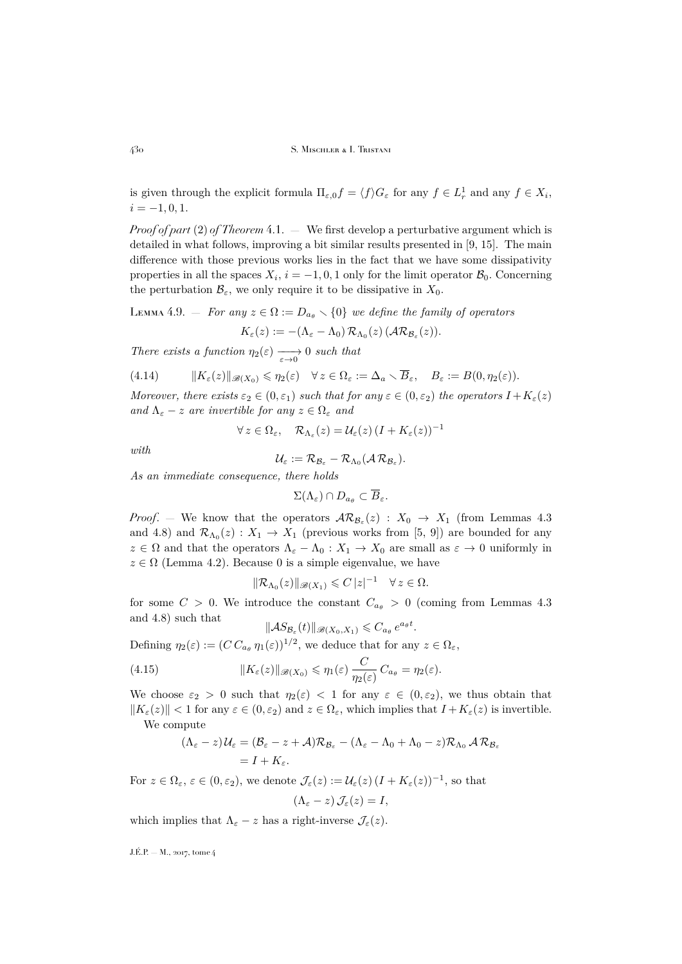is given through the explicit formula  $\Pi_{\varepsilon,0} f = \langle f \rangle G_{\varepsilon}$  for any  $f \in L^1_r$  and any  $f \in X_i$ ,  $i = -1, 0, 1.$ 

*Proof of part* [\(2\)](#page-25-4) *of Theorem* [4.1.](#page-25-2) — We first develop a perturbative argument which is detailed in what follows, improving a bit similar results presented in [\[9,](#page-44-3) [15\]](#page-45-4). The main difference with those previous works lies in the fact that we have some dissipativity properties in all the spaces  $X_i$ ,  $i = -1, 0, 1$  only for the limit operator  $\mathcal{B}_0$ . Concerning the perturbation  $\mathcal{B}_{\varepsilon}$ , we only require it to be dissipative in  $X_0$ .

LEMMA 4.9. – For any 
$$
z \in \Omega := D_{a_{\theta}} \setminus \{0\}
$$
 we define the family of operators

$$
K_{\varepsilon}(z) := -(\Lambda_{\varepsilon} - \Lambda_0) \, \mathcal{R}_{\Lambda_0}(z) \, (\mathcal{A} \mathcal{R}_{\mathcal{B}_{\varepsilon}}(z)).
$$

*There exists a function*  $\eta_2(\varepsilon) \longrightarrow 0$  *such that* 

<span id="page-42-0"></span>(4.14) 
$$
\|K_{\varepsilon}(z)\|_{\mathscr{B}(X_0)} \leq \eta_2(\varepsilon) \quad \forall z \in \Omega_{\varepsilon} := \Delta_a \setminus \overline{B}_{\varepsilon}, \quad B_{\varepsilon} := B(0, \eta_2(\varepsilon)).
$$

*Moreover, there exists*  $\varepsilon_2 \in (0, \varepsilon_1)$  *such that for any*  $\varepsilon \in (0, \varepsilon_2)$  *the operators*  $I + K_{\varepsilon}(z)$ *and*  $\Lambda_{\varepsilon} - z$  *are invertible for any*  $z \in \Omega_{\varepsilon}$  *and* 

$$
\forall z \in \Omega_{\varepsilon}, \quad \mathcal{R}_{\Lambda_{\varepsilon}}(z) = \mathcal{U}_{\varepsilon}(z) \left( I + K_{\varepsilon}(z) \right)^{-1}
$$

*with*

$$
\mathcal{U}_\varepsilon := \mathcal{R}_{\mathcal{B}_\varepsilon} - \mathcal{R}_{\Lambda_0}(\mathcal{A}\,\mathcal{R}_{\mathcal{B}_\varepsilon}).
$$

*As an immediate consequence, there holds*

$$
\Sigma(\Lambda_{\varepsilon})\cap D_{a_{\theta}}\subset\overline{B}_{\varepsilon}.
$$

*Proof.* – We know that the operators  $\mathcal{AR}_{\mathcal{B}_{\varepsilon}}(z)$  :  $X_0 \to X_1$  (from Lemmas [4.3](#page-29-0)) and [4.8\)](#page-41-0) and  $\mathcal{R}_{\Lambda_0}(z) : X_1 \to X_1$  (previous works from [\[5,](#page-44-2) [9\]](#page-44-3)) are bounded for any  $z \in \Omega$  and that the operators  $\Lambda_{\varepsilon} - \Lambda_0 : X_1 \to X_0$  are small as  $\varepsilon \to 0$  uniformly in  $z \in \Omega$  (Lemma [4.2\)](#page-26-1). Because 0 is a simple eigenvalue, we have

$$
\|\mathcal{R}_{\Lambda_0}(z)\|_{\mathscr{B}(X_1)} \leqslant C\,|z|^{-1} \quad \forall \, z \in \Omega.
$$

for some  $C > 0$ . We introduce the constant  $C_{a_{\theta}} > 0$  (coming from Lemmas [4.3](#page-29-0)) and [4.8\)](#page-41-0) such that .

$$
\|\mathcal{A}S_{\mathcal{B}_{\varepsilon}}(t)\|_{\mathscr{B}(X_0,X_1)} \leqslant C_{a_{\theta}} e^{a_{\theta}t}
$$

Defining  $\eta_2(\varepsilon) := (C C_{a_{\theta}} \eta_1(\varepsilon))^{1/2}$ , we deduce that for any  $z \in \Omega_{\varepsilon}$ ,

(4.15) 
$$
||K_{\varepsilon}(z)||_{\mathscr{B}(X_0)} \leq \eta_1(\varepsilon) \frac{C}{\eta_2(\varepsilon)} C_{a_{\theta}} = \eta_2(\varepsilon).
$$

We choose  $\varepsilon_2 > 0$  such that  $\eta_2(\varepsilon) < 1$  for any  $\varepsilon \in (0, \varepsilon_2)$ , we thus obtain that  $||K_{\varepsilon}(z)|| < 1$  for any  $\varepsilon \in (0, \varepsilon_2)$  and  $z \in \Omega_{\varepsilon}$ , which implies that  $I + K_{\varepsilon}(z)$  is invertible. We compute

$$
(\Lambda_{\varepsilon}-z)\mathcal{U}_{\varepsilon}=(\mathcal{B}_{\varepsilon}-z+\mathcal{A})\mathcal{R}_{\mathcal{B}_{\varepsilon}}-(\Lambda_{\varepsilon}-\Lambda_{0}+\Lambda_{0}-z)\mathcal{R}_{\Lambda_{0}}\mathcal{A}\mathcal{R}_{\mathcal{B}_{\varepsilon}}
$$
  
=  $I+K_{\varepsilon}$ .

For  $z \in \Omega_{\varepsilon}$ ,  $\varepsilon \in (0, \varepsilon_2)$ , we denote  $\mathcal{J}_{\varepsilon}(z) := \mathcal{U}_{\varepsilon}(z) (I + K_{\varepsilon}(z))^{-1}$ , so that  $(\Lambda_{\varepsilon} - z) \mathcal{J}_{\varepsilon}(z) = I$ ,

which implies that  $\Lambda_{\varepsilon} - z$  has a right-inverse  $\mathcal{J}_{\varepsilon}(z)$ .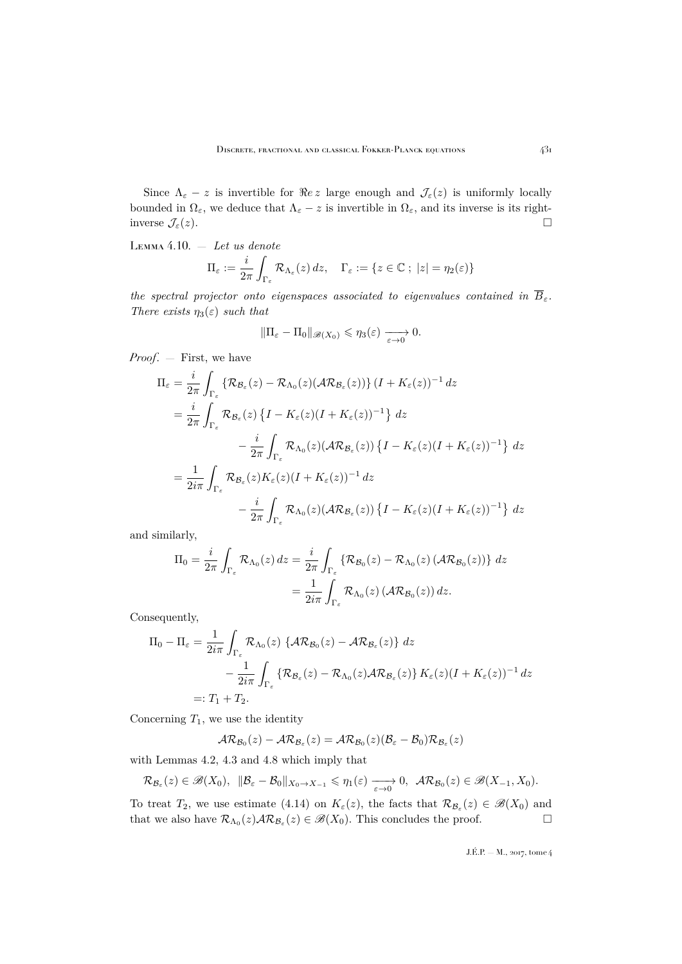Since  $\Lambda_{\varepsilon}$  – z is invertible for  $\Re e z$  large enough and  $\mathcal{J}_{\varepsilon}(z)$  is uniformly locally bounded in  $\Omega_{\varepsilon}$ , we deduce that  $\Lambda_{\varepsilon} - z$  is invertible in  $\Omega_{\varepsilon}$ , and its inverse is its rightinverse  $\mathcal{J}_{\varepsilon}(z)$ .

<span id="page-43-0"></span>Lemma 4.10. — *Let us denote*

$$
\Pi_{\varepsilon} := \frac{i}{2\pi} \int_{\Gamma_{\varepsilon}} \mathcal{R}_{\Lambda_{\varepsilon}}(z) dz, \quad \Gamma_{\varepsilon} := \{ z \in \mathbb{C} \; ; \; |z| = \eta_2(\varepsilon) \}
$$

*the spectral projector onto eigenspaces associated to eigenvalues contained in*  $\overline{B}_{\varepsilon}$ . *There exists*  $\eta_3(\varepsilon)$  *such that* 

$$
\|\Pi_{\varepsilon}-\Pi_0\|_{\mathscr{B}(X_0)}\leqslant \eta_3({\varepsilon})\xrightarrow[{\varepsilon}\to 0]{} 0.
$$

*Proof*. — First, we have

$$
\Pi_{\varepsilon} = \frac{i}{2\pi} \int_{\Gamma_{\varepsilon}} \left\{ \mathcal{R}_{\mathcal{B}_{\varepsilon}}(z) - \mathcal{R}_{\Lambda_{0}}(z) (\mathcal{A} \mathcal{R}_{\mathcal{B}_{\varepsilon}}(z)) \right\} (I + K_{\varepsilon}(z))^{-1} dz
$$
\n
$$
= \frac{i}{2\pi} \int_{\Gamma_{\varepsilon}} \mathcal{R}_{\mathcal{B}_{\varepsilon}}(z) \left\{ I - K_{\varepsilon}(z) (I + K_{\varepsilon}(z))^{-1} \right\} dz
$$
\n
$$
- \frac{i}{2\pi} \int_{\Gamma_{\varepsilon}} \mathcal{R}_{\Lambda_{0}}(z) (\mathcal{A} \mathcal{R}_{\mathcal{B}_{\varepsilon}}(z)) \left\{ I - K_{\varepsilon}(z) (I + K_{\varepsilon}(z))^{-1} \right\} dz
$$
\n
$$
= \frac{1}{2i\pi} \int_{\Gamma_{\varepsilon}} \mathcal{R}_{\mathcal{B}_{\varepsilon}}(z) K_{\varepsilon}(z) (I + K_{\varepsilon}(z))^{-1} dz
$$
\n
$$
- \frac{i}{2\pi} \int_{\Gamma_{\varepsilon}} \mathcal{R}_{\Lambda_{0}}(z) (\mathcal{A} \mathcal{R}_{\mathcal{B}_{\varepsilon}}(z)) \left\{ I - K_{\varepsilon}(z) (I + K_{\varepsilon}(z))^{-1} \right\} dz
$$

and similarly,

$$
\Pi_0 = \frac{i}{2\pi} \int_{\Gamma_{\varepsilon}} \mathcal{R}_{\Lambda_0}(z) dz = \frac{i}{2\pi} \int_{\Gamma_{\varepsilon}} \left\{ \mathcal{R}_{\mathcal{B}_0}(z) - \mathcal{R}_{\Lambda_0}(z) \left( \mathcal{A} \mathcal{R}_{\mathcal{B}_0}(z) \right) \right\} dz
$$

$$
= \frac{1}{2i\pi} \int_{\Gamma_{\varepsilon}} \mathcal{R}_{\Lambda_0}(z) \left( \mathcal{A} \mathcal{R}_{\mathcal{B}_0}(z) \right) dz.
$$

Consequently,

$$
\Pi_0 - \Pi_{\varepsilon} = \frac{1}{2i\pi} \int_{\Gamma_{\varepsilon}} \mathcal{R}_{\Lambda_0}(z) \{ \mathcal{AR}_{\mathcal{B}_0}(z) - \mathcal{AR}_{\mathcal{B}_{\varepsilon}}(z) \} dz
$$
  

$$
- \frac{1}{2i\pi} \int_{\Gamma_{\varepsilon}} \{ \mathcal{R}_{\mathcal{B}_{\varepsilon}}(z) - \mathcal{R}_{\Lambda_0}(z) \mathcal{AR}_{\mathcal{B}_{\varepsilon}}(z) \} K_{\varepsilon}(z) (I + K_{\varepsilon}(z))^{-1} dz
$$
  

$$
=: T_1 + T_2.
$$

Concerning  $T_1$ , we use the identity

$$
AR_{\mathcal{B}_0}(z) - AR_{\mathcal{B}_{\varepsilon}}(z) = AR_{\mathcal{B}_0}(z)(\mathcal{B}_{\varepsilon} - \mathcal{B}_0)R_{\mathcal{B}_{\varepsilon}}(z)
$$

with Lemmas [4.2,](#page-26-1) [4.3](#page-29-0) and [4.8](#page-41-0) which imply that

$$
\mathcal{R}_{\mathcal{B}_{\varepsilon}}(z) \in \mathscr{B}(X_0), \ \ \|\mathcal{B}_{\varepsilon}-\mathcal{B}_0\|_{X_0 \to X_{-1}} \leq \eta_1(\varepsilon) \xrightarrow[\varepsilon \to 0]{} 0, \ \ \mathcal{AR}_{\mathcal{B}_0}(z) \in \mathscr{B}(X_{-1}, X_0).
$$

To treat  $T_2$ , we use estimate [\(4.14\)](#page-42-0) on  $K_{\varepsilon}(z)$ , the facts that  $\mathcal{R}_{\mathcal{B}_{\varepsilon}}(z) \in \mathscr{B}(X_0)$  and that we also have  $\mathcal{R}_{\Lambda_0}(z)\mathcal{A}\mathcal{R}_{\mathcal{B}_{\varepsilon}}(z) \in \mathscr{B}(X_0)$ . This concludes the proof.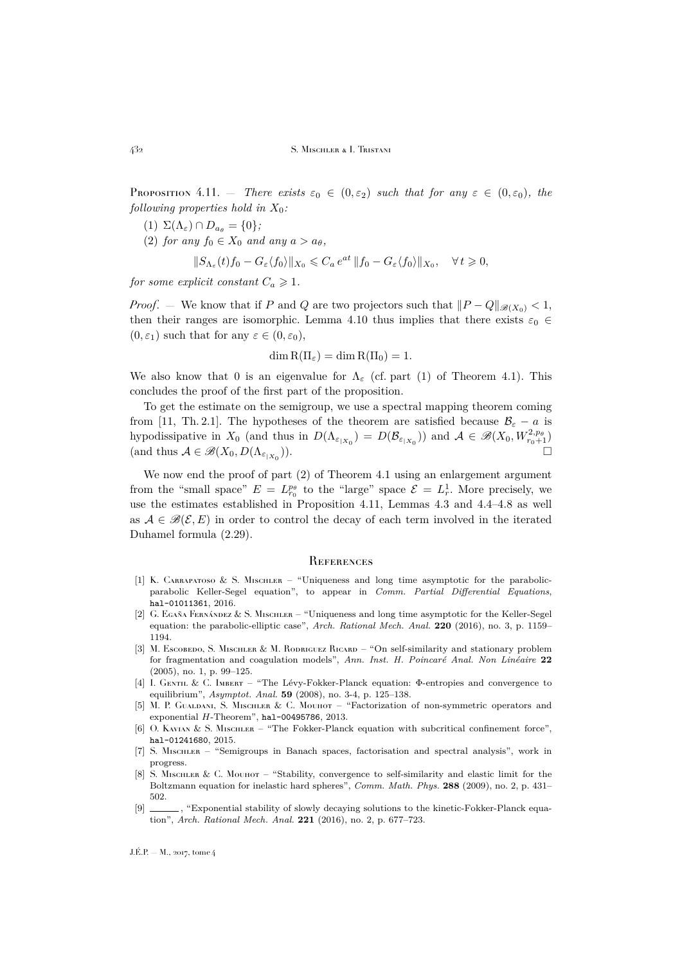<span id="page-44-10"></span>**Proposition 4.11.** — *There exists*  $\varepsilon_0 \in (0, \varepsilon_2)$  *such that for any*  $\varepsilon \in (0, \varepsilon_0)$ *, the following properties hold in* X0*:*

- (1)  $\Sigma(\Lambda_{\varepsilon}) \cap D_{a_{\theta}} = \{0\};$
- (2) *for any*  $f_0 \in X_0$  *and any*  $a > a_\theta$ *,*

$$
||S_{\Lambda_{\varepsilon}}(t)f_0-G_{\varepsilon}\langle f_0\rangle||_{X_0}\leqslant C_a\,e^{at}\,||f_0-G_{\varepsilon}\langle f_0\rangle||_{X_0},\quad\forall\,t\geqslant 0,
$$

*for some explicit constant*  $C_a \geq 1$ *.* 

*Proof.* — We know that if P and Q are two projectors such that  $||P - Q||_{\mathscr{B}(X_0)} < 1$ , then their ranges are isomorphic. Lemma [4.10](#page-43-0) thus implies that there exists  $\varepsilon_0 \in$  $(0, \varepsilon_1)$  such that for any  $\varepsilon \in (0, \varepsilon_0)$ ,

$$
\dim R(\Pi_{\varepsilon}) = \dim R(\Pi_0) = 1.
$$

We also know that 0 is an eigenvalue for  $\Lambda_{\varepsilon}$  (cf. part (1) of Theorem [4.1\)](#page-25-2). This concludes the proof of the first part of the proposition.

To get the estimate on the semigroup, we use a spectral mapping theorem coming from [\[11,](#page-45-3) Th. 2.1]. The hypotheses of the theorem are satisfied because  $\mathcal{B}_{\varepsilon} - a$  is hypodissipative in  $X_0$  (and thus in  $D(\Lambda_{\varepsilon_{|X_0}}) = D(\mathcal{B}_{\varepsilon_{|X_0}})$ ) and  $\mathcal{A} \in \mathscr{B}(X_0, W_{r_0+1}^{2,p_\theta})$ (and thus  $A \in \mathscr{B}(X_0, D(\Lambda_{\varepsilon_{|X_0}})).$  $\Box$ )).

We now end the proof of part (2) of Theorem [4.1](#page-25-2) using an enlargement argument from the "small space"  $E = L_{r_0}^{p_\theta}$  to the "large" space  $\mathcal{E} = L_r^1$ . More precisely, we use the estimates established in Proposition [4.11,](#page-44-10) Lemmas [4.3](#page-29-0) and [4.4–](#page-30-0)[4.8](#page-41-0) as well as  $A \in \mathcal{B}(\mathcal{E}, E)$  in order to control the decay of each term involved in the iterated Duhamel formula [\(2.29\)](#page-22-3).

#### <span id="page-44-0"></span>**REFERENCES**

- <span id="page-44-6"></span>[1] K. CARRAPATOSO & S. MISCHLER – "Uniqueness and long time asymptotic for the parabolicparabolic Keller-Segel equation", to appear in *Comm. Partial Differential Equations*, [hal-01011361](https://hal.archives-ouvertes.fr/hal-01011361), 2016.
- <span id="page-44-5"></span>[2] G. Egaña Fernández & S. Mischler – "Uniqueness and long time asymptotic for the Keller-Segel equation: the parabolic-elliptic case", *Arch. Rational Mech. Anal.* **220** (2016), no. 3, p. 1159– 1194.
- <span id="page-44-7"></span>[3] M. Escobedo, S. Mischler & M. Rodriguez Ricard – "On self-similarity and stationary problem for fragmentation and coagulation models", *Ann. Inst. H. Poincaré Anal. Non Linéaire* **22** (2005), no. 1, p. 99–125.
- <span id="page-44-9"></span>[4] I. Gentil & C. Imbert – "The Lévy-Fokker-Planck equation: Φ-entropies and convergence to equilibrium", *Asymptot. Anal.* **59** (2008), no. 3-4, p. 125–138.
- <span id="page-44-2"></span>[5] M. P. GUALDANI, S. MISCHLER & C. MOUHOT – "Factorization of non-symmetric operators and exponential  $H$ -Theorem", [hal-00495786](https://hal.archives-ouvertes.fr/hal-00495786), 2013.
- <span id="page-44-8"></span>[6] O. Kavian & S. Mischler – "The Fokker-Planck equation with subcritical confinement force", [hal-01241680](https://hal.archives-ouvertes.fr/hal-01241680), 2015.
- <span id="page-44-4"></span>[7] S. Mischler – "Semigroups in Banach spaces, factorisation and spectral analysis", work in progress.
- <span id="page-44-1"></span>[8] S. Mischler & C. Mouhot – "Stability, convergence to self-similarity and elastic limit for the Boltzmann equation for inelastic hard spheres", *Comm. Math. Phys.* **288** (2009), no. 2, p. 431– 502.
- <span id="page-44-3"></span>[9] , "Exponential stability of slowly decaying solutions to the kinetic-Fokker-Planck equation", *Arch. Rational Mech. Anal.* **221** (2016), no. 2, p. 677–723.